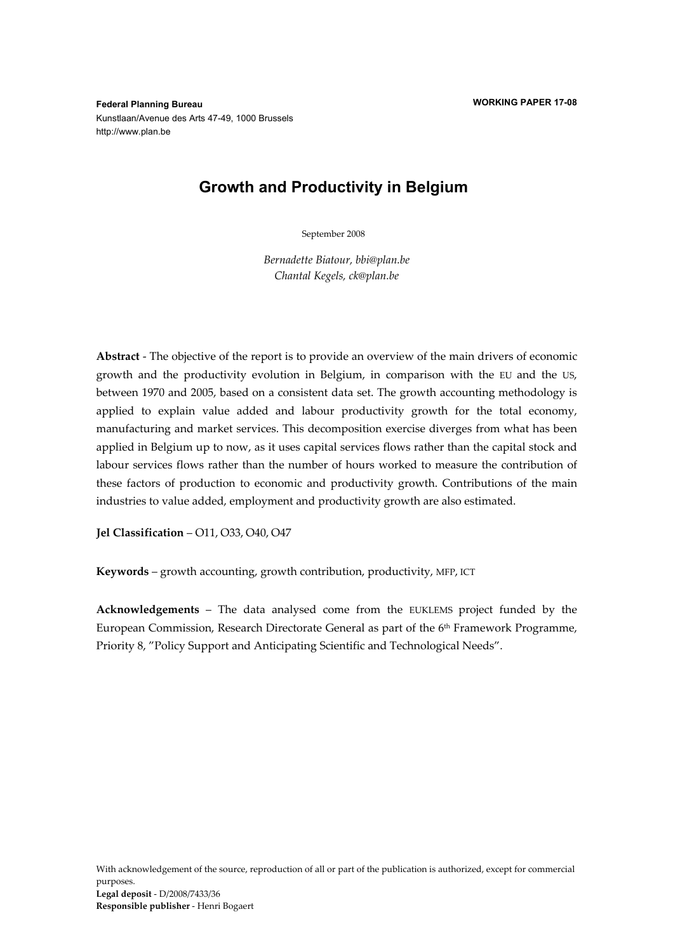**Federal Planning Bureau**  Kunstlaan/Avenue des Arts 47-49, 1000 Brussels http://www.plan.be

# **Growth and Productivity in Belgium**

September 2008

*Bernadette Biatour, bbi@plan.be Chantal Kegels, ck@plan.be* 

**Abstract** - The objective of the report is to provide an overview of the main drivers of economic growth and the productivity evolution in Belgium, in comparison with the EU and the US, between 1970 and 2005, based on a consistent data set. The growth accounting methodology is applied to explain value added and labour productivity growth for the total economy, manufacturing and market services. This decomposition exercise diverges from what has been applied in Belgium up to now, as it uses capital services flows rather than the capital stock and labour services flows rather than the number of hours worked to measure the contribution of these factors of production to economic and productivity growth. Contributions of the main industries to value added, employment and productivity growth are also estimated.

**Jel Classification** – O11, O33, O40, O47

**Keywords** – growth accounting, growth contribution, productivity, MFP, ICT

**Acknowledgements** – The data analysed come from the EUKLEMS project funded by the European Commission, Research Directorate General as part of the 6<sup>th</sup> Framework Programme, Priority 8, "Policy Support and Anticipating Scientific and Technological Needs".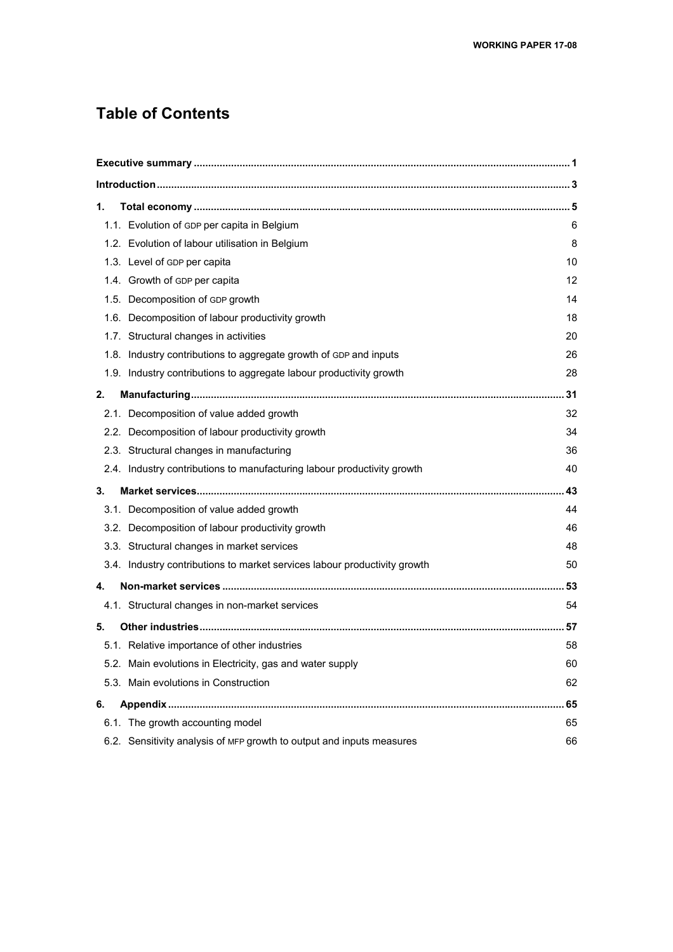# **Table of Contents**

| 1. |                                                                           |      |
|----|---------------------------------------------------------------------------|------|
|    | 1.1. Evolution of GDP per capita in Belgium                               | 6    |
|    | 1.2. Evolution of labour utilisation in Belgium                           | 8    |
|    | 1.3. Level of GDP per capita                                              | 10   |
|    | 1.4. Growth of GDP per capita                                             | 12   |
|    | 1.5. Decomposition of GDP growth                                          | 14   |
|    | 1.6. Decomposition of labour productivity growth                          | 18   |
|    | 1.7. Structural changes in activities                                     | 20   |
|    | 1.8. Industry contributions to aggregate growth of GDP and inputs         | 26   |
|    | 1.9. Industry contributions to aggregate labour productivity growth       | 28   |
| 2. |                                                                           |      |
|    | 2.1. Decomposition of value added growth                                  | 32   |
|    | 2.2. Decomposition of labour productivity growth                          | 34   |
|    | 2.3. Structural changes in manufacturing                                  | 36   |
|    | 2.4. Industry contributions to manufacturing labour productivity growth   | 40   |
| 3. |                                                                           | . 43 |
|    | 3.1. Decomposition of value added growth                                  | 44   |
|    | 3.2. Decomposition of labour productivity growth                          | 46   |
|    | 3.3. Structural changes in market services                                | 48   |
|    | 3.4. Industry contributions to market services labour productivity growth | 50   |
| 4. |                                                                           |      |
|    | 4.1. Structural changes in non-market services                            | 54   |
| 5. |                                                                           |      |
|    | 5.1. Relative importance of other industries                              | 58   |
|    | 5.2. Main evolutions in Electricity, gas and water supply                 | 60   |
|    | 5.3. Main evolutions in Construction                                      | 62   |
| 6. |                                                                           |      |
|    | 6.1. The growth accounting model                                          | 65   |
|    | 6.2. Sensitivity analysis of MFP growth to output and inputs measures     | 66   |
|    |                                                                           |      |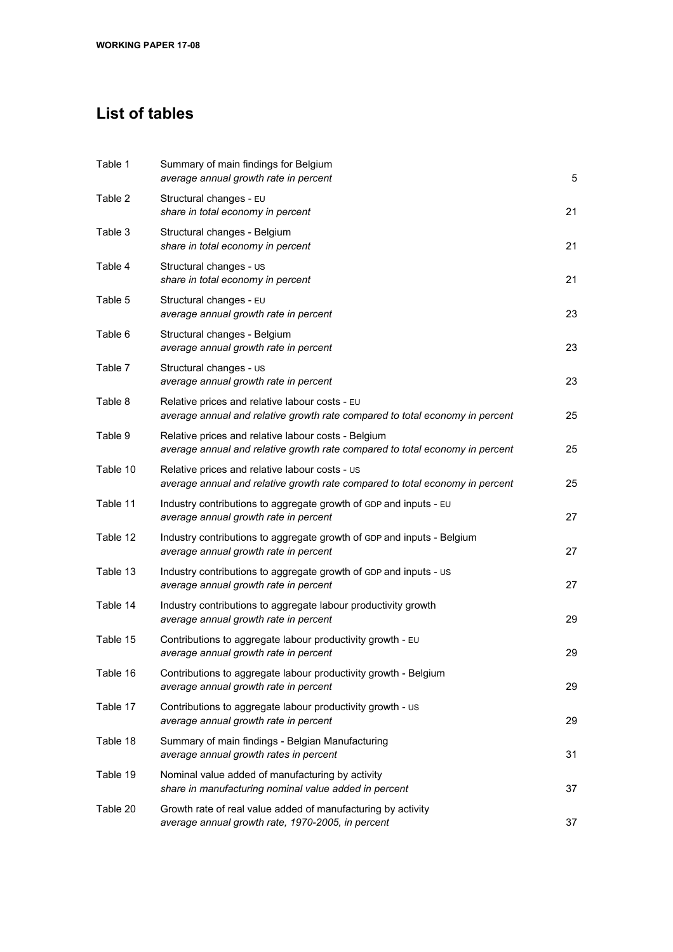# **List of tables**

| Table 1  | Summary of main findings for Belgium<br>average annual growth rate in percent                                                       | 5  |
|----------|-------------------------------------------------------------------------------------------------------------------------------------|----|
| Table 2  | Structural changes - EU<br>share in total economy in percent                                                                        | 21 |
| Table 3  | Structural changes - Belgium<br>share in total economy in percent                                                                   | 21 |
| Table 4  | Structural changes - US<br>share in total economy in percent                                                                        | 21 |
| Table 5  | Structural changes - EU<br>average annual growth rate in percent                                                                    | 23 |
| Table 6  | Structural changes - Belgium<br>average annual growth rate in percent                                                               | 23 |
| Table 7  | Structural changes - US<br>average annual growth rate in percent                                                                    | 23 |
| Table 8  | Relative prices and relative labour costs - EU<br>average annual and relative growth rate compared to total economy in percent      | 25 |
| Table 9  | Relative prices and relative labour costs - Belgium<br>average annual and relative growth rate compared to total economy in percent | 25 |
| Table 10 | Relative prices and relative labour costs - us<br>average annual and relative growth rate compared to total economy in percent      | 25 |
| Table 11 | Industry contributions to aggregate growth of GDP and inputs - EU<br>average annual growth rate in percent                          | 27 |
| Table 12 | Industry contributions to aggregate growth of GDP and inputs - Belgium<br>average annual growth rate in percent                     | 27 |
| Table 13 | Industry contributions to aggregate growth of GDP and inputs - US<br>average annual growth rate in percent                          | 27 |
| Table 14 | Industry contributions to aggregate labour productivity growth<br>average annual growth rate in percent                             | 29 |
| Table 15 | Contributions to aggregate labour productivity growth - EU<br>average annual growth rate in percent                                 | 29 |
| Table 16 | Contributions to aggregate labour productivity growth - Belgium<br>average annual growth rate in percent                            | 29 |
| Table 17 | Contributions to aggregate labour productivity growth - us<br>average annual growth rate in percent                                 | 29 |
| Table 18 | Summary of main findings - Belgian Manufacturing<br>average annual growth rates in percent                                          | 31 |
| Table 19 | Nominal value added of manufacturing by activity<br>share in manufacturing nominal value added in percent                           | 37 |
| Table 20 | Growth rate of real value added of manufacturing by activity<br>average annual growth rate, 1970-2005, in percent                   | 37 |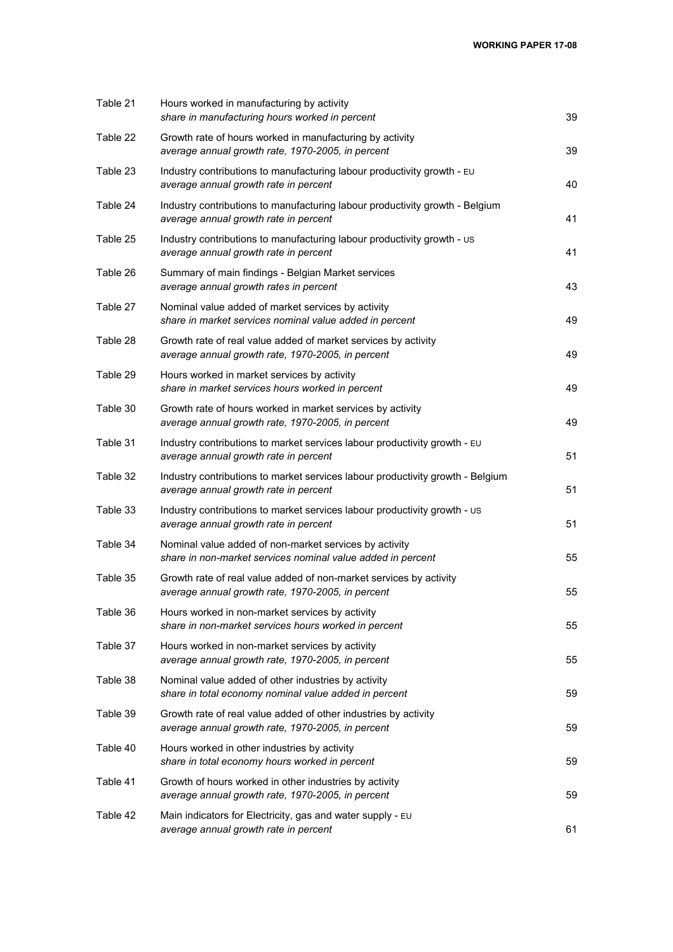| Table 21 | Hours worked in manufacturing by activity<br>share in manufacturing hours worked in percent                             | 39 |
|----------|-------------------------------------------------------------------------------------------------------------------------|----|
| Table 22 | Growth rate of hours worked in manufacturing by activity<br>average annual growth rate, 1970-2005, in percent           | 39 |
| Table 23 | Industry contributions to manufacturing labour productivity growth - EU<br>average annual growth rate in percent        | 40 |
| Table 24 | Industry contributions to manufacturing labour productivity growth - Belgium<br>average annual growth rate in percent   | 41 |
| Table 25 | Industry contributions to manufacturing labour productivity growth - us<br>average annual growth rate in percent        | 41 |
| Table 26 | Summary of main findings - Belgian Market services<br>average annual growth rates in percent                            | 43 |
| Table 27 | Nominal value added of market services by activity<br>share in market services nominal value added in percent           | 49 |
| Table 28 | Growth rate of real value added of market services by activity<br>average annual growth rate, 1970-2005, in percent     | 49 |
| Table 29 | Hours worked in market services by activity<br>share in market services hours worked in percent                         | 49 |
| Table 30 | Growth rate of hours worked in market services by activity<br>average annual growth rate, 1970-2005, in percent         | 49 |
| Table 31 | Industry contributions to market services labour productivity growth - EU<br>average annual growth rate in percent      | 51 |
| Table 32 | Industry contributions to market services labour productivity growth - Belgium<br>average annual growth rate in percent | 51 |
| Table 33 | Industry contributions to market services labour productivity growth - us<br>average annual growth rate in percent      | 51 |
| Table 34 | Nominal value added of non-market services by activity<br>share in non-market services nominal value added in percent   | 55 |
| Table 35 | Growth rate of real value added of non-market services by activity<br>average annual growth rate, 1970-2005, in percent | 55 |
| Table 36 | Hours worked in non-market services by activity<br>share in non-market services hours worked in percent                 | 55 |
| Table 37 | Hours worked in non-market services by activity<br>average annual growth rate, 1970-2005, in percent                    | 55 |
| Table 38 | Nominal value added of other industries by activity<br>share in total economy nominal value added in percent            | 59 |
| Table 39 | Growth rate of real value added of other industries by activity<br>average annual growth rate, 1970-2005, in percent    | 59 |
| Table 40 | Hours worked in other industries by activity<br>share in total economy hours worked in percent                          | 59 |
| Table 41 | Growth of hours worked in other industries by activity<br>average annual growth rate, 1970-2005, in percent             | 59 |
| Table 42 | Main indicators for Electricity, gas and water supply - EU<br>average annual growth rate in percent                     | 61 |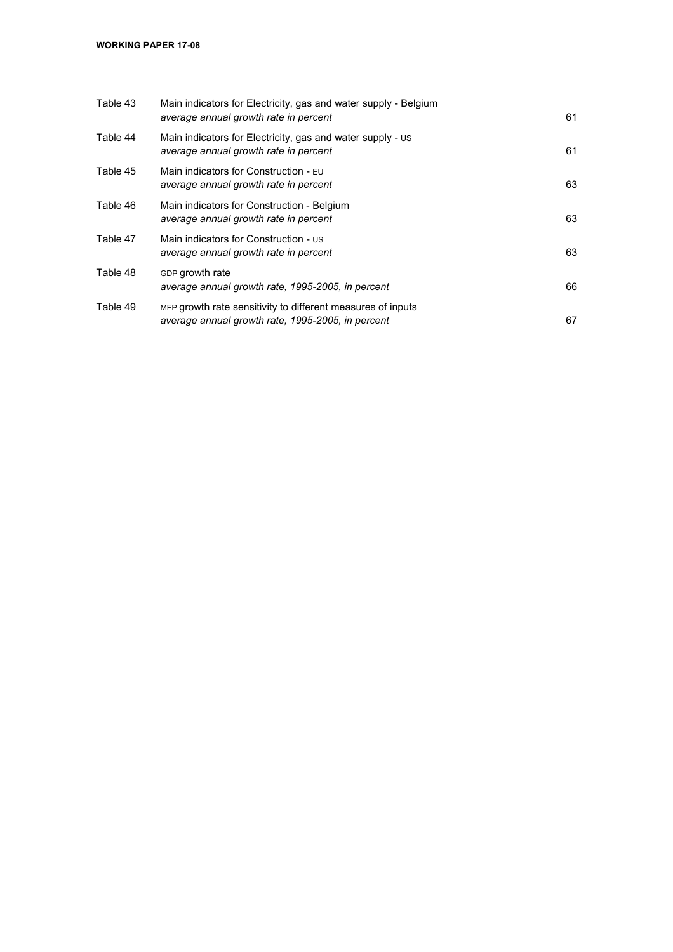| Table 43 | Main indicators for Electricity, gas and water supply - Belgium<br>average annual growth rate in percent         | 61 |
|----------|------------------------------------------------------------------------------------------------------------------|----|
| Table 44 | Main indicators for Electricity, gas and water supply - us<br>average annual growth rate in percent              | 61 |
| Table 45 | Main indicators for Construction - EU<br>average annual growth rate in percent                                   | 63 |
| Table 46 | Main indicators for Construction - Belgium<br>average annual growth rate in percent                              | 63 |
| Table 47 | Main indicators for Construction - us<br>average annual growth rate in percent                                   | 63 |
| Table 48 | GDP growth rate<br>average annual growth rate, 1995-2005, in percent                                             | 66 |
| Table 49 | MFP growth rate sensitivity to different measures of inputs<br>average annual growth rate, 1995-2005, in percent | 67 |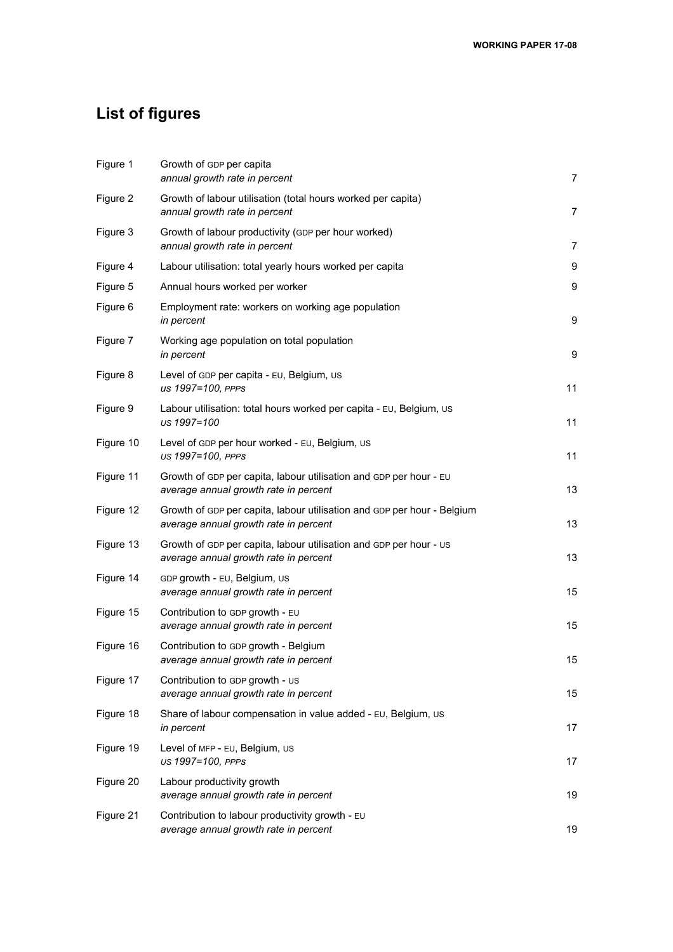# **List of figures**

| Figure 1  | Growth of GDP per capita<br>annual growth rate in percent                                                        | 7              |
|-----------|------------------------------------------------------------------------------------------------------------------|----------------|
| Figure 2  | Growth of labour utilisation (total hours worked per capita)<br>annual growth rate in percent                    | $\overline{7}$ |
| Figure 3  | Growth of labour productivity (GDP per hour worked)<br>annual growth rate in percent                             | 7              |
| Figure 4  | Labour utilisation: total yearly hours worked per capita                                                         | 9              |
| Figure 5  | Annual hours worked per worker                                                                                   | 9              |
| Figure 6  | Employment rate: workers on working age population<br>in percent                                                 | 9              |
| Figure 7  | Working age population on total population<br>in percent                                                         | 9              |
| Figure 8  | Level of GDP per capita - EU, Belgium, US<br>us 1997=100, PPPS                                                   | 11             |
| Figure 9  | Labour utilisation: total hours worked per capita - EU, Belgium, US<br>US 1997=100                               | 11             |
| Figure 10 | Level of GDP per hour worked - EU, Belgium, US<br>US 1997=100, PPPS                                              | 11             |
| Figure 11 | Growth of GDP per capita, labour utilisation and GDP per hour - EU<br>average annual growth rate in percent      | 13             |
| Figure 12 | Growth of GDP per capita, labour utilisation and GDP per hour - Belgium<br>average annual growth rate in percent | 13             |
| Figure 13 | Growth of GDP per capita, labour utilisation and GDP per hour - US<br>average annual growth rate in percent      | 13             |
| Figure 14 | GDP growth - EU, Belgium, US<br>average annual growth rate in percent                                            | 15             |
| Figure 15 | Contribution to GDP growth - EU<br>average annual growth rate in percent                                         | 15             |
| Figure 16 | Contribution to GDP growth - Belgium<br>average annual growth rate in percent                                    | 15             |
| Figure 17 | Contribution to GDP growth - US<br>average annual growth rate in percent                                         | 15             |
| Figure 18 | Share of labour compensation in value added - EU, Belgium, US<br>in percent                                      | 17             |
| Figure 19 | Level of MFP - EU, Belgium, US<br>US 1997=100, PPPS                                                              | 17             |
| Figure 20 | Labour productivity growth<br>average annual growth rate in percent                                              | 19             |
| Figure 21 | Contribution to labour productivity growth - EU<br>average annual growth rate in percent                         | 19             |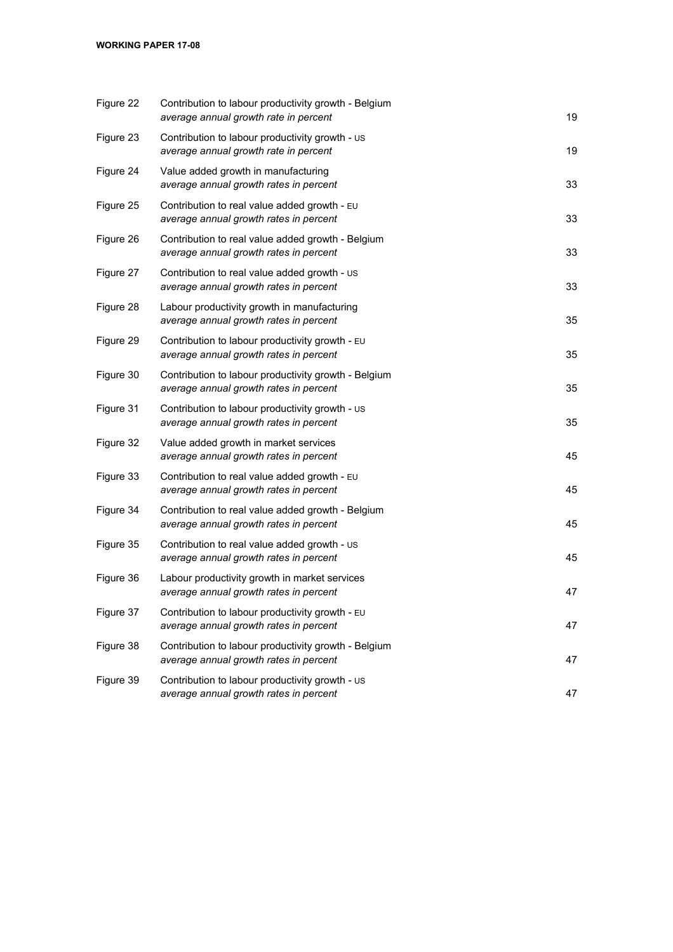| Figure 22 | Contribution to labour productivity growth - Belgium<br>average annual growth rate in percent  | 19 |
|-----------|------------------------------------------------------------------------------------------------|----|
| Figure 23 | Contribution to labour productivity growth - us<br>average annual growth rate in percent       | 19 |
| Figure 24 | Value added growth in manufacturing<br>average annual growth rates in percent                  | 33 |
| Figure 25 | Contribution to real value added growth - EU<br>average annual growth rates in percent         | 33 |
| Figure 26 | Contribution to real value added growth - Belgium<br>average annual growth rates in percent    | 33 |
| Figure 27 | Contribution to real value added growth - us<br>average annual growth rates in percent         | 33 |
| Figure 28 | Labour productivity growth in manufacturing<br>average annual growth rates in percent          | 35 |
| Figure 29 | Contribution to labour productivity growth - EU<br>average annual growth rates in percent      | 35 |
| Figure 30 | Contribution to labour productivity growth - Belgium<br>average annual growth rates in percent | 35 |
| Figure 31 | Contribution to labour productivity growth - us<br>average annual growth rates in percent      | 35 |
| Figure 32 | Value added growth in market services<br>average annual growth rates in percent                | 45 |
| Figure 33 | Contribution to real value added growth - EU<br>average annual growth rates in percent         | 45 |
| Figure 34 | Contribution to real value added growth - Belgium<br>average annual growth rates in percent    | 45 |
| Figure 35 | Contribution to real value added growth - us<br>average annual growth rates in percent         | 45 |
| Figure 36 | Labour productivity growth in market services<br>average annual growth rates in percent        | 47 |
| Figure 37 | Contribution to labour productivity growth - EU<br>average annual growth rates in percent      | 47 |
| Figure 38 | Contribution to labour productivity growth - Belgium<br>average annual growth rates in percent | 47 |
| Figure 39 | Contribution to labour productivity growth - us<br>average annual growth rates in percent      | 47 |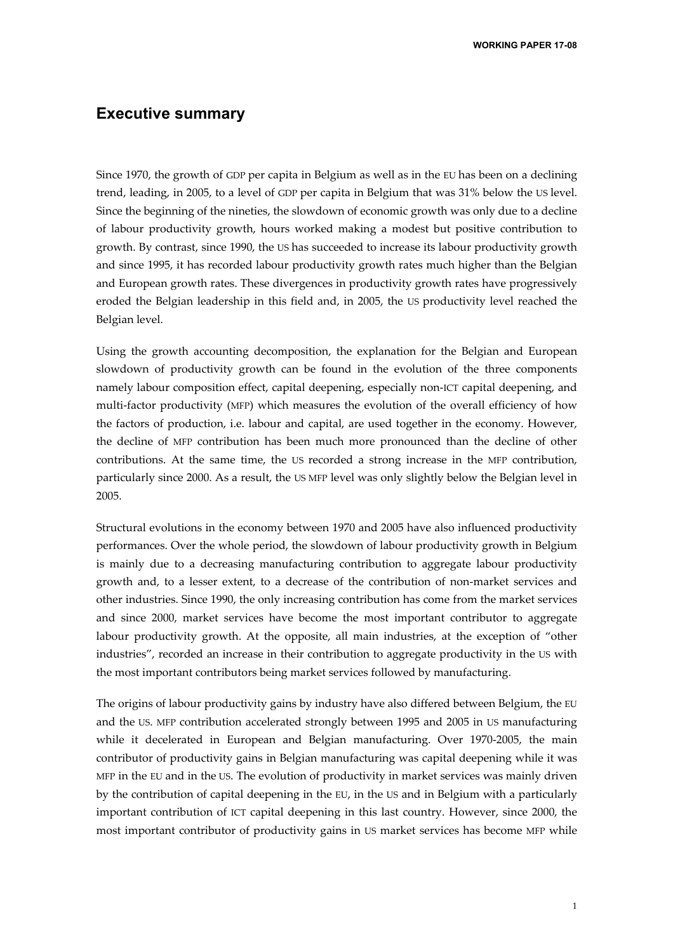**WORKING PAPER 17-08** 

## **Executive summary**

Since 1970, the growth of GDP per capita in Belgium as well as in the EU has been on a declining trend, leading, in 2005, to a level of GDP per capita in Belgium that was 31% below the US level. Since the beginning of the nineties, the slowdown of economic growth was only due to a decline of labour productivity growth, hours worked making a modest but positive contribution to growth. By contrast, since 1990, the US has succeeded to increase its labour productivity growth and since 1995, it has recorded labour productivity growth rates much higher than the Belgian and European growth rates. These divergences in productivity growth rates have progressively eroded the Belgian leadership in this field and, in 2005, the US productivity level reached the Belgian level.

Using the growth accounting decomposition, the explanation for the Belgian and European slowdown of productivity growth can be found in the evolution of the three components namely labour composition effect, capital deepening, especially non-ICT capital deepening, and multi-factor productivity (MFP) which measures the evolution of the overall efficiency of how the factors of production, i.e. labour and capital, are used together in the economy. However, the decline of MFP contribution has been much more pronounced than the decline of other contributions. At the same time, the US recorded a strong increase in the MFP contribution, particularly since 2000. As a result, the US MFP level was only slightly below the Belgian level in 2005.

Structural evolutions in the economy between 1970 and 2005 have also influenced productivity performances. Over the whole period, the slowdown of labour productivity growth in Belgium is mainly due to a decreasing manufacturing contribution to aggregate labour productivity growth and, to a lesser extent, to a decrease of the contribution of non-market services and other industries. Since 1990, the only increasing contribution has come from the market services and since 2000, market services have become the most important contributor to aggregate labour productivity growth. At the opposite, all main industries, at the exception of "other industries", recorded an increase in their contribution to aggregate productivity in the US with the most important contributors being market services followed by manufacturing.

The origins of labour productivity gains by industry have also differed between Belgium, the EU and the US. MFP contribution accelerated strongly between 1995 and 2005 in US manufacturing while it decelerated in European and Belgian manufacturing. Over 1970-2005, the main contributor of productivity gains in Belgian manufacturing was capital deepening while it was MFP in the EU and in the US. The evolution of productivity in market services was mainly driven by the contribution of capital deepening in the EU, in the US and in Belgium with a particularly important contribution of ICT capital deepening in this last country. However, since 2000, the most important contributor of productivity gains in US market services has become MFP while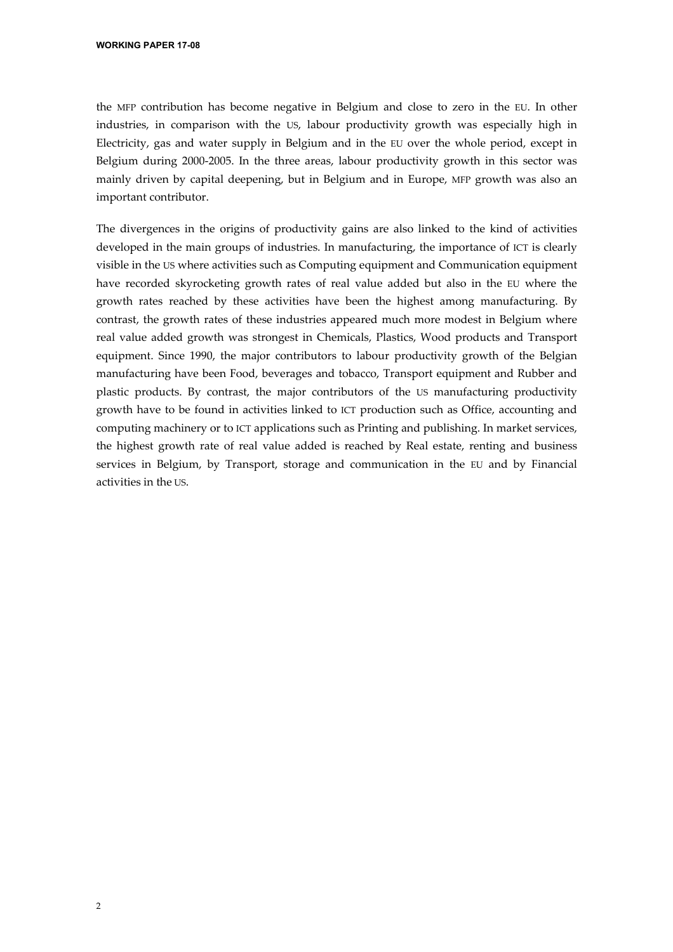the MFP contribution has become negative in Belgium and close to zero in the EU. In other industries, in comparison with the US, labour productivity growth was especially high in Electricity, gas and water supply in Belgium and in the EU over the whole period, except in Belgium during 2000-2005. In the three areas, labour productivity growth in this sector was mainly driven by capital deepening, but in Belgium and in Europe, MFP growth was also an important contributor.

The divergences in the origins of productivity gains are also linked to the kind of activities developed in the main groups of industries. In manufacturing, the importance of ICT is clearly visible in the US where activities such as Computing equipment and Communication equipment have recorded skyrocketing growth rates of real value added but also in the EU where the growth rates reached by these activities have been the highest among manufacturing. By contrast, the growth rates of these industries appeared much more modest in Belgium where real value added growth was strongest in Chemicals, Plastics, Wood products and Transport equipment. Since 1990, the major contributors to labour productivity growth of the Belgian manufacturing have been Food, beverages and tobacco, Transport equipment and Rubber and plastic products. By contrast, the major contributors of the US manufacturing productivity growth have to be found in activities linked to ICT production such as Office, accounting and computing machinery or to ICT applications such as Printing and publishing. In market services, the highest growth rate of real value added is reached by Real estate, renting and business services in Belgium, by Transport, storage and communication in the EU and by Financial activities in the US.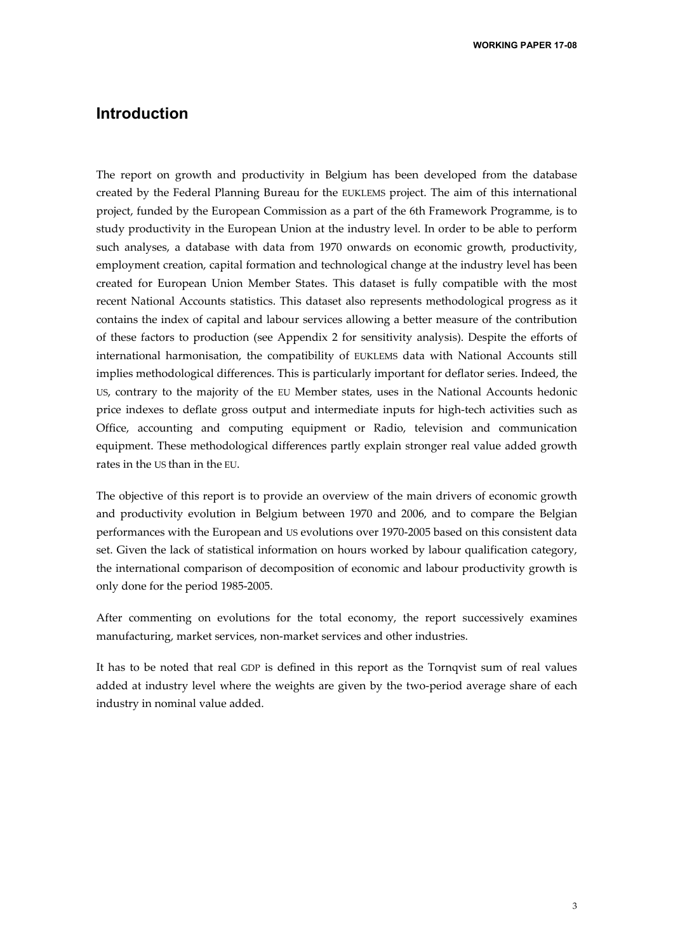**WORKING PAPER 17-08** 

## **Introduction**

The report on growth and productivity in Belgium has been developed from the database created by the Federal Planning Bureau for the EUKLEMS project. The aim of this international project, funded by the European Commission as a part of the 6th Framework Programme, is to study productivity in the European Union at the industry level. In order to be able to perform such analyses, a database with data from 1970 onwards on economic growth, productivity, employment creation, capital formation and technological change at the industry level has been created for European Union Member States. This dataset is fully compatible with the most recent National Accounts statistics. This dataset also represents methodological progress as it contains the index of capital and labour services allowing a better measure of the contribution of these factors to production (see Appendix 2 for sensitivity analysis). Despite the efforts of international harmonisation, the compatibility of EUKLEMS data with National Accounts still implies methodological differences. This is particularly important for deflator series. Indeed, the US, contrary to the majority of the EU Member states, uses in the National Accounts hedonic price indexes to deflate gross output and intermediate inputs for high-tech activities such as Office, accounting and computing equipment or Radio, television and communication equipment. These methodological differences partly explain stronger real value added growth rates in the US than in the EU.

The objective of this report is to provide an overview of the main drivers of economic growth and productivity evolution in Belgium between 1970 and 2006, and to compare the Belgian performances with the European and US evolutions over 1970-2005 based on this consistent data set. Given the lack of statistical information on hours worked by labour qualification category, the international comparison of decomposition of economic and labour productivity growth is only done for the period 1985-2005.

After commenting on evolutions for the total economy, the report successively examines manufacturing, market services, non-market services and other industries.

It has to be noted that real GDP is defined in this report as the Tornqvist sum of real values added at industry level where the weights are given by the two-period average share of each industry in nominal value added.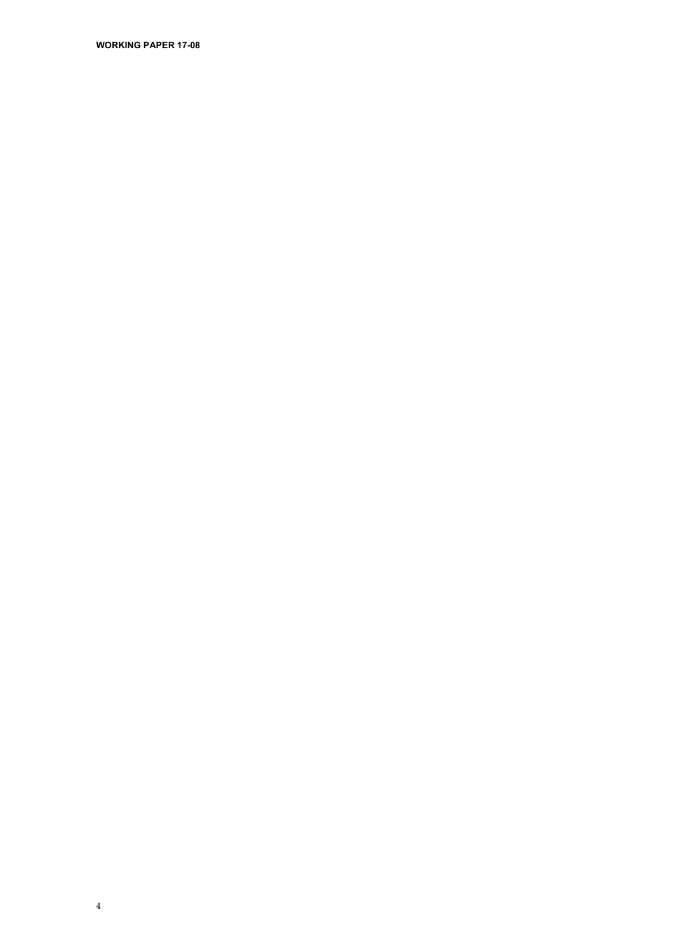**WORKING PAPER 17-08**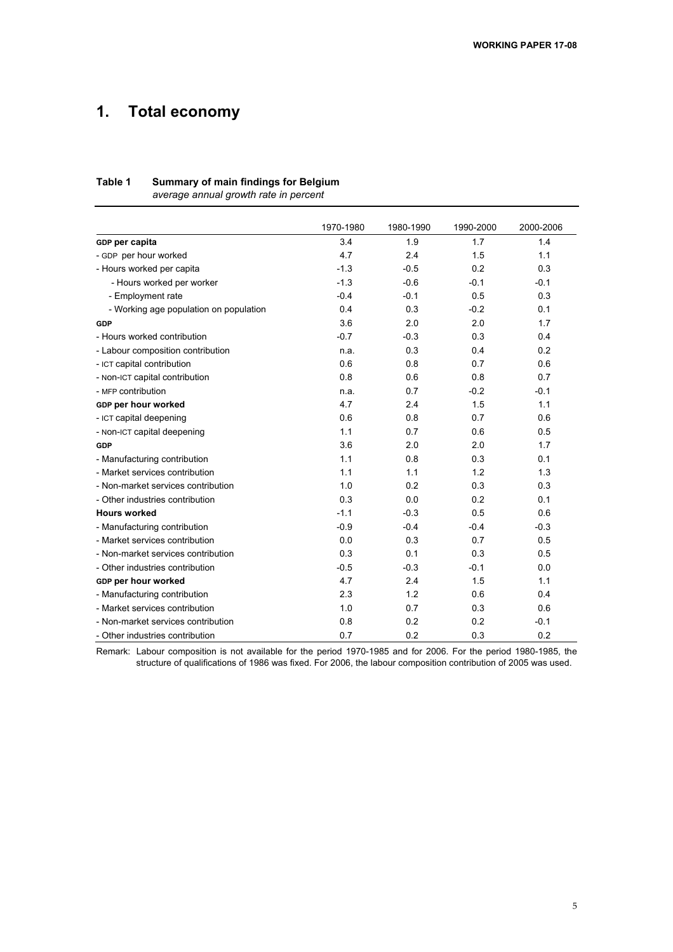# **1. Total economy**

## **Table 1 Summary of main findings for Belgium**

*average annual growth rate in percent* 

|                                        | 1970-1980 | 1980-1990 | 1990-2000 | 2000-2006 |
|----------------------------------------|-----------|-----------|-----------|-----------|
| GDP per capita                         | 3.4       | 1.9       | 1.7       | 1.4       |
| - GDP per hour worked                  | 4.7       | 2.4       | 1.5       | 1.1       |
| - Hours worked per capita              | $-1.3$    | $-0.5$    | 0.2       | 0.3       |
| - Hours worked per worker              | $-1.3$    | $-0.6$    | $-0.1$    | $-0.1$    |
| - Employment rate                      | $-0.4$    | $-0.1$    | 0.5       | 0.3       |
| - Working age population on population | 0.4       | 0.3       | $-0.2$    | 0.1       |
| GDP                                    | 3.6       | 2.0       | 2.0       | 1.7       |
| - Hours worked contribution            | $-0.7$    | $-0.3$    | 0.3       | 0.4       |
| - Labour composition contribution      | n.a.      | 0.3       | 0.4       | 0.2       |
| - ICT capital contribution             | 0.6       | 0.8       | 0.7       | 0.6       |
| - NON-ICT capital contribution         | 0.8       | 0.6       | 0.8       | 0.7       |
| - MFP contribution                     | n.a.      | 0.7       | $-0.2$    | $-0.1$    |
| GDP per hour worked                    | 4.7       | 2.4       | 1.5       | 1.1       |
| - ICT capital deepening                | 0.6       | 0.8       | 0.7       | 0.6       |
| - NON-ICT capital deepening            | 1.1       | 0.7       | 0.6       | 0.5       |
| GDP                                    | 3.6       | 2.0       | 2.0       | 1.7       |
| - Manufacturing contribution           | 1.1       | 0.8       | 0.3       | 0.1       |
| - Market services contribution         | 1.1       | 1.1       | 1.2       | 1.3       |
| - Non-market services contribution     | 1.0       | 0.2       | 0.3       | 0.3       |
| - Other industries contribution        | 0.3       | 0.0       | 0.2       | 0.1       |
| <b>Hours worked</b>                    | $-1.1$    | $-0.3$    | 0.5       | 0.6       |
| - Manufacturing contribution           | $-0.9$    | $-0.4$    | $-0.4$    | $-0.3$    |
| - Market services contribution         | 0.0       | 0.3       | 0.7       | 0.5       |
| - Non-market services contribution     | 0.3       | 0.1       | 0.3       | 0.5       |
| - Other industries contribution        | $-0.5$    | $-0.3$    | $-0.1$    | 0.0       |
| GDP per hour worked                    | 4.7       | 2.4       | 1.5       | 1.1       |
| - Manufacturing contribution           | 2.3       | 1.2       | 0.6       | 0.4       |
| - Market services contribution         | 1.0       | 0.7       | 0.3       | 0.6       |
| - Non-market services contribution     | 0.8       | 0.2       | 0.2       | $-0.1$    |
| - Other industries contribution        | 0.7       | 0.2       | 0.3       | 0.2       |

Remark: Labour composition is not available for the period 1970-1985 and for 2006. For the period 1980-1985, the structure of qualifications of 1986 was fixed. For 2006, the labour composition contribution of 2005 was used.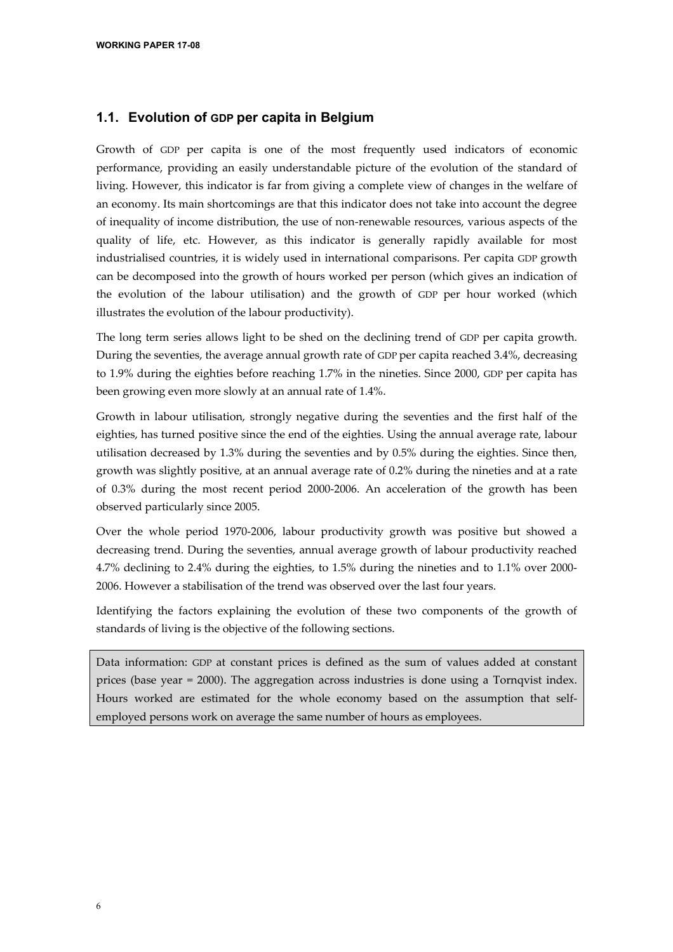## **1.1. Evolution of GDP per capita in Belgium**

Growth of GDP per capita is one of the most frequently used indicators of economic performance, providing an easily understandable picture of the evolution of the standard of living. However, this indicator is far from giving a complete view of changes in the welfare of an economy. Its main shortcomings are that this indicator does not take into account the degree of inequality of income distribution, the use of non-renewable resources, various aspects of the quality of life, etc. However, as this indicator is generally rapidly available for most industrialised countries, it is widely used in international comparisons. Per capita GDP growth can be decomposed into the growth of hours worked per person (which gives an indication of the evolution of the labour utilisation) and the growth of GDP per hour worked (which illustrates the evolution of the labour productivity).

The long term series allows light to be shed on the declining trend of GDP per capita growth. During the seventies, the average annual growth rate of GDP per capita reached 3.4%, decreasing to 1.9% during the eighties before reaching 1.7% in the nineties. Since 2000, GDP per capita has been growing even more slowly at an annual rate of 1.4%.

Growth in labour utilisation, strongly negative during the seventies and the first half of the eighties, has turned positive since the end of the eighties. Using the annual average rate, labour utilisation decreased by 1.3% during the seventies and by 0.5% during the eighties. Since then, growth was slightly positive, at an annual average rate of 0.2% during the nineties and at a rate of 0.3% during the most recent period 2000-2006. An acceleration of the growth has been observed particularly since 2005.

Over the whole period 1970-2006, labour productivity growth was positive but showed a decreasing trend. During the seventies, annual average growth of labour productivity reached 4.7% declining to 2.4% during the eighties, to 1.5% during the nineties and to 1.1% over 2000- 2006. However a stabilisation of the trend was observed over the last four years.

Identifying the factors explaining the evolution of these two components of the growth of standards of living is the objective of the following sections.

Data information: GDP at constant prices is defined as the sum of values added at constant prices (base year = 2000). The aggregation across industries is done using a Tornqvist index. Hours worked are estimated for the whole economy based on the assumption that selfemployed persons work on average the same number of hours as employees.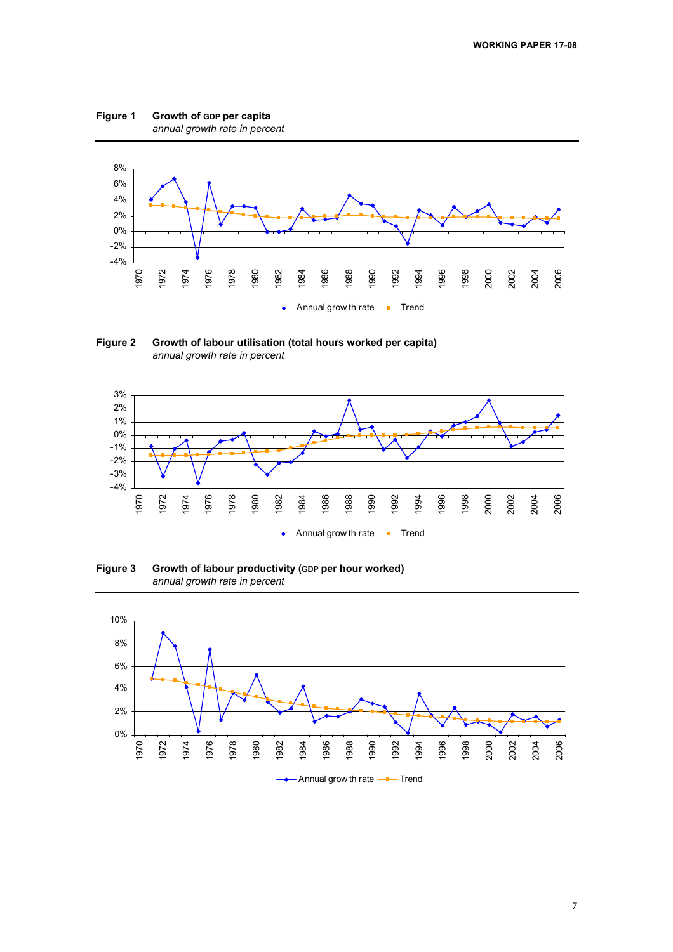

**Figure 2 Growth of labour utilisation (total hours worked per capita)**  *annual growth rate in percent*



**Figure 3 Growth of labour productivity (GDP per hour worked)**  *annual growth rate in percent*

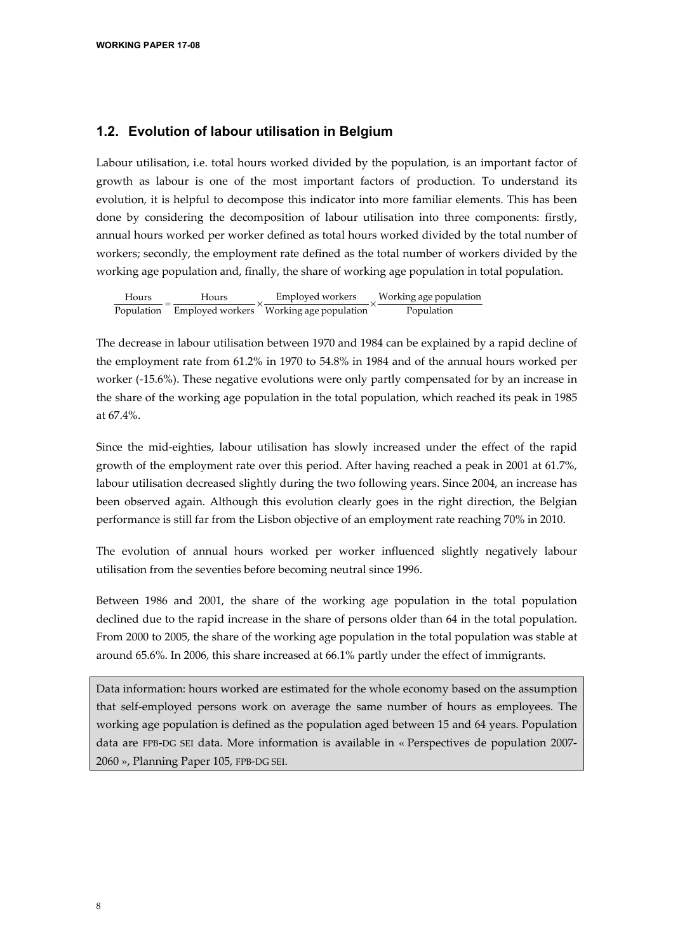## **1.2. Evolution of labour utilisation in Belgium**

Labour utilisation, i.e. total hours worked divided by the population, is an important factor of growth as labour is one of the most important factors of production. To understand its evolution, it is helpful to decompose this indicator into more familiar elements. This has been done by considering the decomposition of labour utilisation into three components: firstly, annual hours worked per worker defined as total hours worked divided by the total number of workers; secondly, the employment rate defined as the total number of workers divided by the working age population and, finally, the share of working age population in total population.

Population Working age population  $\frac{\text{Hours}}{\text{imployed workers}} \times \frac{\text{Employee workers}}{\text{Working age population}} \times$ Employed workers Hours Population

The decrease in labour utilisation between 1970 and 1984 can be explained by a rapid decline of the employment rate from 61.2% in 1970 to 54.8% in 1984 and of the annual hours worked per worker (-15.6%). These negative evolutions were only partly compensated for by an increase in the share of the working age population in the total population, which reached its peak in 1985 at 67.4%.

Since the mid-eighties, labour utilisation has slowly increased under the effect of the rapid growth of the employment rate over this period. After having reached a peak in 2001 at 61.7%, labour utilisation decreased slightly during the two following years. Since 2004, an increase has been observed again. Although this evolution clearly goes in the right direction, the Belgian performance is still far from the Lisbon objective of an employment rate reaching 70% in 2010.

The evolution of annual hours worked per worker influenced slightly negatively labour utilisation from the seventies before becoming neutral since 1996.

Between 1986 and 2001, the share of the working age population in the total population declined due to the rapid increase in the share of persons older than 64 in the total population. From 2000 to 2005, the share of the working age population in the total population was stable at around 65.6%. In 2006, this share increased at 66.1% partly under the effect of immigrants.

Data information: hours worked are estimated for the whole economy based on the assumption that self-employed persons work on average the same number of hours as employees. The working age population is defined as the population aged between 15 and 64 years. Population data are FPB-DG SEI data. More information is available in « Perspectives de population 2007- 2060 », Planning Paper 105, FPB-DG SEI.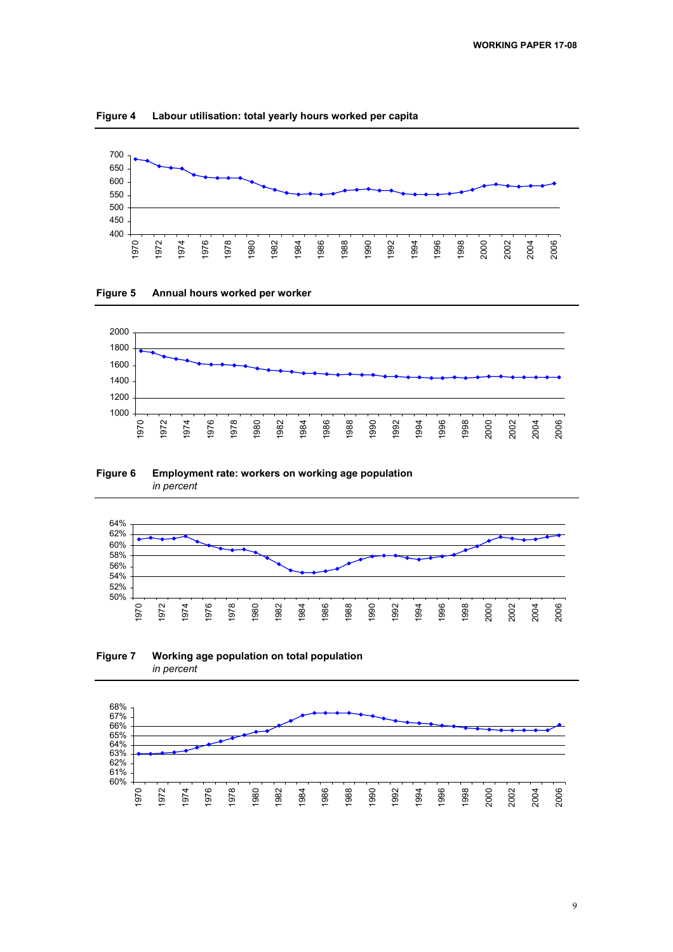













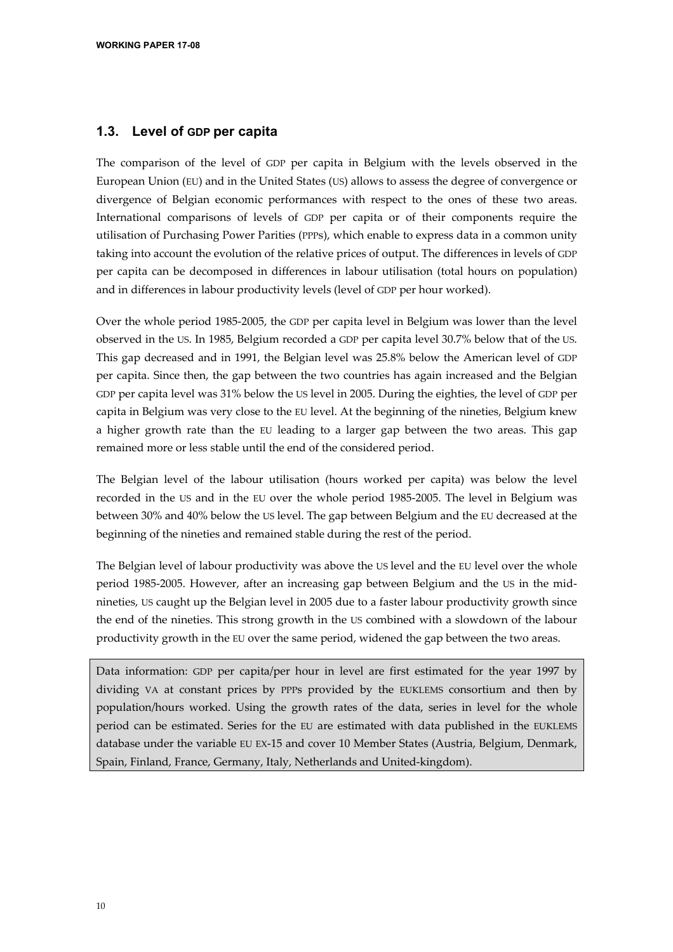## **1.3. Level of GDP per capita**

The comparison of the level of GDP per capita in Belgium with the levels observed in the European Union (EU) and in the United States (US) allows to assess the degree of convergence or divergence of Belgian economic performances with respect to the ones of these two areas. International comparisons of levels of GDP per capita or of their components require the utilisation of Purchasing Power Parities (PPPs), which enable to express data in a common unity taking into account the evolution of the relative prices of output. The differences in levels of GDP per capita can be decomposed in differences in labour utilisation (total hours on population) and in differences in labour productivity levels (level of GDP per hour worked).

Over the whole period 1985-2005, the GDP per capita level in Belgium was lower than the level observed in the US. In 1985, Belgium recorded a GDP per capita level 30.7% below that of the US. This gap decreased and in 1991, the Belgian level was 25.8% below the American level of GDP per capita. Since then, the gap between the two countries has again increased and the Belgian GDP per capita level was 31% below the US level in 2005. During the eighties, the level of GDP per capita in Belgium was very close to the EU level. At the beginning of the nineties, Belgium knew a higher growth rate than the EU leading to a larger gap between the two areas. This gap remained more or less stable until the end of the considered period.

The Belgian level of the labour utilisation (hours worked per capita) was below the level recorded in the US and in the EU over the whole period 1985-2005. The level in Belgium was between 30% and 40% below the US level. The gap between Belgium and the EU decreased at the beginning of the nineties and remained stable during the rest of the period.

The Belgian level of labour productivity was above the US level and the EU level over the whole period 1985-2005. However, after an increasing gap between Belgium and the US in the midnineties, US caught up the Belgian level in 2005 due to a faster labour productivity growth since the end of the nineties. This strong growth in the US combined with a slowdown of the labour productivity growth in the EU over the same period, widened the gap between the two areas.

Data information: GDP per capita/per hour in level are first estimated for the year 1997 by dividing VA at constant prices by PPPs provided by the EUKLEMS consortium and then by population/hours worked. Using the growth rates of the data, series in level for the whole period can be estimated. Series for the EU are estimated with data published in the EUKLEMS database under the variable EU EX-15 and cover 10 Member States (Austria, Belgium, Denmark, Spain, Finland, France, Germany, Italy, Netherlands and United-kingdom).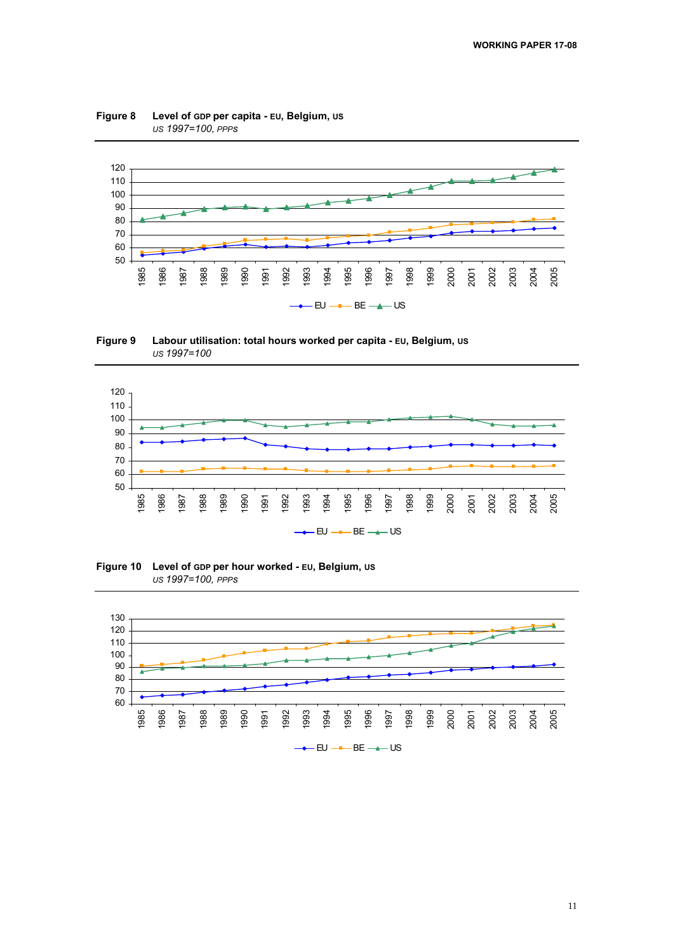

**Figure 8 Level of GDP per capita - EU, Belgium, US** *US 1997=100, PPPs* 

**Figure 9 Labour utilisation: total hours worked per capita - EU, Belgium, US** *US 1997=100*



**Figure 10 Level of GDP per hour worked - EU, Belgium, US** *US 1997=100, PPPs*

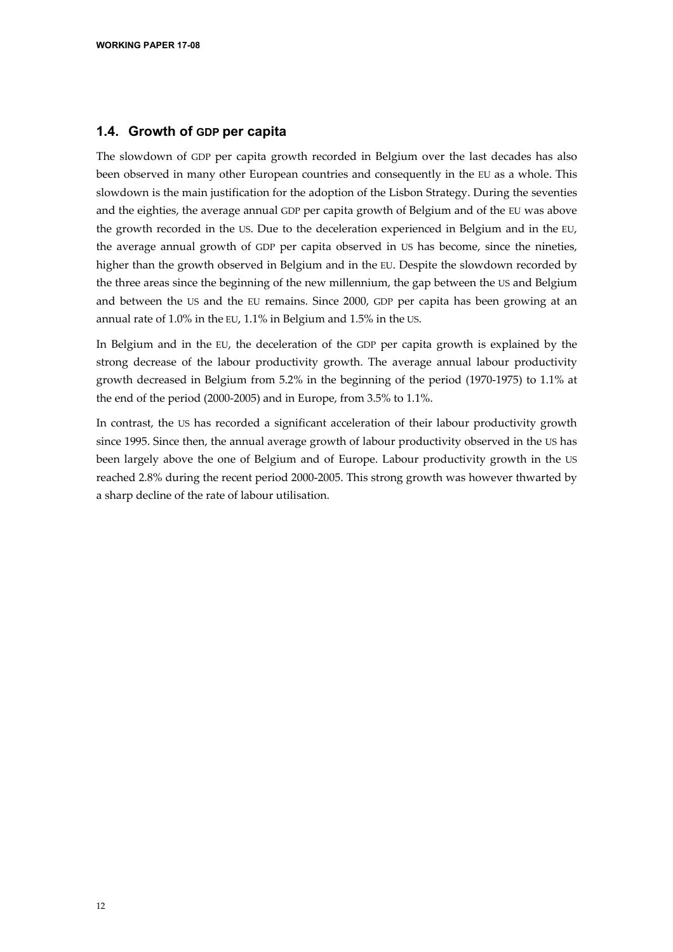## **1.4. Growth of GDP per capita**

The slowdown of GDP per capita growth recorded in Belgium over the last decades has also been observed in many other European countries and consequently in the EU as a whole. This slowdown is the main justification for the adoption of the Lisbon Strategy. During the seventies and the eighties, the average annual GDP per capita growth of Belgium and of the EU was above the growth recorded in the US. Due to the deceleration experienced in Belgium and in the EU, the average annual growth of GDP per capita observed in US has become, since the nineties, higher than the growth observed in Belgium and in the EU. Despite the slowdown recorded by the three areas since the beginning of the new millennium, the gap between the US and Belgium and between the US and the EU remains. Since 2000, GDP per capita has been growing at an annual rate of 1.0% in the EU, 1.1% in Belgium and 1.5% in the US.

In Belgium and in the EU, the deceleration of the GDP per capita growth is explained by the strong decrease of the labour productivity growth. The average annual labour productivity growth decreased in Belgium from 5.2% in the beginning of the period (1970-1975) to 1.1% at the end of the period (2000-2005) and in Europe, from 3.5% to 1.1%.

In contrast, the US has recorded a significant acceleration of their labour productivity growth since 1995. Since then, the annual average growth of labour productivity observed in the US has been largely above the one of Belgium and of Europe. Labour productivity growth in the US reached 2.8% during the recent period 2000-2005. This strong growth was however thwarted by a sharp decline of the rate of labour utilisation.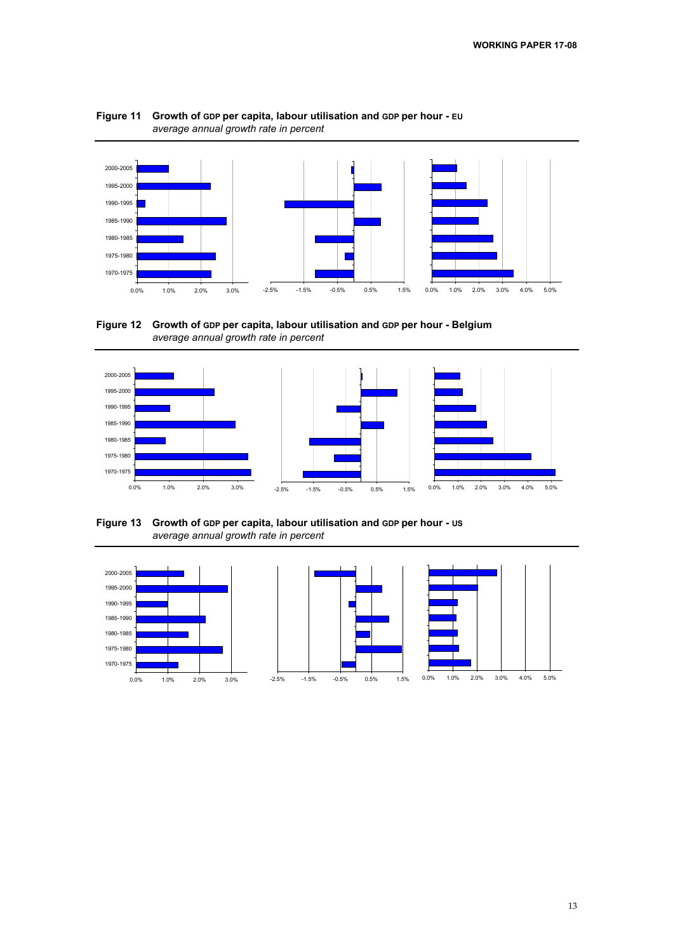







**Figure 13 Growth of GDP per capita, labour utilisation and GDP per hour - US** *average annual growth rate in percent*

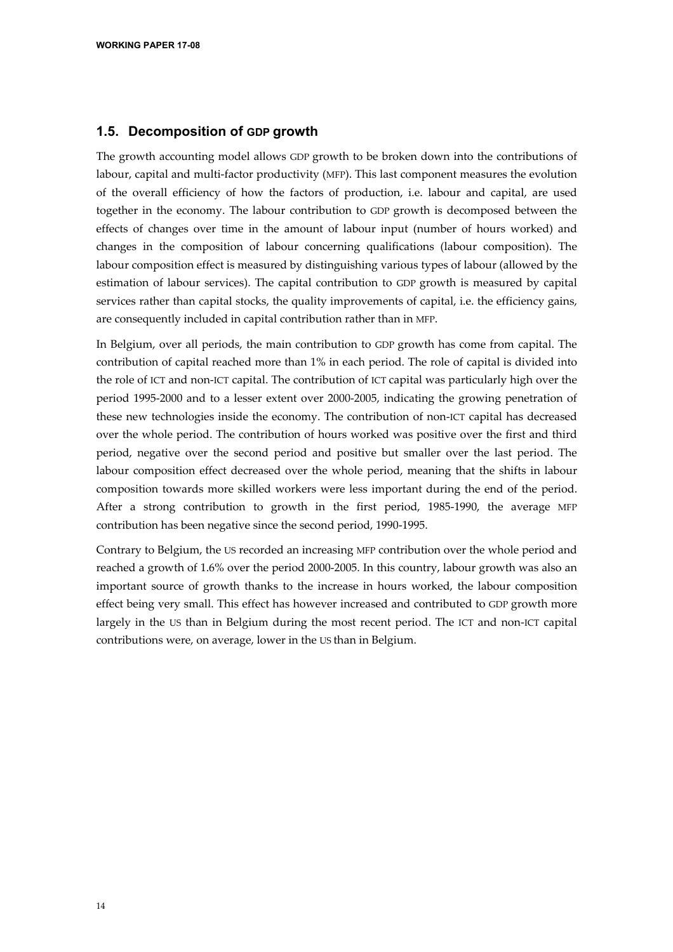## **1.5. Decomposition of GDP growth**

The growth accounting model allows GDP growth to be broken down into the contributions of labour, capital and multi-factor productivity (MFP). This last component measures the evolution of the overall efficiency of how the factors of production, i.e. labour and capital, are used together in the economy. The labour contribution to GDP growth is decomposed between the effects of changes over time in the amount of labour input (number of hours worked) and changes in the composition of labour concerning qualifications (labour composition). The labour composition effect is measured by distinguishing various types of labour (allowed by the estimation of labour services). The capital contribution to GDP growth is measured by capital services rather than capital stocks, the quality improvements of capital, i.e. the efficiency gains, are consequently included in capital contribution rather than in MFP.

In Belgium, over all periods, the main contribution to GDP growth has come from capital. The contribution of capital reached more than 1% in each period. The role of capital is divided into the role of ICT and non-ICT capital. The contribution of ICT capital was particularly high over the period 1995-2000 and to a lesser extent over 2000-2005, indicating the growing penetration of these new technologies inside the economy. The contribution of non-ICT capital has decreased over the whole period. The contribution of hours worked was positive over the first and third period, negative over the second period and positive but smaller over the last period. The labour composition effect decreased over the whole period, meaning that the shifts in labour composition towards more skilled workers were less important during the end of the period. After a strong contribution to growth in the first period, 1985-1990, the average MFP contribution has been negative since the second period, 1990-1995.

Contrary to Belgium, the US recorded an increasing MFP contribution over the whole period and reached a growth of 1.6% over the period 2000-2005. In this country, labour growth was also an important source of growth thanks to the increase in hours worked, the labour composition effect being very small. This effect has however increased and contributed to GDP growth more largely in the US than in Belgium during the most recent period. The ICT and non-ICT capital contributions were, on average, lower in the US than in Belgium.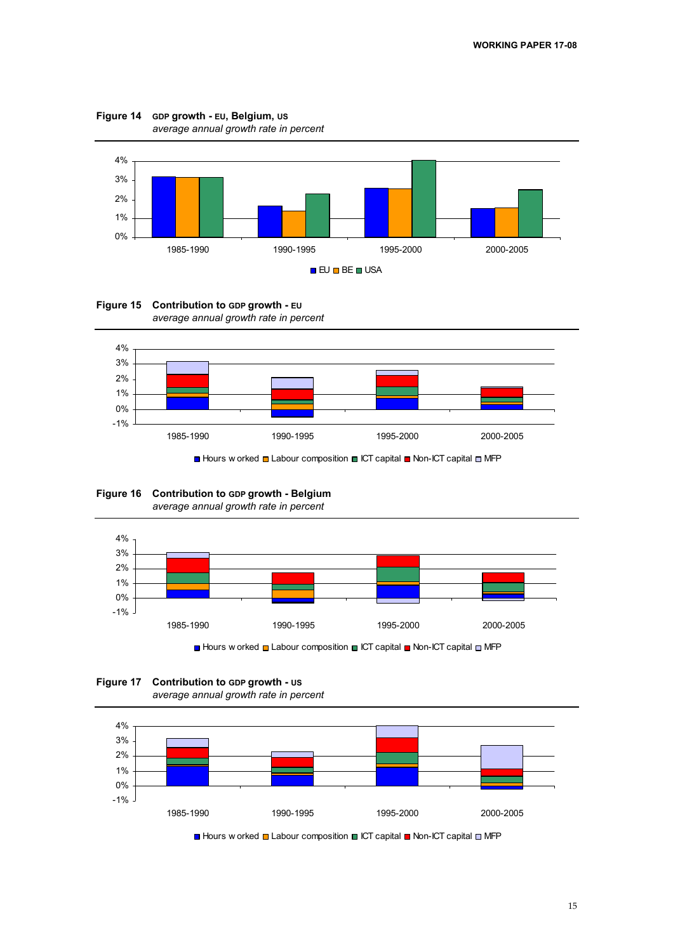















 $\Box$  Hours w orked  $\Box$  Labour composition  $\Box$  ICT capital  $\Box$  Non-ICT capital  $\Box$  MFP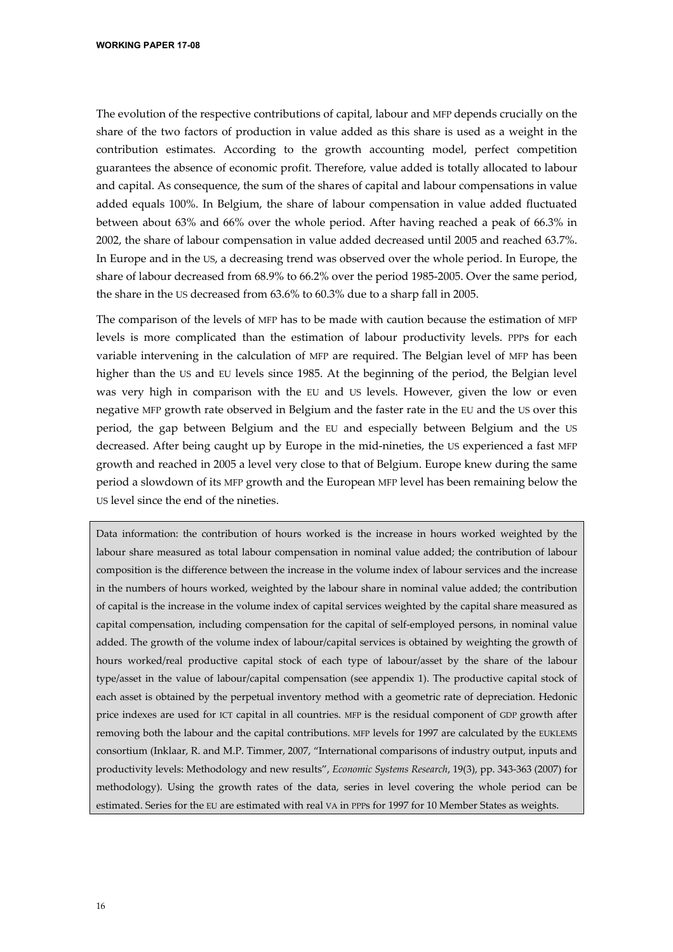**WORKING PAPER 17-08** 

The evolution of the respective contributions of capital, labour and MFP depends crucially on the share of the two factors of production in value added as this share is used as a weight in the contribution estimates. According to the growth accounting model, perfect competition guarantees the absence of economic profit. Therefore, value added is totally allocated to labour and capital. As consequence, the sum of the shares of capital and labour compensations in value added equals 100%. In Belgium, the share of labour compensation in value added fluctuated between about 63% and 66% over the whole period. After having reached a peak of 66.3% in 2002, the share of labour compensation in value added decreased until 2005 and reached 63.7%. In Europe and in the US, a decreasing trend was observed over the whole period. In Europe, the share of labour decreased from 68.9% to 66.2% over the period 1985-2005. Over the same period, the share in the US decreased from 63.6% to 60.3% due to a sharp fall in 2005.

The comparison of the levels of MFP has to be made with caution because the estimation of MFP levels is more complicated than the estimation of labour productivity levels. PPPs for each variable intervening in the calculation of MFP are required. The Belgian level of MFP has been higher than the US and EU levels since 1985. At the beginning of the period, the Belgian level was very high in comparison with the EU and US levels. However, given the low or even negative MFP growth rate observed in Belgium and the faster rate in the EU and the US over this period, the gap between Belgium and the EU and especially between Belgium and the US decreased. After being caught up by Europe in the mid-nineties, the US experienced a fast MFP growth and reached in 2005 a level very close to that of Belgium. Europe knew during the same period a slowdown of its MFP growth and the European MFP level has been remaining below the US level since the end of the nineties.

Data information: the contribution of hours worked is the increase in hours worked weighted by the labour share measured as total labour compensation in nominal value added; the contribution of labour composition is the difference between the increase in the volume index of labour services and the increase in the numbers of hours worked, weighted by the labour share in nominal value added; the contribution of capital is the increase in the volume index of capital services weighted by the capital share measured as capital compensation, including compensation for the capital of self-employed persons, in nominal value added. The growth of the volume index of labour/capital services is obtained by weighting the growth of hours worked/real productive capital stock of each type of labour/asset by the share of the labour type/asset in the value of labour/capital compensation (see appendix 1). The productive capital stock of each asset is obtained by the perpetual inventory method with a geometric rate of depreciation. Hedonic price indexes are used for ICT capital in all countries. MFP is the residual component of GDP growth after removing both the labour and the capital contributions. MFP levels for 1997 are calculated by the EUKLEMS consortium (Inklaar, R. and M.P. Timmer, 2007, "International comparisons of industry output, inputs and productivity levels: Methodology and new results", *Economic Systems Research*, 19(3), pp. 343-363 (2007) for methodology). Using the growth rates of the data, series in level covering the whole period can be estimated. Series for the EU are estimated with real VA in PPPs for 1997 for 10 Member States as weights.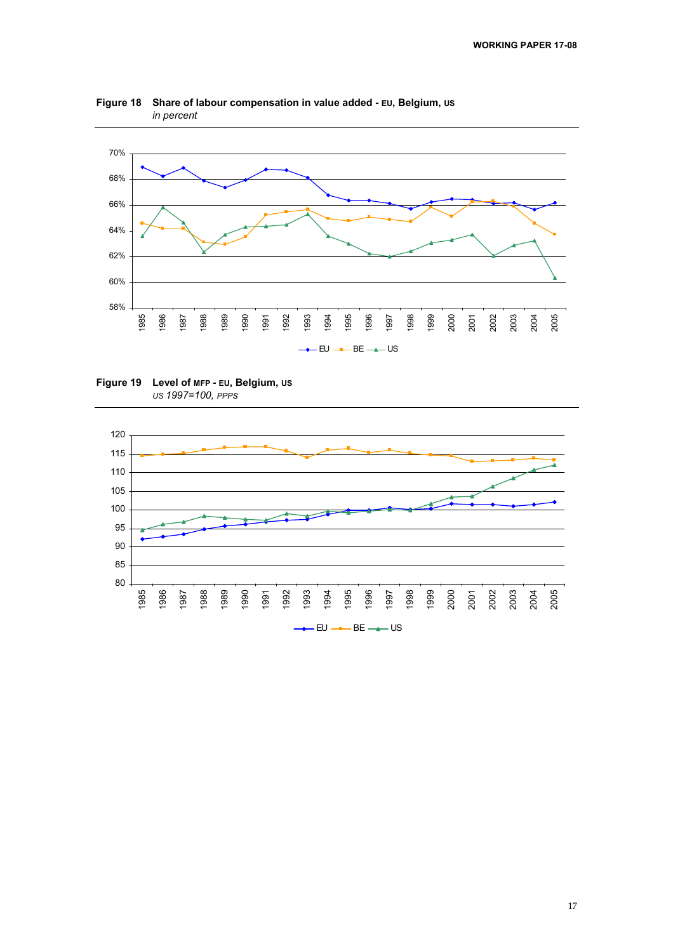

**Figure 18 Share of labour compensation in value added - EU, Belgium, US**  *in percent*



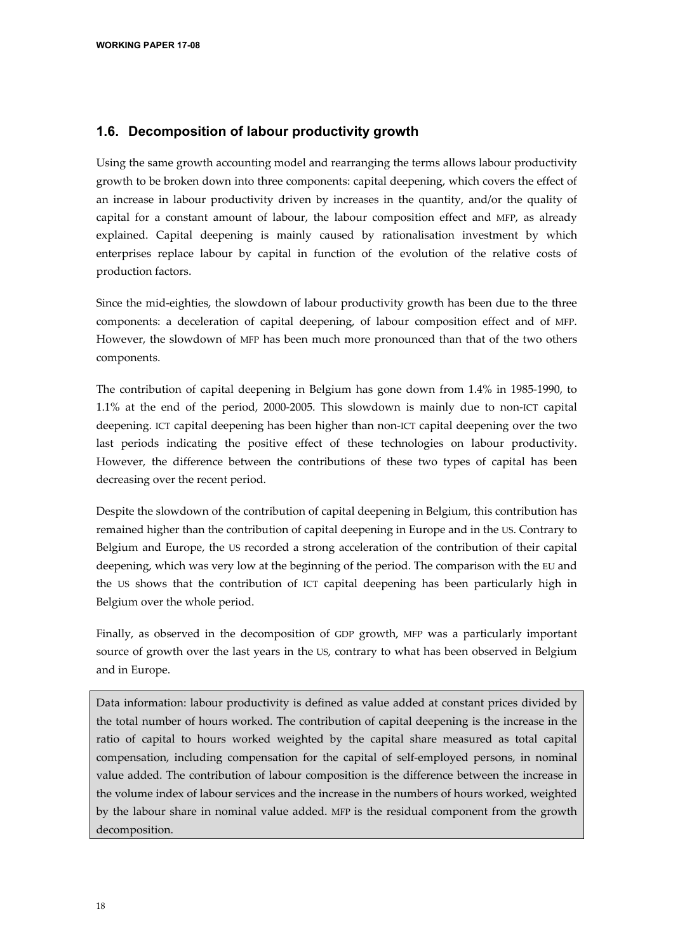## **1.6. Decomposition of labour productivity growth**

Using the same growth accounting model and rearranging the terms allows labour productivity growth to be broken down into three components: capital deepening, which covers the effect of an increase in labour productivity driven by increases in the quantity, and/or the quality of capital for a constant amount of labour, the labour composition effect and MFP, as already explained. Capital deepening is mainly caused by rationalisation investment by which enterprises replace labour by capital in function of the evolution of the relative costs of production factors.

Since the mid-eighties, the slowdown of labour productivity growth has been due to the three components: a deceleration of capital deepening, of labour composition effect and of MFP. However, the slowdown of MFP has been much more pronounced than that of the two others components.

The contribution of capital deepening in Belgium has gone down from 1.4% in 1985-1990, to 1.1% at the end of the period, 2000-2005. This slowdown is mainly due to non-ICT capital deepening. ICT capital deepening has been higher than non-ICT capital deepening over the two last periods indicating the positive effect of these technologies on labour productivity. However, the difference between the contributions of these two types of capital has been decreasing over the recent period.

Despite the slowdown of the contribution of capital deepening in Belgium, this contribution has remained higher than the contribution of capital deepening in Europe and in the US. Contrary to Belgium and Europe, the US recorded a strong acceleration of the contribution of their capital deepening, which was very low at the beginning of the period. The comparison with the EU and the US shows that the contribution of ICT capital deepening has been particularly high in Belgium over the whole period.

Finally, as observed in the decomposition of GDP growth, MFP was a particularly important source of growth over the last years in the US, contrary to what has been observed in Belgium and in Europe.

Data information: labour productivity is defined as value added at constant prices divided by the total number of hours worked. The contribution of capital deepening is the increase in the ratio of capital to hours worked weighted by the capital share measured as total capital compensation, including compensation for the capital of self-employed persons, in nominal value added. The contribution of labour composition is the difference between the increase in the volume index of labour services and the increase in the numbers of hours worked, weighted by the labour share in nominal value added. MFP is the residual component from the growth decomposition.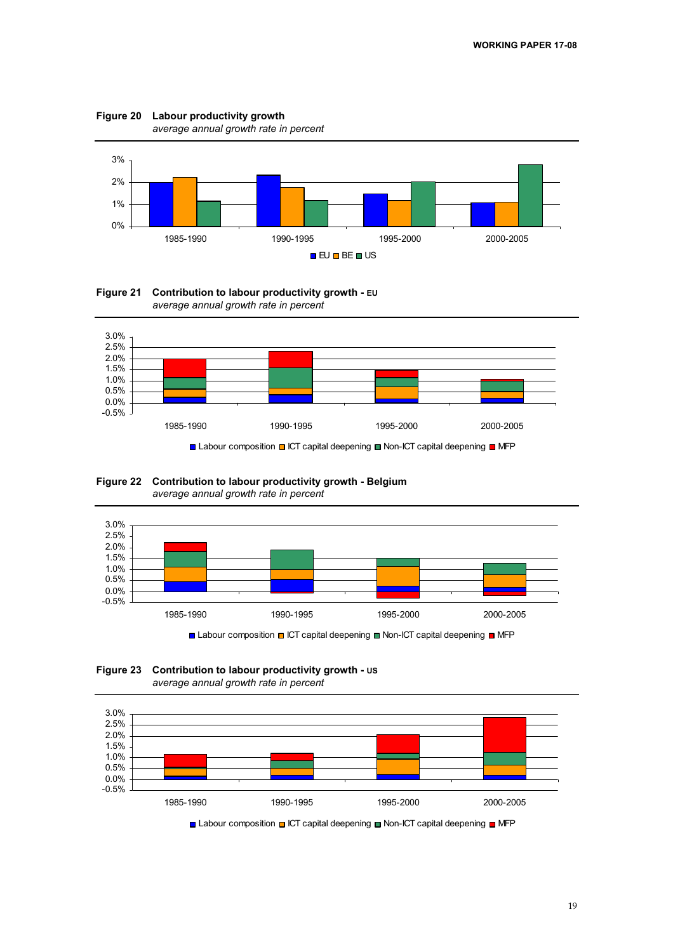







**Figure 22 Contribution to labour productivity growth - Belgium** *average annual growth rate in percent*



**Figure 23 Contribution to labour productivity growth - US**  *average annual growth rate in percent*



Labour composition  $\Box$  ICT capital deepening  $\Box$  Non-ICT capital deepening  $\Box$  MFP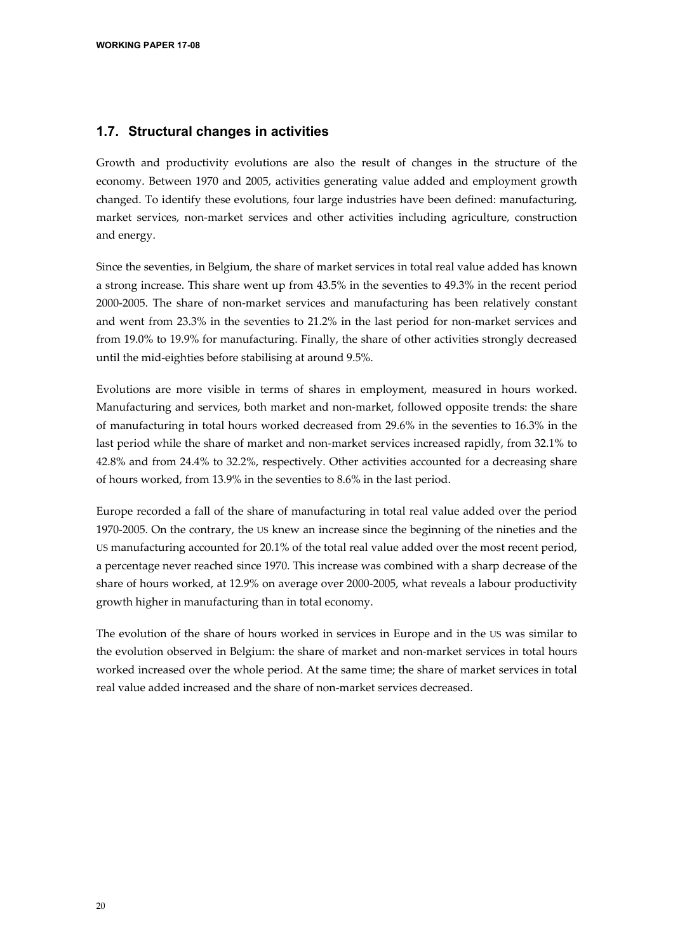## **1.7. Structural changes in activities**

Growth and productivity evolutions are also the result of changes in the structure of the economy. Between 1970 and 2005, activities generating value added and employment growth changed. To identify these evolutions, four large industries have been defined: manufacturing, market services, non-market services and other activities including agriculture, construction and energy.

Since the seventies, in Belgium, the share of market services in total real value added has known a strong increase. This share went up from 43.5% in the seventies to 49.3% in the recent period 2000-2005. The share of non-market services and manufacturing has been relatively constant and went from 23.3% in the seventies to 21.2% in the last period for non-market services and from 19.0% to 19.9% for manufacturing. Finally, the share of other activities strongly decreased until the mid-eighties before stabilising at around 9.5%.

Evolutions are more visible in terms of shares in employment, measured in hours worked. Manufacturing and services, both market and non-market, followed opposite trends: the share of manufacturing in total hours worked decreased from 29.6% in the seventies to 16.3% in the last period while the share of market and non-market services increased rapidly, from 32.1% to 42.8% and from 24.4% to 32.2%, respectively. Other activities accounted for a decreasing share of hours worked, from 13.9% in the seventies to 8.6% in the last period.

Europe recorded a fall of the share of manufacturing in total real value added over the period 1970-2005. On the contrary, the US knew an increase since the beginning of the nineties and the US manufacturing accounted for 20.1% of the total real value added over the most recent period, a percentage never reached since 1970. This increase was combined with a sharp decrease of the share of hours worked, at 12.9% on average over 2000-2005, what reveals a labour productivity growth higher in manufacturing than in total economy.

The evolution of the share of hours worked in services in Europe and in the US was similar to the evolution observed in Belgium: the share of market and non-market services in total hours worked increased over the whole period. At the same time; the share of market services in total real value added increased and the share of non-market services decreased.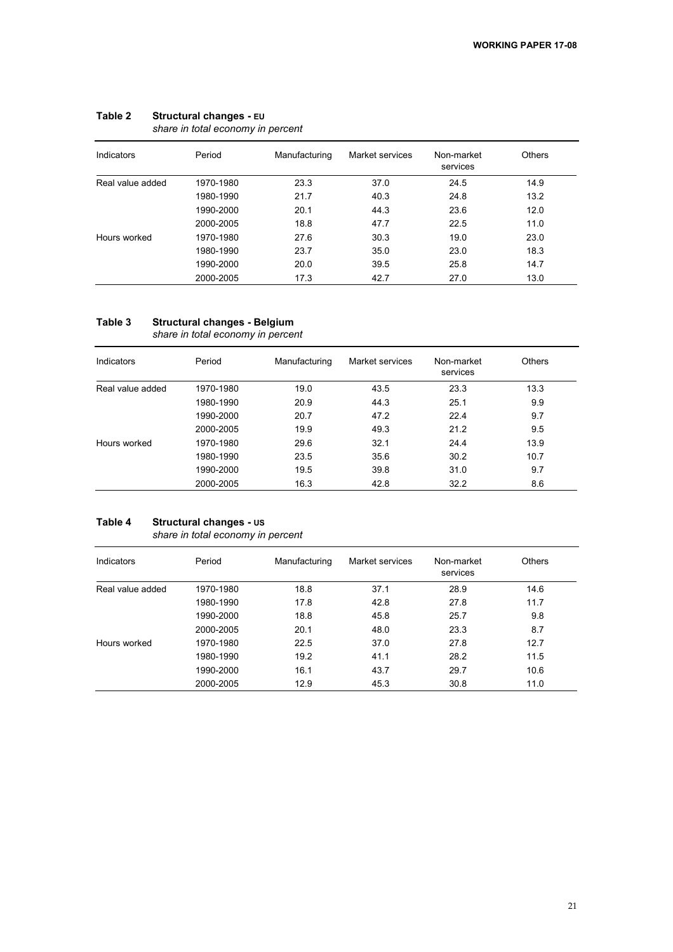| snare in total economy in percent |           |               |                 |                        |               |  |
|-----------------------------------|-----------|---------------|-----------------|------------------------|---------------|--|
| Indicators                        | Period    | Manufacturing | Market services | Non-market<br>services | <b>Others</b> |  |
| Real value added                  | 1970-1980 | 23.3          | 37.0            | 24.5                   | 14.9          |  |
|                                   | 1980-1990 | 21.7          | 40.3            | 24.8                   | 13.2          |  |
|                                   | 1990-2000 | 20.1          | 44.3            | 23.6                   | 12.0          |  |
|                                   | 2000-2005 | 18.8          | 47.7            | 22.5                   | 11.0          |  |
| Hours worked                      | 1970-1980 | 27.6          | 30.3            | 19.0                   | 23.0          |  |
|                                   | 1980-1990 | 23.7          | 35.0            | 23.0                   | 18.3          |  |
|                                   | 1990-2000 | 20.0          | 39.5            | 25.8                   | 14.7          |  |
|                                   | 2000-2005 | 17.3          | 42.7            | 27.0                   | 13.0          |  |

#### **Table 2 Structural changes - EU**

*share in total economy in percent* 

#### **Table 3 Structural changes - Belgium**  *share in total economy in percent*

| Period<br>Indicators |           | Manufacturing | Market services | Non-market<br>services | <b>Others</b> |  |
|----------------------|-----------|---------------|-----------------|------------------------|---------------|--|
| Real value added     | 1970-1980 | 19.0          | 43.5            | 23.3                   | 13.3          |  |
|                      | 1980-1990 | 20.9          | 44.3            | 25.1                   | 9.9           |  |
|                      | 1990-2000 | 20.7          | 47.2            | 22.4                   | 9.7           |  |
|                      | 2000-2005 | 19.9          | 49.3            | 21.2                   | 9.5           |  |
| Hours worked         | 1970-1980 | 29.6          | 32.1            | 24.4                   | 13.9          |  |
|                      | 1980-1990 | 23.5          | 35.6            | 30.2                   | 10.7          |  |
|                      | 1990-2000 | 19.5          | 39.8            | 31.0                   | 9.7           |  |
|                      | 2000-2005 | 16.3          | 42.8            | 32.2                   | 8.6           |  |

## **Table 4 Structural changes - US**

*share in total economy in percent* 

| Period<br>Indicators |           | Manufacturing | Market services | Non-market<br>services | <b>Others</b> |
|----------------------|-----------|---------------|-----------------|------------------------|---------------|
| Real value added     | 1970-1980 | 18.8          | 37.1            | 28.9                   | 14.6          |
|                      | 1980-1990 | 17.8          | 42.8            | 27.8                   | 11.7          |
|                      | 1990-2000 | 18.8          | 45.8            | 25.7                   | 9.8           |
|                      | 2000-2005 | 20.1          | 48.0            | 23.3                   | 8.7           |
| Hours worked         | 1970-1980 | 22.5          | 37.0            | 27.8                   | 12.7          |
|                      | 1980-1990 | 19.2          | 41.1            | 28.2                   | 11.5          |
|                      | 1990-2000 | 16.1          | 43.7            | 29.7                   | 10.6          |
|                      | 2000-2005 | 12.9          | 45.3            | 30.8                   | 11.0          |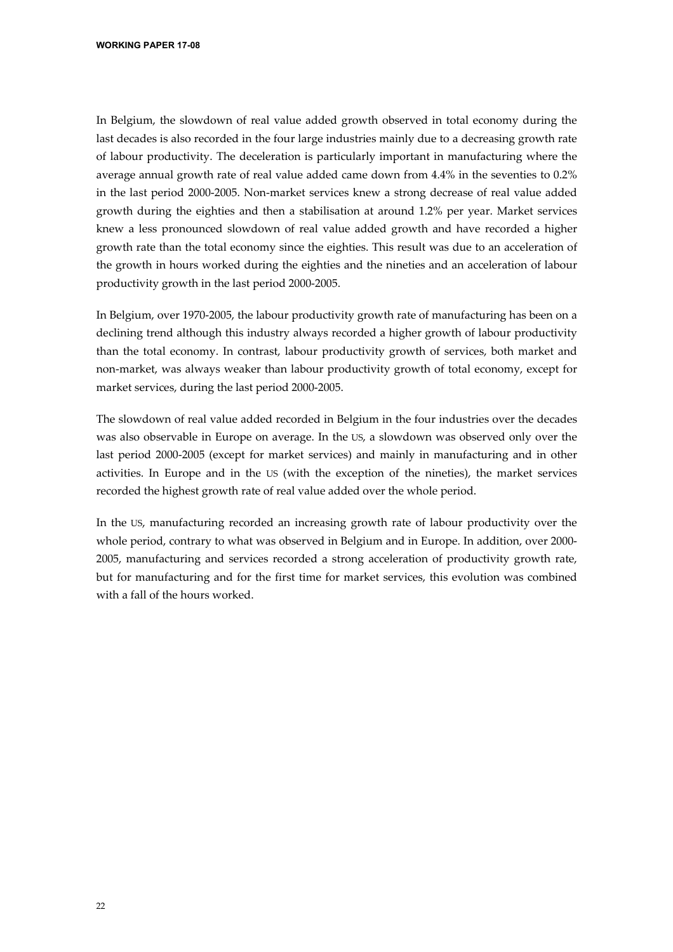**WORKING PAPER 17-08** 

In Belgium, the slowdown of real value added growth observed in total economy during the last decades is also recorded in the four large industries mainly due to a decreasing growth rate of labour productivity. The deceleration is particularly important in manufacturing where the average annual growth rate of real value added came down from 4.4% in the seventies to 0.2% in the last period 2000-2005. Non-market services knew a strong decrease of real value added growth during the eighties and then a stabilisation at around 1.2% per year. Market services knew a less pronounced slowdown of real value added growth and have recorded a higher growth rate than the total economy since the eighties. This result was due to an acceleration of the growth in hours worked during the eighties and the nineties and an acceleration of labour productivity growth in the last period 2000-2005.

In Belgium, over 1970-2005, the labour productivity growth rate of manufacturing has been on a declining trend although this industry always recorded a higher growth of labour productivity than the total economy. In contrast, labour productivity growth of services, both market and non-market, was always weaker than labour productivity growth of total economy, except for market services, during the last period 2000-2005.

The slowdown of real value added recorded in Belgium in the four industries over the decades was also observable in Europe on average. In the US, a slowdown was observed only over the last period 2000-2005 (except for market services) and mainly in manufacturing and in other activities. In Europe and in the US (with the exception of the nineties), the market services recorded the highest growth rate of real value added over the whole period.

In the US, manufacturing recorded an increasing growth rate of labour productivity over the whole period, contrary to what was observed in Belgium and in Europe. In addition, over 2000- 2005, manufacturing and services recorded a strong acceleration of productivity growth rate, but for manufacturing and for the first time for market services, this evolution was combined with a fall of the hours worked.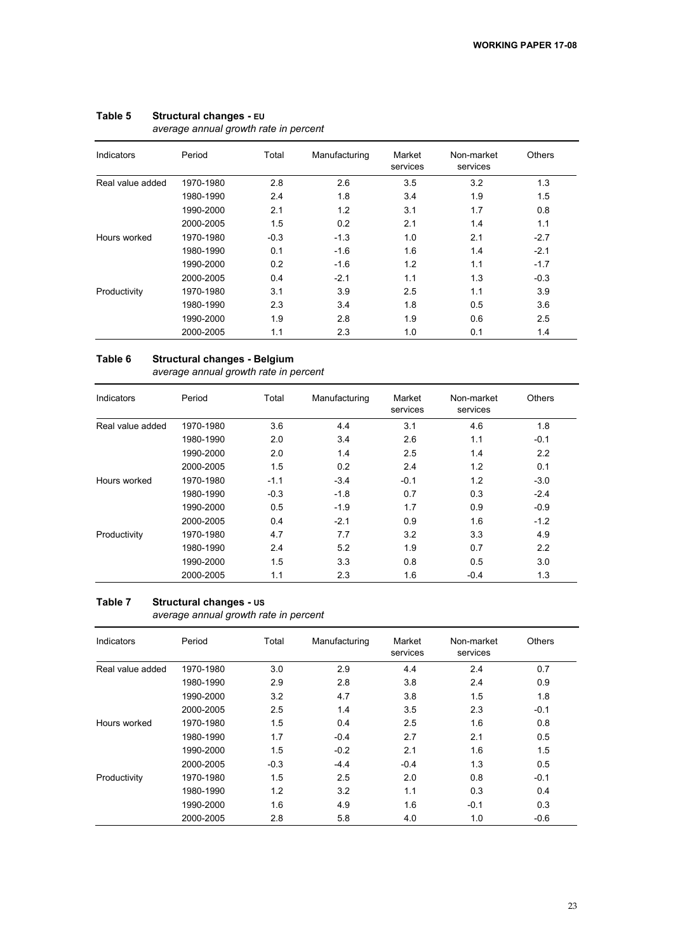| Indicators       | Period    | Total  | Manufacturing | Market<br>services | Non-market<br>services | <b>Others</b> |
|------------------|-----------|--------|---------------|--------------------|------------------------|---------------|
| Real value added | 1970-1980 | 2.8    | 2.6           | 3.5                | 3.2                    | 1.3           |
|                  | 1980-1990 | 2.4    | 1.8           | 3.4                | 1.9                    | 1.5           |
|                  | 1990-2000 | 2.1    | 1.2           | 3.1                | 1.7                    | 0.8           |
|                  | 2000-2005 | 1.5    | 0.2           | 2.1                | 1.4                    | 1.1           |
| Hours worked     | 1970-1980 | $-0.3$ | $-1.3$        | 1.0                | 2.1                    | $-2.7$        |
|                  | 1980-1990 | 0.1    | $-1.6$        | 1.6                | 1.4                    | $-2.1$        |
|                  | 1990-2000 | 0.2    | $-1.6$        | 1.2                | 1.1                    | $-1.7$        |
|                  | 2000-2005 | 0.4    | $-2.1$        | 1.1                | 1.3                    | $-0.3$        |
| Productivity     | 1970-1980 | 3.1    | 3.9           | 2.5                | 1.1                    | 3.9           |
|                  | 1980-1990 | 2.3    | 3.4           | 1.8                | 0.5                    | 3.6           |
|                  | 1990-2000 | 1.9    | 2.8           | 1.9                | 0.6                    | 2.5           |
|                  | 2000-2005 | 1.1    | 2.3           | 1.0                | 0.1                    | 1.4           |

### **Table 5 Structural changes - EU**

#### *average annual growth rate in percent*

#### **Table 6 Structural changes - Belgium**  *average annual growth rate in percent*

| Indicators       | Period    | Total  | Manufacturing | Market<br>services | Non-market<br>services | <b>Others</b>    |
|------------------|-----------|--------|---------------|--------------------|------------------------|------------------|
| Real value added | 1970-1980 | 3.6    | 4.4           | 3.1                | 4.6                    | 1.8              |
|                  | 1980-1990 | 2.0    | 3.4           | 2.6                | 1.1                    | $-0.1$           |
|                  | 1990-2000 | 2.0    | 1.4           | 2.5                | 1.4                    | $2.2\phantom{0}$ |
|                  | 2000-2005 | 1.5    | 0.2           | 2.4                | 1.2                    | 0.1              |
| Hours worked     | 1970-1980 | $-1.1$ | $-3.4$        | $-0.1$             | 1.2                    | $-3.0$           |
|                  | 1980-1990 | $-0.3$ | $-1.8$        | 0.7                | 0.3                    | $-2.4$           |
|                  | 1990-2000 | 0.5    | $-1.9$        | 1.7                | 0.9                    | $-0.9$           |
|                  | 2000-2005 | 0.4    | $-2.1$        | 0.9                | 1.6                    | $-1.2$           |
| Productivity     | 1970-1980 | 4.7    | 7.7           | 3.2                | 3.3                    | 4.9              |
|                  | 1980-1990 | 2.4    | 5.2           | 1.9                | 0.7                    | 2.2              |
|                  | 1990-2000 | 1.5    | 3.3           | 0.8                | 0.5                    | 3.0              |
|                  | 2000-2005 | 1.1    | 2.3           | 1.6                | $-0.4$                 | 1.3              |

#### **Table 7 Structural changes - US**

*average annual growth rate in percent*

| Indicators       | Period    | Total  | Manufacturing | Market<br>services | Non-market<br>services | Others |
|------------------|-----------|--------|---------------|--------------------|------------------------|--------|
| Real value added | 1970-1980 | 3.0    | 2.9           | 4.4                | 2.4                    | 0.7    |
|                  | 1980-1990 | 2.9    | 2.8           | 3.8                | 2.4                    | 0.9    |
|                  | 1990-2000 | 3.2    | 4.7           | 3.8                | 1.5                    | 1.8    |
|                  | 2000-2005 | 2.5    | 1.4           | 3.5                | 2.3                    | $-0.1$ |
| Hours worked     | 1970-1980 | 1.5    | 0.4           | 2.5                | 1.6                    | 0.8    |
|                  | 1980-1990 | 1.7    | $-0.4$        | 2.7                | 2.1                    | 0.5    |
|                  | 1990-2000 | 1.5    | $-0.2$        | 2.1                | 1.6                    | 1.5    |
|                  | 2000-2005 | $-0.3$ | $-4.4$        | $-0.4$             | 1.3                    | 0.5    |
| Productivity     | 1970-1980 | 1.5    | 2.5           | 2.0                | 0.8                    | $-0.1$ |
|                  | 1980-1990 | 1.2    | 3.2           | 1.1                | 0.3                    | 0.4    |
|                  | 1990-2000 | 1.6    | 4.9           | 1.6                | $-0.1$                 | 0.3    |
|                  | 2000-2005 | 2.8    | 5.8           | 4.0                | 1.0                    | $-0.6$ |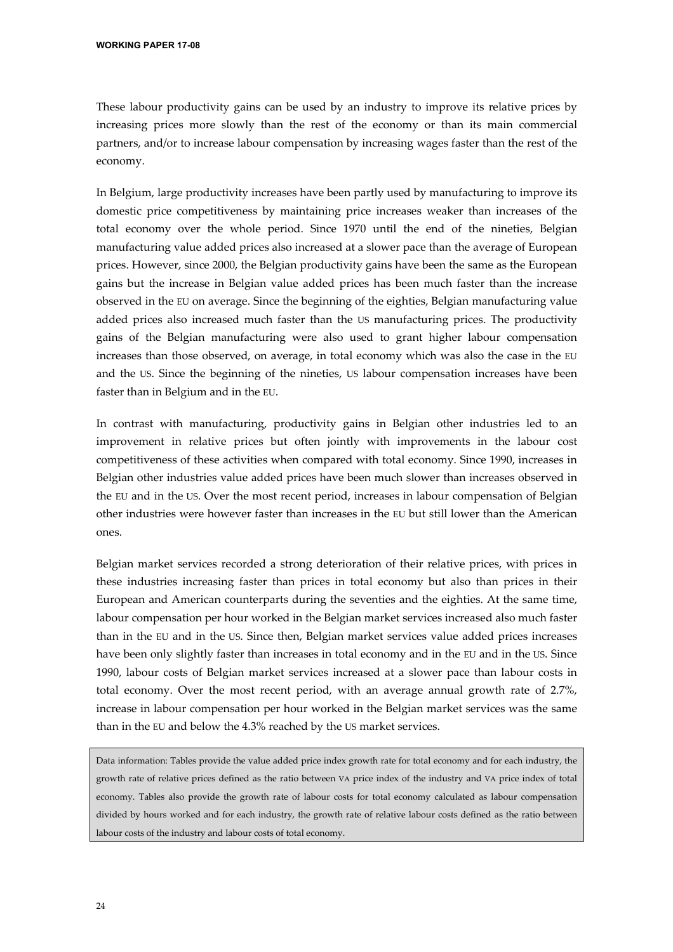These labour productivity gains can be used by an industry to improve its relative prices by increasing prices more slowly than the rest of the economy or than its main commercial partners, and/or to increase labour compensation by increasing wages faster than the rest of the economy.

In Belgium, large productivity increases have been partly used by manufacturing to improve its domestic price competitiveness by maintaining price increases weaker than increases of the total economy over the whole period. Since 1970 until the end of the nineties, Belgian manufacturing value added prices also increased at a slower pace than the average of European prices. However, since 2000, the Belgian productivity gains have been the same as the European gains but the increase in Belgian value added prices has been much faster than the increase observed in the EU on average. Since the beginning of the eighties, Belgian manufacturing value added prices also increased much faster than the US manufacturing prices. The productivity gains of the Belgian manufacturing were also used to grant higher labour compensation increases than those observed, on average, in total economy which was also the case in the EU and the US. Since the beginning of the nineties, US labour compensation increases have been faster than in Belgium and in the EU.

In contrast with manufacturing, productivity gains in Belgian other industries led to an improvement in relative prices but often jointly with improvements in the labour cost competitiveness of these activities when compared with total economy. Since 1990, increases in Belgian other industries value added prices have been much slower than increases observed in the EU and in the US. Over the most recent period, increases in labour compensation of Belgian other industries were however faster than increases in the EU but still lower than the American ones.

Belgian market services recorded a strong deterioration of their relative prices, with prices in these industries increasing faster than prices in total economy but also than prices in their European and American counterparts during the seventies and the eighties. At the same time, labour compensation per hour worked in the Belgian market services increased also much faster than in the EU and in the US. Since then, Belgian market services value added prices increases have been only slightly faster than increases in total economy and in the EU and in the US. Since 1990, labour costs of Belgian market services increased at a slower pace than labour costs in total economy. Over the most recent period, with an average annual growth rate of 2.7%, increase in labour compensation per hour worked in the Belgian market services was the same than in the EU and below the 4.3% reached by the US market services.

Data information: Tables provide the value added price index growth rate for total economy and for each industry, the growth rate of relative prices defined as the ratio between VA price index of the industry and VA price index of total economy. Tables also provide the growth rate of labour costs for total economy calculated as labour compensation divided by hours worked and for each industry, the growth rate of relative labour costs defined as the ratio between labour costs of the industry and labour costs of total economy.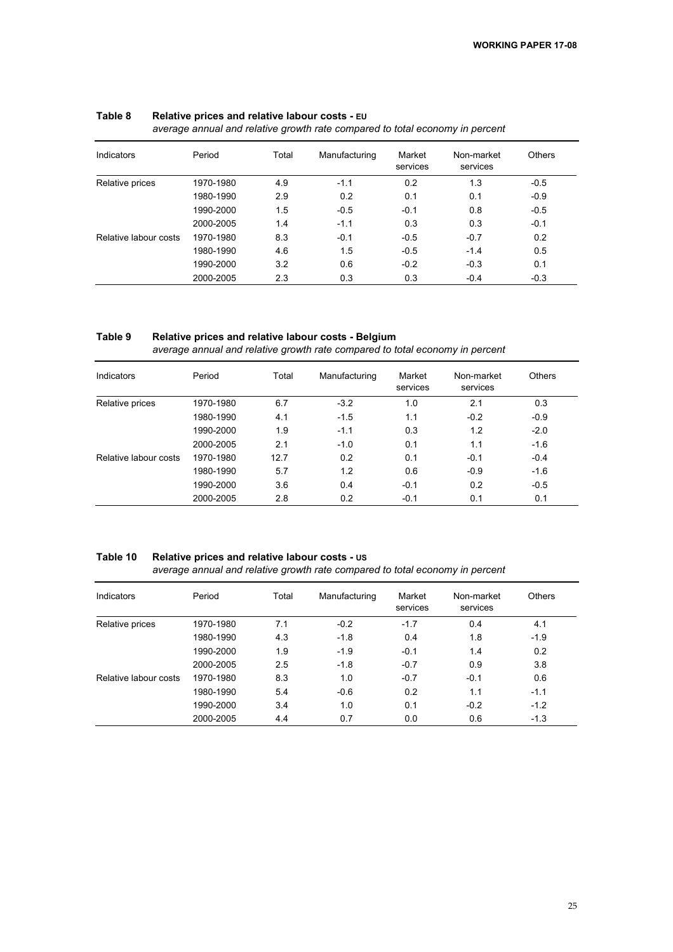| average annual and relative growth rate compared to total economy in percent |           |       |               |                    |                        |               |  |  |  |  |  |
|------------------------------------------------------------------------------|-----------|-------|---------------|--------------------|------------------------|---------------|--|--|--|--|--|
| Indicators                                                                   | Period    | Total | Manufacturing | Market<br>services | Non-market<br>services | <b>Others</b> |  |  |  |  |  |
| Relative prices                                                              | 1970-1980 | 4.9   | $-1.1$        | 0.2                | 1.3                    | $-0.5$        |  |  |  |  |  |
|                                                                              | 1980-1990 | 2.9   | 0.2           | 0.1                | 0.1                    | $-0.9$        |  |  |  |  |  |
|                                                                              | 1990-2000 | 1.5   | $-0.5$        | $-0.1$             | 0.8                    | $-0.5$        |  |  |  |  |  |
|                                                                              | 2000-2005 | 1.4   | $-1.1$        | 0.3                | 0.3                    | $-0.1$        |  |  |  |  |  |
| Relative labour costs                                                        | 1970-1980 | 8.3   | $-0.1$        | $-0.5$             | $-0.7$                 | 0.2           |  |  |  |  |  |
|                                                                              | 1980-1990 | 4.6   | 1.5           | $-0.5$             | $-1.4$                 | 0.5           |  |  |  |  |  |
|                                                                              | 1990-2000 | 3.2   | 0.6           | $-0.2$             | $-0.3$                 | 0.1           |  |  |  |  |  |
|                                                                              | 2000-2005 | 2.3   | 0.3           | 0.3                | $-0.4$                 | $-0.3$        |  |  |  |  |  |

## **Table 8 Relative prices and relative labour costs - EU**

**Table 9 Relative prices and relative labour costs - Belgium**  *average annual and relative growth rate compared to total economy in percent*

| Indicators            | Period    | Total | Manufacturing | Market<br>services | Non-market<br>services | <b>Others</b> |
|-----------------------|-----------|-------|---------------|--------------------|------------------------|---------------|
| Relative prices       | 1970-1980 | 6.7   | $-3.2$        | 1.0                | 2.1                    | 0.3           |
|                       | 1980-1990 | 4.1   | $-1.5$        | 1.1                | $-0.2$                 | $-0.9$        |
|                       | 1990-2000 | 1.9   | $-1.1$        | 0.3                | 1.2                    | $-2.0$        |
|                       | 2000-2005 | 2.1   | $-1.0$        | 0.1                | 1.1                    | $-1.6$        |
| Relative labour costs | 1970-1980 | 12.7  | 0.2           | 0.1                | $-0.1$                 | $-0.4$        |
|                       | 1980-1990 | 5.7   | 1.2           | 0.6                | $-0.9$                 | $-1.6$        |
|                       | 1990-2000 | 3.6   | 0.4           | $-0.1$             | 0.2                    | $-0.5$        |
|                       | 2000-2005 | 2.8   | 0.2           | $-0.1$             | 0.1                    | 0.1           |

#### **Table 10 Relative prices and relative labour costs - US** *average annual and relative growth rate compared to total economy in percent*

| Indicators            | Period    | Total | Manufacturing | Market<br>services | Non-market<br>services | Others |
|-----------------------|-----------|-------|---------------|--------------------|------------------------|--------|
| Relative prices       | 1970-1980 | 7.1   | $-0.2$        | $-1.7$             | 0.4                    | 4.1    |
|                       | 1980-1990 | 4.3   | $-1.8$        | 0.4                | 1.8                    | $-1.9$ |
|                       | 1990-2000 | 1.9   | $-1.9$        | $-0.1$             | 1.4                    | 0.2    |
|                       | 2000-2005 | 2.5   | $-1.8$        | $-0.7$             | 0.9                    | 3.8    |
| Relative labour costs | 1970-1980 | 8.3   | 1.0           | $-0.7$             | $-0.1$                 | 0.6    |
|                       | 1980-1990 | 5.4   | $-0.6$        | 0.2                | 1.1                    | $-1.1$ |
|                       | 1990-2000 | 3.4   | 1.0           | 0.1                | $-0.2$                 | $-1.2$ |
|                       | 2000-2005 | 4.4   | 0.7           | 0.0                | 0.6                    | $-1.3$ |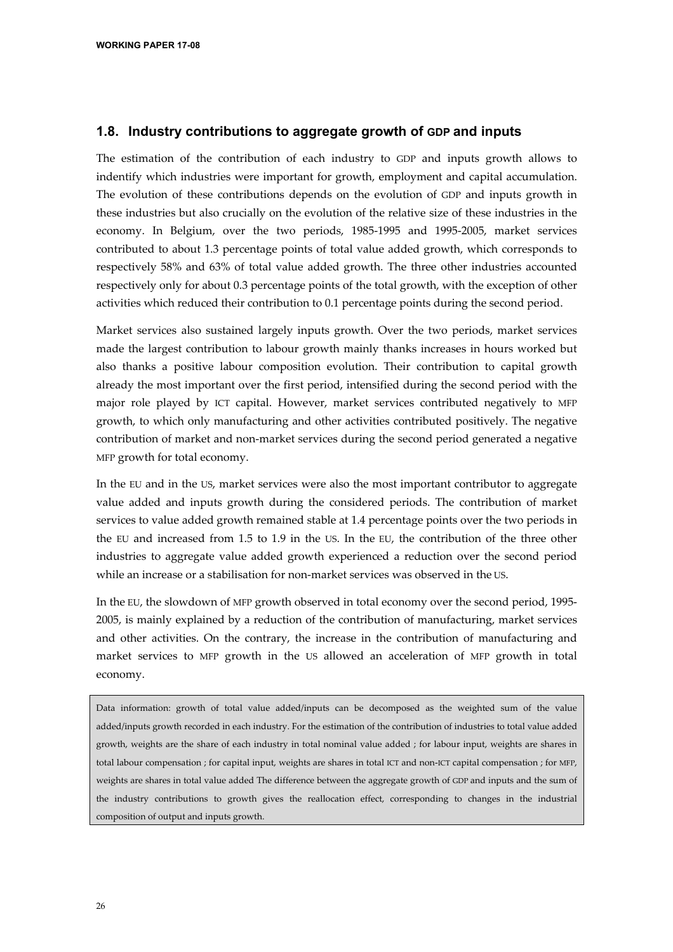## **1.8. Industry contributions to aggregate growth of GDP and inputs**

The estimation of the contribution of each industry to GDP and inputs growth allows to indentify which industries were important for growth, employment and capital accumulation. The evolution of these contributions depends on the evolution of GDP and inputs growth in these industries but also crucially on the evolution of the relative size of these industries in the economy. In Belgium, over the two periods, 1985-1995 and 1995-2005, market services contributed to about 1.3 percentage points of total value added growth, which corresponds to respectively 58% and 63% of total value added growth. The three other industries accounted respectively only for about 0.3 percentage points of the total growth, with the exception of other activities which reduced their contribution to 0.1 percentage points during the second period.

Market services also sustained largely inputs growth. Over the two periods, market services made the largest contribution to labour growth mainly thanks increases in hours worked but also thanks a positive labour composition evolution. Their contribution to capital growth already the most important over the first period, intensified during the second period with the major role played by ICT capital. However, market services contributed negatively to MFP growth, to which only manufacturing and other activities contributed positively. The negative contribution of market and non-market services during the second period generated a negative MFP growth for total economy.

In the EU and in the US, market services were also the most important contributor to aggregate value added and inputs growth during the considered periods. The contribution of market services to value added growth remained stable at 1.4 percentage points over the two periods in the EU and increased from 1.5 to 1.9 in the US. In the EU, the contribution of the three other industries to aggregate value added growth experienced a reduction over the second period while an increase or a stabilisation for non-market services was observed in the US.

In the EU, the slowdown of MFP growth observed in total economy over the second period, 1995- 2005, is mainly explained by a reduction of the contribution of manufacturing, market services and other activities. On the contrary, the increase in the contribution of manufacturing and market services to MFP growth in the US allowed an acceleration of MFP growth in total economy.

Data information: growth of total value added/inputs can be decomposed as the weighted sum of the value added/inputs growth recorded in each industry. For the estimation of the contribution of industries to total value added growth, weights are the share of each industry in total nominal value added ; for labour input, weights are shares in total labour compensation ; for capital input, weights are shares in total ICT and non-ICT capital compensation ; for MFP, weights are shares in total value added The difference between the aggregate growth of GDP and inputs and the sum of the industry contributions to growth gives the reallocation effect, corresponding to changes in the industrial composition of output and inputs growth.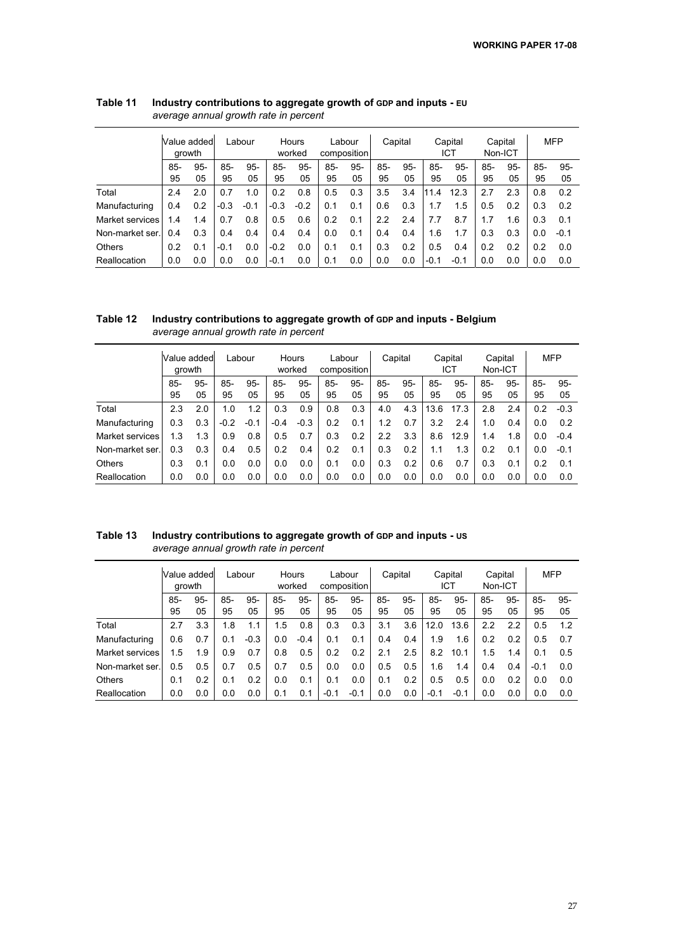|                 | Value added<br>growth |              |           |              |              |           |             |              | Labour       |              | Hours<br>worked |              | Labour<br>composition |              | Capital     |              | Capital<br>ICT |  | Capital<br>Non-ICT |  | <b>MFP</b> |  |
|-----------------|-----------------------|--------------|-----------|--------------|--------------|-----------|-------------|--------------|--------------|--------------|-----------------|--------------|-----------------------|--------------|-------------|--------------|----------------|--|--------------------|--|------------|--|
|                 | $85-$<br>95           | $95 -$<br>05 | 85-<br>95 | $95 -$<br>05 | $85 -$<br>95 | 95-<br>05 | $85-$<br>95 | $95 -$<br>05 | $85 -$<br>95 | $95 -$<br>05 | 85-<br>95       | $95 -$<br>05 | 85-<br>95             | $95 -$<br>05 | $85-$<br>95 | $95 -$<br>05 |                |  |                    |  |            |  |
| Total           | 2.4                   | 2.0          | 0.7       | 1.0          | 0.2          | 0.8       | 0.5         | 0.3          | 3.5          | 3.4          | 11.4            | 12.3         | 2.7                   | 2.3          | 0.8         | 0.2          |                |  |                    |  |            |  |
| Manufacturing   | 0.4                   | 0.2          | $-0.3$    | $-0.1$       | $-0.3$       | $-0.2$    | 0.1         | 0.1          | 0.6          | 0.3          | 1.7             | 1.5          | 0.5                   | 0.2          | 0.3         | 0.2          |                |  |                    |  |            |  |
| Market services | 1.4                   | 1.4          | 0.7       | 0.8          | 0.5          | 0.6       | 0.2         | 0.1          | 2.2          | 2.4          | 7.7             | 8.7          | 1.7                   | 1.6          | 0.3         | 0.1          |                |  |                    |  |            |  |
| Non-market ser. | 0.4                   | 0.3          | 0.4       | 0.4          | 0.4          | 0.4       | 0.0         | 0.1          | 0.4          | 0.4          | 1.6             | 1.7          | 0.3                   | 0.3          | 0.0         | $-0.1$       |                |  |                    |  |            |  |
| Others          | 0.2                   | 0.1          | $-0.1$    | 0.0          | $-0.2$       | 0.0       | 0.1         | 0.1          | 0.3          | 0.2          | 0.5             | 0.4          | 0.2                   | 0.2          | 0.2         | 0.0          |                |  |                    |  |            |  |
| Reallocation    | 0.0                   | 0.0          | 0.0       | 0.0          | $-0.1$       | 0.0       | 0.1         | 0.0          | 0.0          | 0.0          | $-0.1$          | $-0.1$       | 0.0                   | 0.0          | 0.0         | 0.0          |                |  |                    |  |            |  |

#### Table 11 Industry contributions to aggregate growth of GDP and inputs - EU *average annual growth rate in percent*

**Table 12 Industry contributions to aggregate growth of GDP and inputs - Belgium** *average annual growth rate in percent*

|                 | Value addedl<br>growth |              | Labour    |              |           | Hours<br>worked | composition | Labour       |             | Capital      |             | Capital<br>ICT | Non-ICT      | Capital      | <b>MFP</b> |              |
|-----------------|------------------------|--------------|-----------|--------------|-----------|-----------------|-------------|--------------|-------------|--------------|-------------|----------------|--------------|--------------|------------|--------------|
|                 | 85-<br>95              | $95 -$<br>05 | 85-<br>95 | $95 -$<br>05 | 85-<br>95 | $95 -$<br>05    | $85-$<br>95 | $95 -$<br>05 | $85-$<br>95 | $95 -$<br>05 | $85-$<br>95 | $95 -$<br>05   | $85 -$<br>95 | $95 -$<br>05 | 85-<br>95  | $95 -$<br>05 |
| Total           | 2.3                    | 2.0          | 1.0       | 1.2          | 0.3       | 0.9             | 0.8         | 0.3          | 4.0         | 4.3          | 13.6        | 17.3           | 2.8          | 2.4          | 0.2        | $-0.3$       |
| Manufacturing   | 0.3                    | 0.3          | $-0.2$    | $-0.1$       | $-0.4$    | $-0.3$          | 0.2         | 0.1          | 1.2         | 0.7          | 3.2         | 2.4            | 1.0          | 0.4          | 0.0        | 0.2          |
| Market services | 1.3                    | 1.3          | 0.9       | 0.8          | 0.5       | 0.7             | 0.3         | 0.2          | 2.2         | 3.3          | 8.6         | 12.9           | 1.4          | 1.8          | 0.0        | $-0.4$       |
| Non-market ser. | 0.3                    | 0.3          | 0.4       | 0.5          | 0.2       | 0.4             | 0.2         | 0.1          | 0.3         | 0.2          | 1.1         | 1.3            | 0.2          | 0.1          | 0.0        | $-0.1$       |
| <b>Others</b>   | 0.3                    | 0.1          | 0.0       | 0.0          | 0.0       | 0.0             | 0.1         | 0.0          | 0.3         | 0.2          | 0.6         | 0.7            | 0.3          | 0.1          | 0.2        | 0.1          |
| Reallocation    | 0.0                    | 0.0          | 0.0       | 0.0          | 0.0       | 0.0             | 0.0         | 0.0          | 0.0         | 0.0          | 0.0         | 0.0            | 0.0          | 0.0          | 0.0        | 0.0          |

#### **Table 13 Industry contributions to aggregate growth of GDP and inputs - US** *average annual growth rate in percent*

|                 | Value addedl<br>growth |              |           |           |           | Labour       |           | Hours<br>worked |             | Capital<br>Capital<br>Labour<br>Capital<br>ICT<br>Non-ICT<br>composition |             |              |             | <b>MFP</b>   |           |              |
|-----------------|------------------------|--------------|-----------|-----------|-----------|--------------|-----------|-----------------|-------------|--------------------------------------------------------------------------|-------------|--------------|-------------|--------------|-----------|--------------|
|                 | 85-<br>95              | $95 -$<br>05 | 85-<br>95 | 95-<br>05 | 85-<br>95 | $95 -$<br>05 | 85-<br>95 | $95 -$<br>05    | $85-$<br>95 | $95 -$<br>05                                                             | $85-$<br>95 | $95 -$<br>05 | $85-$<br>95 | $95 -$<br>05 | 85-<br>95 | $95 -$<br>05 |
| Total           | 2.7                    | 3.3          | 1.8       | 1.1       | 1.5       | 0.8          | 0.3       | 0.3             | 3.1         | 3.6                                                                      | 12.0        | 13.6         | 2.2         | 2.2          | 0.5       | 1.2          |
| Manufacturing   | 0.6                    | 0.7          | 0.1       | $-0.3$    | 0.0       | $-0.4$       | 0.1       | 0.1             | 0.4         | 0.4                                                                      | 1.9         | 1.6          | 0.2         | 0.2          | 0.5       | 0.7          |
| Market services | 1.5                    | 1.9          | 0.9       | 0.7       | 0.8       | 0.5          | 0.2       | 0.2             | 2.1         | 2.5                                                                      | 8.2         | 10.1         | 1.5         | 1.4          | 0.1       | 0.5          |
| Non-market ser. | 0.5                    | 0.5          | 0.7       | 0.5       | 0.7       | 0.5          | 0.0       | 0.0             | 0.5         | 0.5                                                                      | 1.6         | 1.4          | 0.4         | 0.4          | $-0.1$    | 0.0          |
| <b>Others</b>   | 0.1                    | 0.2          | 0.1       | 0.2       | 0.0       | 0.1          | 0.1       | 0.0             | 0.1         | 0.2                                                                      | 0.5         | 0.5          | 0.0         | 0.2          | 0.0       | 0.0          |
| Reallocation    | 0.0                    | 0.0          | 0.0       | 0.0       | 0.1       | 0.1          | $-0.1$    | $-0.1$          | 0.0         | 0.0                                                                      | $-0.1$      | $-0.1$       | 0.0         | 0.0          | 0.0       | 0.0          |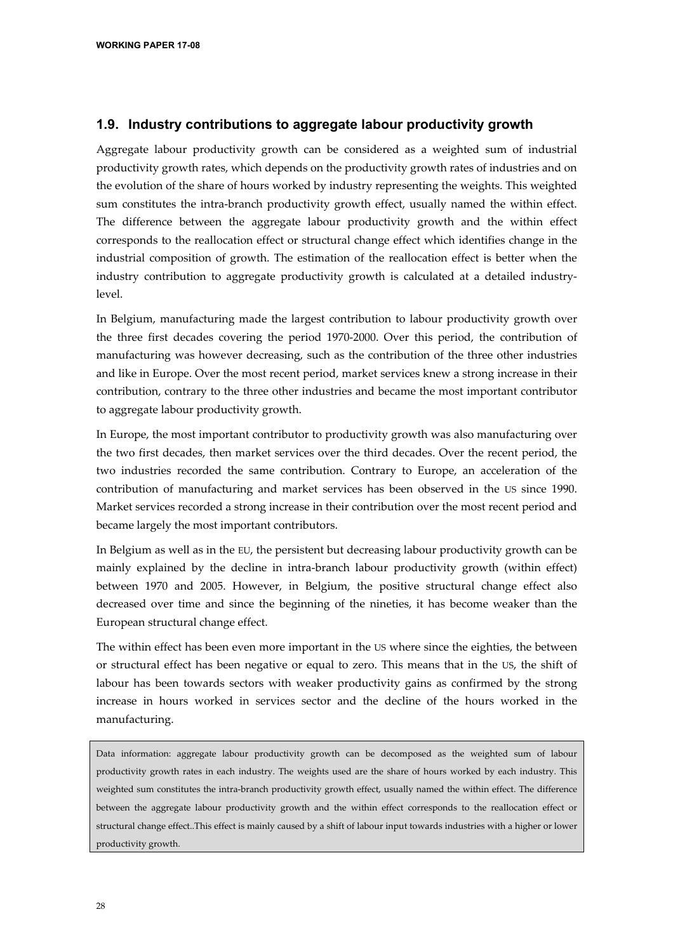## **1.9. Industry contributions to aggregate labour productivity growth**

Aggregate labour productivity growth can be considered as a weighted sum of industrial productivity growth rates, which depends on the productivity growth rates of industries and on the evolution of the share of hours worked by industry representing the weights. This weighted sum constitutes the intra-branch productivity growth effect, usually named the within effect. The difference between the aggregate labour productivity growth and the within effect corresponds to the reallocation effect or structural change effect which identifies change in the industrial composition of growth. The estimation of the reallocation effect is better when the industry contribution to aggregate productivity growth is calculated at a detailed industrylevel.

In Belgium, manufacturing made the largest contribution to labour productivity growth over the three first decades covering the period 1970-2000. Over this period, the contribution of manufacturing was however decreasing, such as the contribution of the three other industries and like in Europe. Over the most recent period, market services knew a strong increase in their contribution, contrary to the three other industries and became the most important contributor to aggregate labour productivity growth.

In Europe, the most important contributor to productivity growth was also manufacturing over the two first decades, then market services over the third decades. Over the recent period, the two industries recorded the same contribution. Contrary to Europe, an acceleration of the contribution of manufacturing and market services has been observed in the US since 1990. Market services recorded a strong increase in their contribution over the most recent period and became largely the most important contributors.

In Belgium as well as in the EU, the persistent but decreasing labour productivity growth can be mainly explained by the decline in intra-branch labour productivity growth (within effect) between 1970 and 2005. However, in Belgium, the positive structural change effect also decreased over time and since the beginning of the nineties, it has become weaker than the European structural change effect.

The within effect has been even more important in the US where since the eighties, the between or structural effect has been negative or equal to zero. This means that in the US, the shift of labour has been towards sectors with weaker productivity gains as confirmed by the strong increase in hours worked in services sector and the decline of the hours worked in the manufacturing.

Data information: aggregate labour productivity growth can be decomposed as the weighted sum of labour productivity growth rates in each industry. The weights used are the share of hours worked by each industry. This weighted sum constitutes the intra-branch productivity growth effect, usually named the within effect. The difference between the aggregate labour productivity growth and the within effect corresponds to the reallocation effect or structural change effect..This effect is mainly caused by a shift of labour input towards industries with a higher or lower productivity growth.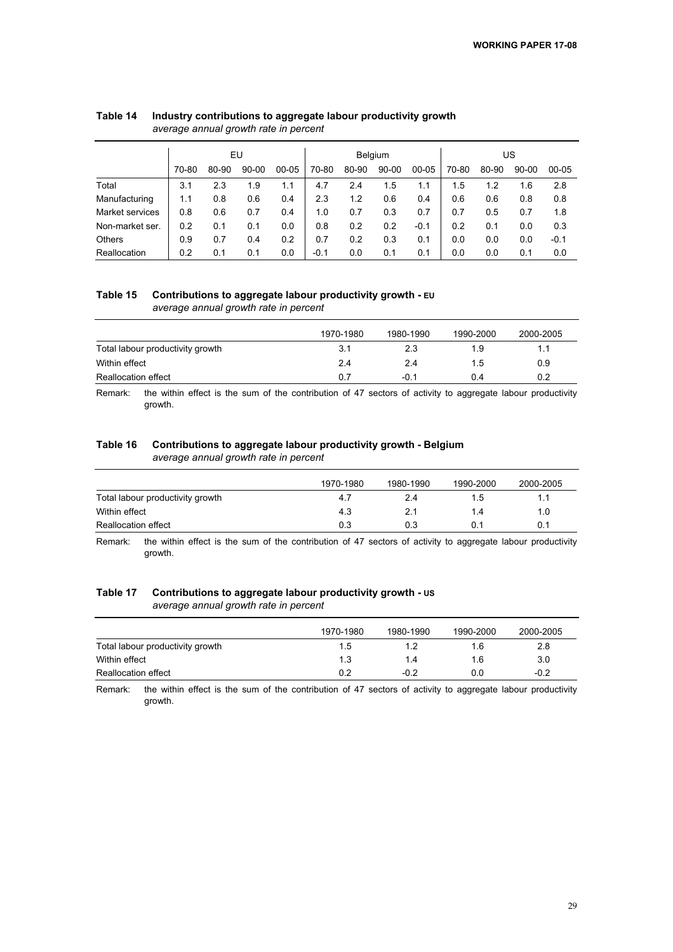| <u>.</u>        |       |       |           |           |        |       |           |           |       |       |           |           |
|-----------------|-------|-------|-----------|-----------|--------|-------|-----------|-----------|-------|-------|-----------|-----------|
|                 | EU    |       |           | Belgium   |        |       | US        |           |       |       |           |           |
|                 | 70-80 | 80-90 | $90 - 00$ | $00 - 05$ | 70-80  | 80-90 | $90 - 00$ | $00 - 05$ | 70-80 | 80-90 | $90 - 00$ | $00 - 05$ |
| Total           | 3.1   | 2.3   | 1.9       | 1.1       | 4.7    | 2.4   | 1.5       | 1.1       | 1.5   | 1.2   | 1.6       | 2.8       |
| Manufacturing   | 1.1   | 0.8   | 0.6       | 0.4       | 2.3    | 1.2   | 0.6       | 0.4       | 0.6   | 0.6   | 0.8       | 0.8       |
| Market services | 0.8   | 0.6   | 0.7       | 0.4       | 1.0    | 0.7   | 0.3       | 0.7       | 0.7   | 0.5   | 0.7       | 1.8       |
| Non-market ser. | 0.2   | 0.1   | 0.1       | 0.0       | 0.8    | 0.2   | 0.2       | $-0.1$    | 0.2   | 0.1   | 0.0       | 0.3       |
| <b>Others</b>   | 0.9   | 0.7   | 0.4       | 0.2       | 0.7    | 0.2   | 0.3       | 0.1       | 0.0   | 0.0   | 0.0       | $-0.1$    |
| Reallocation    | 0.2   | 0.1   | 0.1       | 0.0       | $-0.1$ | 0.0   | 0.1       | 0.1       | 0.0   | 0.0   | 0.1       | 0.0       |

#### **Table 14 Industry contributions to aggregate labour productivity growth**  *average annual growth rate in percent*

#### **Table 15 Contributions to aggregate labour productivity growth - EU** *average annual growth rate in percent*

|                                  | 1970-1980 | 1980-1990 | 1990-2000 | 2000-2005 |
|----------------------------------|-----------|-----------|-----------|-----------|
| Total labour productivity growth | 3.1       | 2.3       | 1.9       | 1.1       |
| Within effect                    | 2.4       | 2.4       | 1.5       | 0.9       |
| Reallocation effect              | 0.7       | $-0.1$    | 0.4       | 0.2       |

Remark: the within effect is the sum of the contribution of 47 sectors of activity to aggregate labour productivity growth.

### **Table 16 Contributions to aggregate labour productivity growth - Belgium**  *average annual growth rate in percent*

|                                  | 1970-1980 | 1980-1990 | 1990-2000 | 2000-2005 |
|----------------------------------|-----------|-----------|-----------|-----------|
| Total labour productivity growth | 4.7       | 2.4       | 1.5       |           |
| Within effect                    | 4.3       | 21        | 1.4       | 1.0       |
| Reallocation effect              | 0.3       | 0.3       |           | 0.1       |

Remark: the within effect is the sum of the contribution of 47 sectors of activity to aggregate labour productivity growth.

#### **Table 17 Contributions to aggregate labour productivity growth - US** *average annual growth rate in percent*

|                                  | 1970-1980 | 1980-1990 | 1990-2000 | 2000-2005 |
|----------------------------------|-----------|-----------|-----------|-----------|
| Total labour productivity growth | 1.5       |           | 1.6       | 2.8       |
| Within effect                    | 1.3       | 1.4       | 1.6       | 3.0       |
| Reallocation effect              | 0.2       | $-0.2$    | 0.0       | $-0.2$    |

Remark: the within effect is the sum of the contribution of 47 sectors of activity to aggregate labour productivity growth.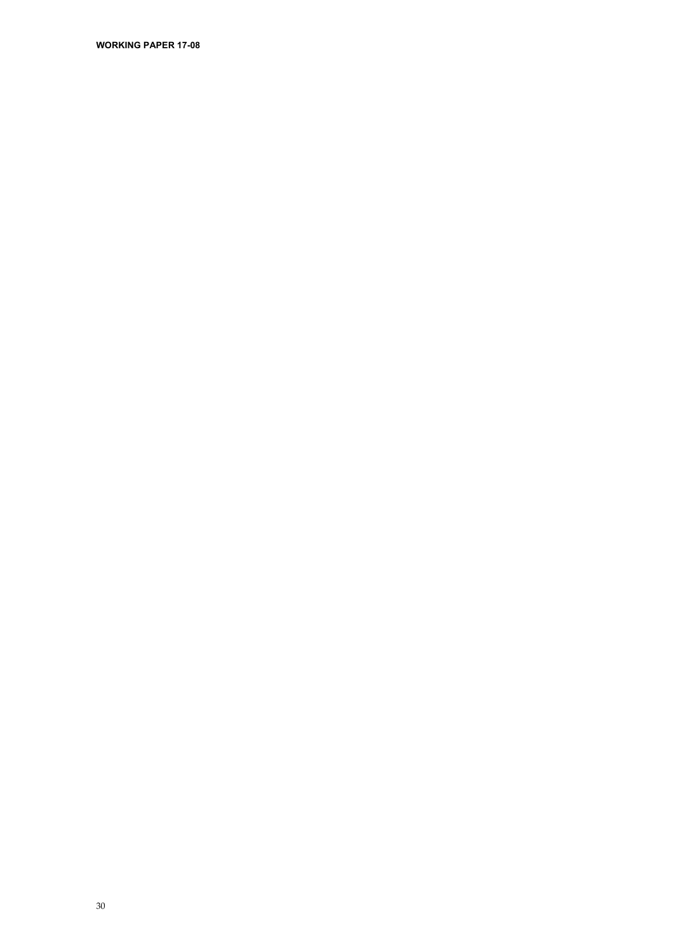**WORKING PAPER 17-08**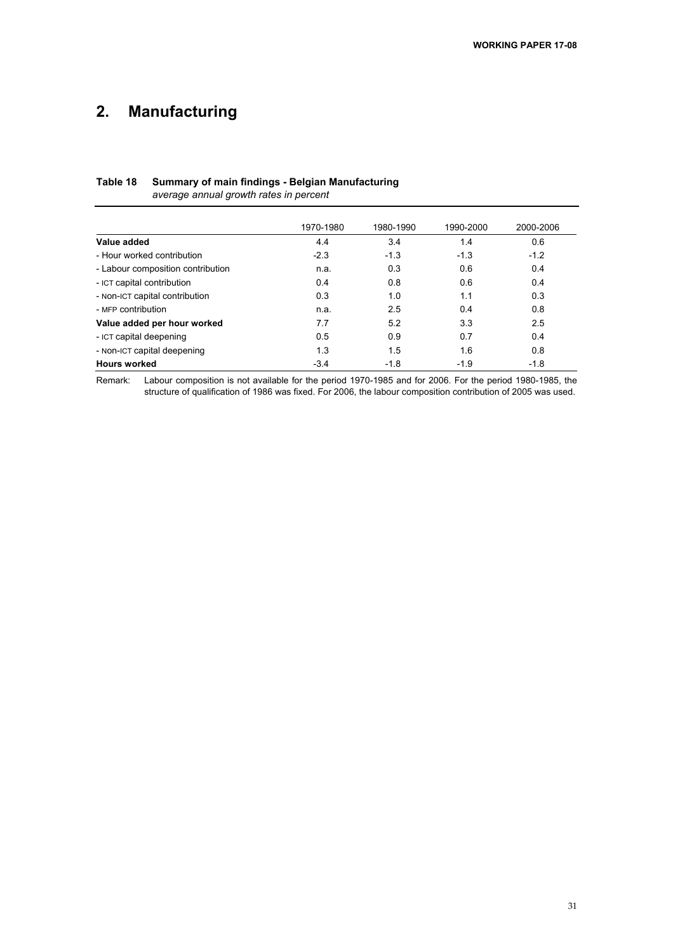# **2. Manufacturing**

### **Table 18 Summary of main findings - Belgian Manufacturing**  *average annual growth rates in percent*

|                                   | 1970-1980 | 1980-1990 | 1990-2000 | 2000-2006 |
|-----------------------------------|-----------|-----------|-----------|-----------|
| Value added                       | 4.4       | 3.4       | 1.4       | 0.6       |
| - Hour worked contribution        | $-2.3$    | $-1.3$    | $-1.3$    | $-1.2$    |
| - Labour composition contribution | n.a.      | 0.3       | 0.6       | 0.4       |
| - ICT capital contribution        | 0.4       | 0.8       | 0.6       | 0.4       |
| - NON-ICT capital contribution    | 0.3       | 1.0       | 1.1       | 0.3       |
| - MFP contribution                | n.a.      | 2.5       | 0.4       | 0.8       |
| Value added per hour worked       | 7.7       | 5.2       | 3.3       | 2.5       |
| - ICT capital deepening           | 0.5       | 0.9       | 0.7       | 0.4       |
| - NON-ICT capital deepening       | 1.3       | 1.5       | 1.6       | 0.8       |
| <b>Hours worked</b>               | $-3.4$    | $-1.8$    | $-1.9$    | $-1.8$    |

Remark: Labour composition is not available for the period 1970-1985 and for 2006. For the period 1980-1985, the structure of qualification of 1986 was fixed. For 2006, the labour composition contribution of 2005 was used.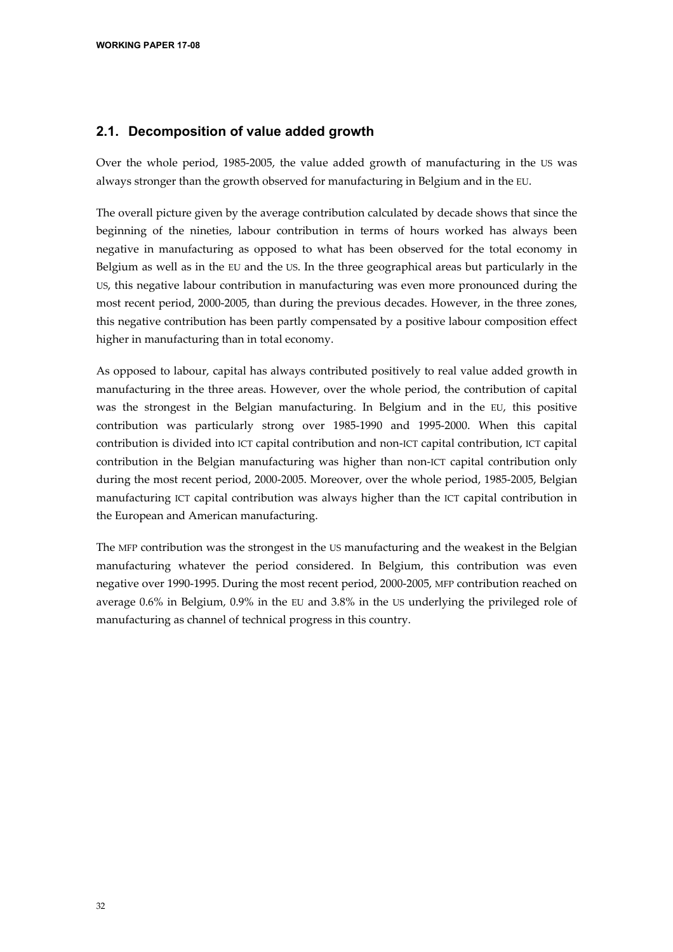# **2.1. Decomposition of value added growth**

Over the whole period, 1985-2005, the value added growth of manufacturing in the US was always stronger than the growth observed for manufacturing in Belgium and in the EU.

The overall picture given by the average contribution calculated by decade shows that since the beginning of the nineties, labour contribution in terms of hours worked has always been negative in manufacturing as opposed to what has been observed for the total economy in Belgium as well as in the EU and the US. In the three geographical areas but particularly in the US, this negative labour contribution in manufacturing was even more pronounced during the most recent period, 2000-2005, than during the previous decades. However, in the three zones, this negative contribution has been partly compensated by a positive labour composition effect higher in manufacturing than in total economy.

As opposed to labour, capital has always contributed positively to real value added growth in manufacturing in the three areas. However, over the whole period, the contribution of capital was the strongest in the Belgian manufacturing. In Belgium and in the EU, this positive contribution was particularly strong over 1985-1990 and 1995-2000. When this capital contribution is divided into ICT capital contribution and non-ICT capital contribution, ICT capital contribution in the Belgian manufacturing was higher than non-ICT capital contribution only during the most recent period, 2000-2005. Moreover, over the whole period, 1985-2005, Belgian manufacturing ICT capital contribution was always higher than the ICT capital contribution in the European and American manufacturing.

The MFP contribution was the strongest in the US manufacturing and the weakest in the Belgian manufacturing whatever the period considered. In Belgium, this contribution was even negative over 1990-1995. During the most recent period, 2000-2005, MFP contribution reached on average 0.6% in Belgium, 0.9% in the EU and 3.8% in the US underlying the privileged role of manufacturing as channel of technical progress in this country.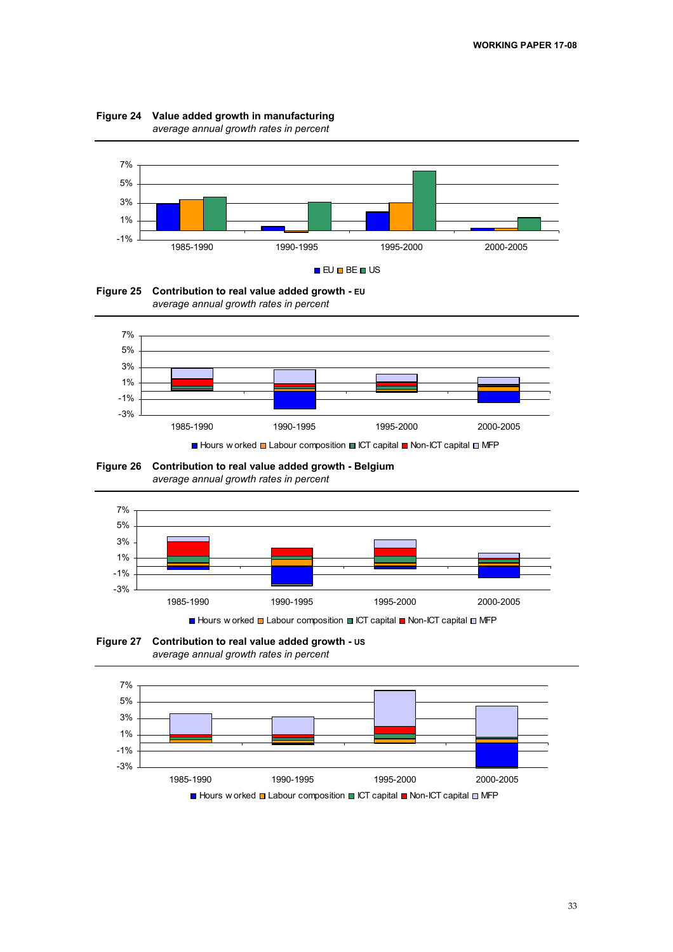













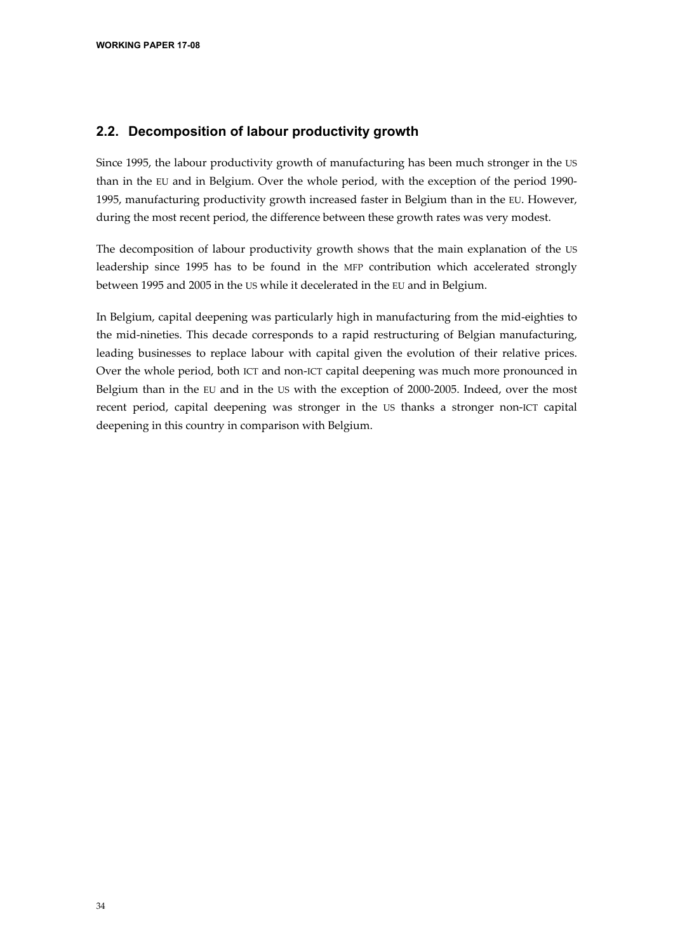# **2.2. Decomposition of labour productivity growth**

Since 1995, the labour productivity growth of manufacturing has been much stronger in the US than in the EU and in Belgium. Over the whole period, with the exception of the period 1990- 1995, manufacturing productivity growth increased faster in Belgium than in the EU. However, during the most recent period, the difference between these growth rates was very modest.

The decomposition of labour productivity growth shows that the main explanation of the US leadership since 1995 has to be found in the MFP contribution which accelerated strongly between 1995 and 2005 in the US while it decelerated in the EU and in Belgium.

In Belgium, capital deepening was particularly high in manufacturing from the mid-eighties to the mid-nineties. This decade corresponds to a rapid restructuring of Belgian manufacturing, leading businesses to replace labour with capital given the evolution of their relative prices. Over the whole period, both ICT and non-ICT capital deepening was much more pronounced in Belgium than in the EU and in the US with the exception of 2000-2005. Indeed, over the most recent period, capital deepening was stronger in the US thanks a stronger non-ICT capital deepening in this country in comparison with Belgium.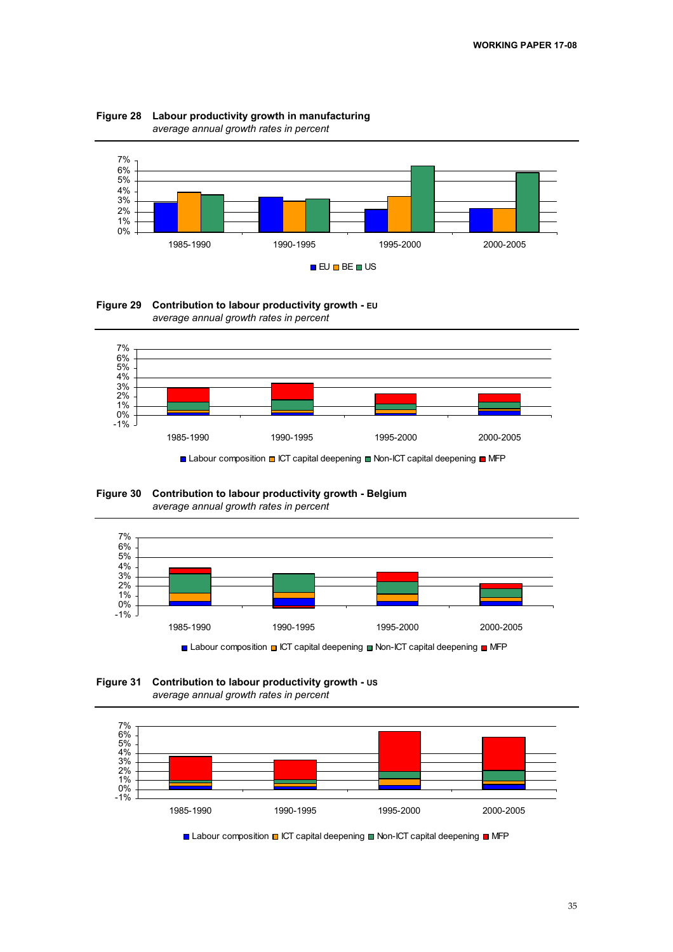















■ Labour composition ■ ICT capital deepening ■ Non-ICT capital deepening ■ MFP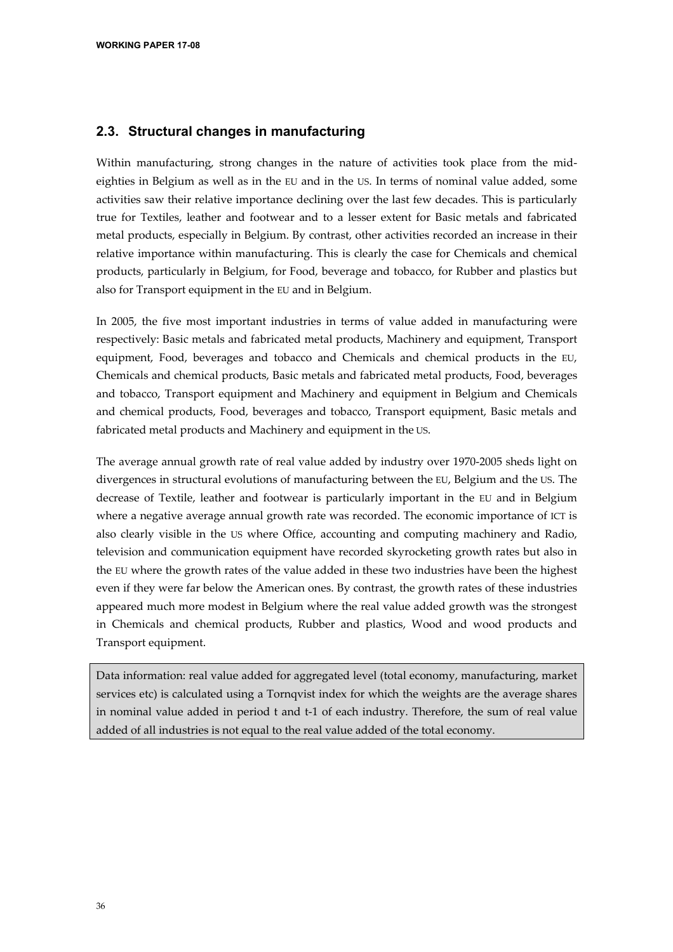# **2.3. Structural changes in manufacturing**

Within manufacturing, strong changes in the nature of activities took place from the mideighties in Belgium as well as in the EU and in the US. In terms of nominal value added, some activities saw their relative importance declining over the last few decades. This is particularly true for Textiles, leather and footwear and to a lesser extent for Basic metals and fabricated metal products, especially in Belgium. By contrast, other activities recorded an increase in their relative importance within manufacturing. This is clearly the case for Chemicals and chemical products, particularly in Belgium, for Food, beverage and tobacco, for Rubber and plastics but also for Transport equipment in the EU and in Belgium.

In 2005, the five most important industries in terms of value added in manufacturing were respectively: Basic metals and fabricated metal products, Machinery and equipment, Transport equipment, Food, beverages and tobacco and Chemicals and chemical products in the EU, Chemicals and chemical products, Basic metals and fabricated metal products, Food, beverages and tobacco, Transport equipment and Machinery and equipment in Belgium and Chemicals and chemical products, Food, beverages and tobacco, Transport equipment, Basic metals and fabricated metal products and Machinery and equipment in the US.

The average annual growth rate of real value added by industry over 1970-2005 sheds light on divergences in structural evolutions of manufacturing between the EU, Belgium and the US. The decrease of Textile, leather and footwear is particularly important in the EU and in Belgium where a negative average annual growth rate was recorded. The economic importance of ICT is also clearly visible in the US where Office, accounting and computing machinery and Radio, television and communication equipment have recorded skyrocketing growth rates but also in the EU where the growth rates of the value added in these two industries have been the highest even if they were far below the American ones. By contrast, the growth rates of these industries appeared much more modest in Belgium where the real value added growth was the strongest in Chemicals and chemical products, Rubber and plastics, Wood and wood products and Transport equipment.

Data information: real value added for aggregated level (total economy, manufacturing, market services etc) is calculated using a Tornqvist index for which the weights are the average shares in nominal value added in period t and t-1 of each industry. Therefore, the sum of real value added of all industries is not equal to the real value added of the total economy.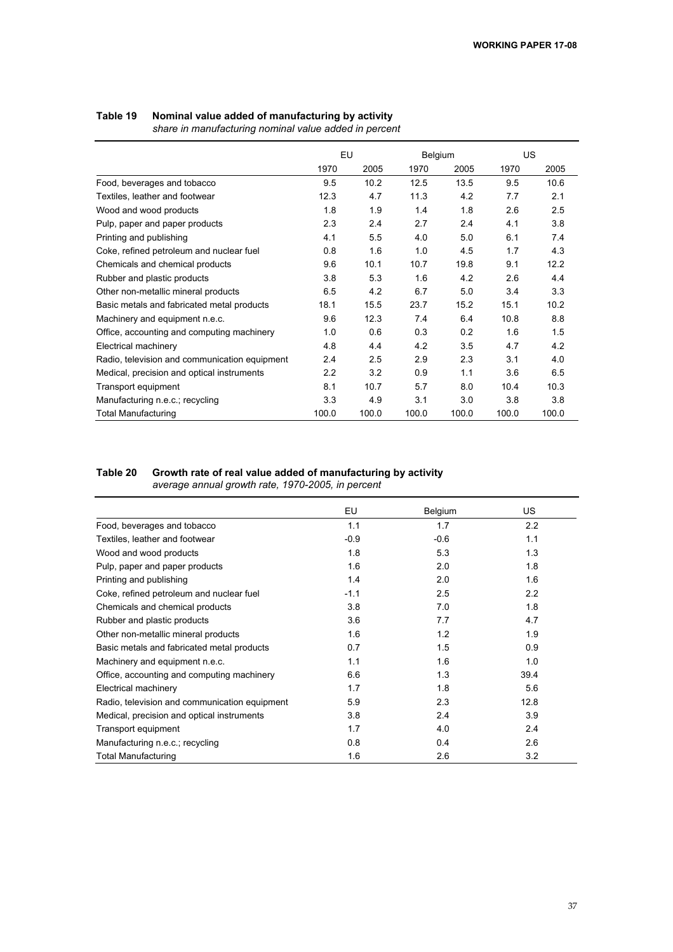#### **Table 19 Nominal value added of manufacturing by activity**

|                                               | EU    |       | Belgium |       | <b>US</b> |       |
|-----------------------------------------------|-------|-------|---------|-------|-----------|-------|
|                                               | 1970  | 2005  | 1970    | 2005  | 1970      | 2005  |
| Food, beverages and tobacco                   | 9.5   | 10.2  | 12.5    | 13.5  | 9.5       | 10.6  |
| Textiles, leather and footwear                | 12.3  | 4.7   | 11.3    | 4.2   | 7.7       | 2.1   |
| Wood and wood products                        | 1.8   | 1.9   | 1.4     | 1.8   | 2.6       | 2.5   |
| Pulp, paper and paper products                | 2.3   | 2.4   | 2.7     | 2.4   | 4.1       | 3.8   |
| Printing and publishing                       | 4.1   | 5.5   | 4.0     | 5.0   | 6.1       | 7.4   |
| Coke, refined petroleum and nuclear fuel      | 0.8   | 1.6   | 1.0     | 4.5   | 1.7       | 4.3   |
| Chemicals and chemical products               | 9.6   | 10.1  | 10.7    | 19.8  | 9.1       | 12.2  |
| Rubber and plastic products                   | 3.8   | 53    | 1.6     | 4.2   | 2.6       | 4.4   |
| Other non-metallic mineral products           | 6.5   | 4.2   | 6.7     | 5.0   | 3.4       | 3.3   |
| Basic metals and fabricated metal products    | 18.1  | 15.5  | 23.7    | 15.2  | 15.1      | 10.2  |
| Machinery and equipment n.e.c.                | 9.6   | 12.3  | 7.4     | 6.4   | 10.8      | 8.8   |
| Office, accounting and computing machinery    | 1.0   | 0.6   | 0.3     | 0.2   | 1.6       | 1.5   |
| Electrical machinery                          | 4.8   | 4.4   | 4.2     | 3.5   | 4.7       | 4.2   |
| Radio, television and communication equipment | 2.4   | 2.5   | 2.9     | 2.3   | 3.1       | 4.0   |
| Medical, precision and optical instruments    | 2.2   | 3.2   | 0.9     | 1.1   | 3.6       | 6.5   |
| Transport equipment                           | 8.1   | 10.7  | 5.7     | 8.0   | 10.4      | 10.3  |
| Manufacturing n.e.c.; recycling               | 3.3   | 4.9   | 3.1     | 3.0   | 3.8       | 3.8   |
| Total Manufacturing                           | 100.0 | 100.0 | 100.0   | 100.0 | 100.0     | 100.0 |

*share in manufacturing nominal value added in percent*

#### **Table 20 Growth rate of real value added of manufacturing by activity**  *average annual growth rate, 1970-2005, in percent*

|                                               | EU     | Belgium | US.  |
|-----------------------------------------------|--------|---------|------|
| Food, beverages and tobacco                   | 1.1    | 1.7     | 2.2  |
| Textiles, leather and footwear                | $-0.9$ | $-0.6$  | 1.1  |
| Wood and wood products                        | 1.8    | 5.3     | 1.3  |
| Pulp, paper and paper products                | 1.6    | 2.0     | 1.8  |
| Printing and publishing                       | 1.4    | 2.0     | 1.6  |
| Coke, refined petroleum and nuclear fuel      | $-1.1$ | 2.5     | 2.2  |
| Chemicals and chemical products               | 3.8    | 7.0     | 1.8  |
| Rubber and plastic products                   | 3.6    | 7.7     | 4.7  |
| Other non-metallic mineral products           | 1.6    | 1.2     | 1.9  |
| Basic metals and fabricated metal products    | 0.7    | 1.5     | 0.9  |
| Machinery and equipment n.e.c.                | 1.1    | 1.6     | 1.0  |
| Office, accounting and computing machinery    | 6.6    | 1.3     | 39.4 |
| Electrical machinery                          | 1.7    | 1.8     | 5.6  |
| Radio, television and communication equipment | 5.9    | 2.3     | 12.8 |
| Medical, precision and optical instruments    | 3.8    | 2.4     | 3.9  |
| Transport equipment                           | 1.7    | 4.0     | 2.4  |
| Manufacturing n.e.c.; recycling               | 0.8    | 0.4     | 2.6  |
| <b>Total Manufacturing</b>                    | 1.6    | 2.6     | 3.2  |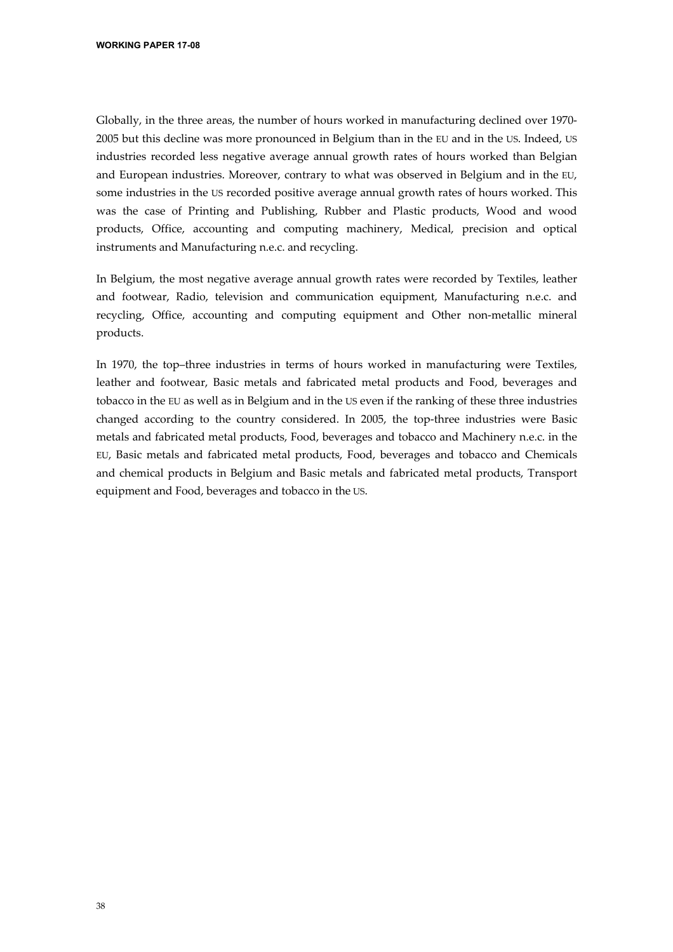Globally, in the three areas, the number of hours worked in manufacturing declined over 1970- 2005 but this decline was more pronounced in Belgium than in the EU and in the US. Indeed, US industries recorded less negative average annual growth rates of hours worked than Belgian and European industries. Moreover, contrary to what was observed in Belgium and in the EU, some industries in the US recorded positive average annual growth rates of hours worked. This was the case of Printing and Publishing, Rubber and Plastic products, Wood and wood products, Office, accounting and computing machinery, Medical, precision and optical instruments and Manufacturing n.e.c. and recycling.

In Belgium, the most negative average annual growth rates were recorded by Textiles, leather and footwear, Radio, television and communication equipment, Manufacturing n.e.c. and recycling, Office, accounting and computing equipment and Other non-metallic mineral products.

In 1970, the top–three industries in terms of hours worked in manufacturing were Textiles, leather and footwear, Basic metals and fabricated metal products and Food, beverages and tobacco in the EU as well as in Belgium and in the US even if the ranking of these three industries changed according to the country considered. In 2005, the top-three industries were Basic metals and fabricated metal products, Food, beverages and tobacco and Machinery n.e.c. in the EU, Basic metals and fabricated metal products, Food, beverages and tobacco and Chemicals and chemical products in Belgium and Basic metals and fabricated metal products, Transport equipment and Food, beverages and tobacco in the US.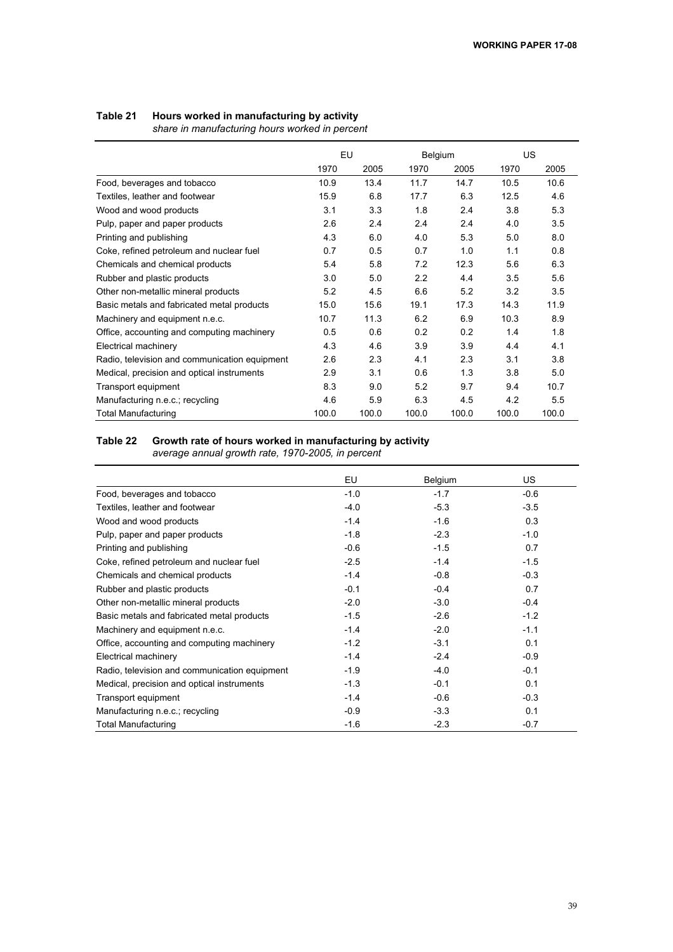## **Table 21 Hours worked in manufacturing by activity**

*share in manufacturing hours worked in percent*

|                                               | EU    |       | Belgium |       | US.   |       |
|-----------------------------------------------|-------|-------|---------|-------|-------|-------|
|                                               | 1970  | 2005  | 1970    | 2005  | 1970  | 2005  |
| Food, beverages and tobacco                   | 10.9  | 13.4  | 11.7    | 14.7  | 10.5  | 10.6  |
| Textiles, leather and footwear                | 15.9  | 6.8   | 17.7    | 6.3   | 12.5  | 4.6   |
| Wood and wood products                        | 3.1   | 3.3   | 1.8     | 2.4   | 3.8   | 5.3   |
| Pulp, paper and paper products                | 2.6   | 2.4   | 2.4     | 2.4   | 4.0   | 3.5   |
| Printing and publishing                       | 4.3   | 6.0   | 4.0     | 5.3   | 5.0   | 8.0   |
| Coke, refined petroleum and nuclear fuel      | 0.7   | 0.5   | 0.7     | 1.0   | 1.1   | 0.8   |
| Chemicals and chemical products               | 5.4   | 5.8   | 7.2     | 12.3  | 5.6   | 6.3   |
| Rubber and plastic products                   | 3.0   | 5.0   | 2.2     | 4.4   | 3.5   | 5.6   |
| Other non-metallic mineral products           | 5.2   | 4.5   | 6.6     | 5.2   | 3.2   | 3.5   |
| Basic metals and fabricated metal products    | 15.0  | 15.6  | 19.1    | 17.3  | 14.3  | 11.9  |
| Machinery and equipment n.e.c.                | 10.7  | 11.3  | 6.2     | 6.9   | 10.3  | 8.9   |
| Office, accounting and computing machinery    | 0.5   | 0.6   | 0.2     | 0.2   | 1.4   | 1.8   |
| Electrical machinery                          | 4.3   | 4.6   | 3.9     | 3.9   | 4.4   | 4.1   |
| Radio, television and communication equipment | 2.6   | 2.3   | 4.1     | 2.3   | 3.1   | 3.8   |
| Medical, precision and optical instruments    | 2.9   | 3.1   | 0.6     | 1.3   | 3.8   | 5.0   |
| Transport equipment                           | 8.3   | 9.0   | 5.2     | 9.7   | 9.4   | 10.7  |
| Manufacturing n.e.c.; recycling               | 4.6   | 5.9   | 6.3     | 4.5   | 4.2   | 5.5   |
| <b>Total Manufacturing</b>                    | 100.0 | 100.0 | 100.0   | 100.0 | 100.0 | 100.0 |

### **Table 22 Growth rate of hours worked in manufacturing by activity**  *average annual growth rate, 1970-2005, in percent*

|                                               | EU     | Belgium | US     |
|-----------------------------------------------|--------|---------|--------|
| Food, beverages and tobacco                   | $-1.0$ | $-1.7$  | $-0.6$ |
| Textiles, leather and footwear                | $-4.0$ | $-5.3$  | $-3.5$ |
| Wood and wood products                        | $-1.4$ | $-1.6$  | 0.3    |
| Pulp, paper and paper products                | $-1.8$ | $-2.3$  | $-1.0$ |
| Printing and publishing                       | $-0.6$ | $-1.5$  | 0.7    |
| Coke, refined petroleum and nuclear fuel      | $-2.5$ | $-1.4$  | $-1.5$ |
| Chemicals and chemical products               | $-1.4$ | $-0.8$  | $-0.3$ |
| Rubber and plastic products                   | $-0.1$ | $-0.4$  | 0.7    |
| Other non-metallic mineral products           | $-2.0$ | $-3.0$  | $-0.4$ |
| Basic metals and fabricated metal products    | $-1.5$ | $-2.6$  | $-1.2$ |
| Machinery and equipment n.e.c.                | $-1.4$ | $-2.0$  | $-1.1$ |
| Office, accounting and computing machinery    | $-1.2$ | $-3.1$  | 0.1    |
| Electrical machinery                          | $-1.4$ | $-2.4$  | $-0.9$ |
| Radio, television and communication equipment | $-1.9$ | $-4.0$  | $-0.1$ |
| Medical, precision and optical instruments    | $-1.3$ | $-0.1$  | 0.1    |
| Transport equipment                           | $-1.4$ | $-0.6$  | $-0.3$ |
| Manufacturing n.e.c.; recycling               | $-0.9$ | $-3.3$  | 0.1    |
| <b>Total Manufacturing</b>                    | $-1.6$ | $-2.3$  | $-0.7$ |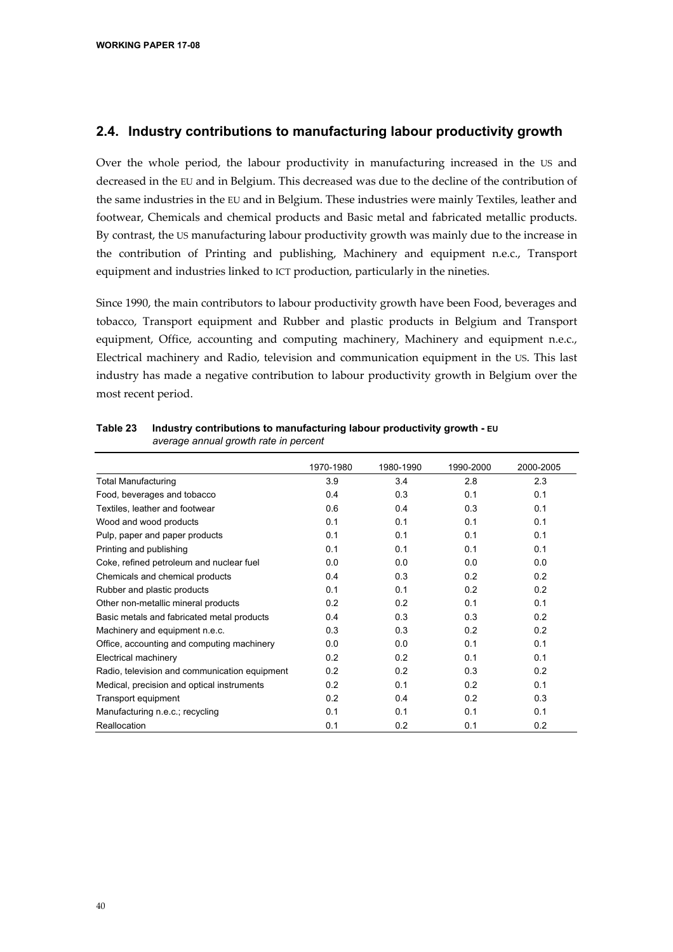# **2.4. Industry contributions to manufacturing labour productivity growth**

Over the whole period, the labour productivity in manufacturing increased in the US and decreased in the EU and in Belgium. This decreased was due to the decline of the contribution of the same industries in the EU and in Belgium. These industries were mainly Textiles, leather and footwear, Chemicals and chemical products and Basic metal and fabricated metallic products. By contrast, the US manufacturing labour productivity growth was mainly due to the increase in the contribution of Printing and publishing, Machinery and equipment n.e.c., Transport equipment and industries linked to ICT production, particularly in the nineties.

Since 1990, the main contributors to labour productivity growth have been Food, beverages and tobacco, Transport equipment and Rubber and plastic products in Belgium and Transport equipment, Office, accounting and computing machinery, Machinery and equipment n.e.c., Electrical machinery and Radio, television and communication equipment in the US. This last industry has made a negative contribution to labour productivity growth in Belgium over the most recent period.

|                                               | 1970-1980 | 1980-1990 | 1990-2000 | 2000-2005 |
|-----------------------------------------------|-----------|-----------|-----------|-----------|
| <b>Total Manufacturing</b>                    | 3.9       | 3.4       | 2.8       | 2.3       |
| Food, beverages and tobacco                   | 0.4       | 0.3       | 0.1       | 0.1       |
| Textiles, leather and footwear                | 0.6       | 0.4       | 0.3       | 0.1       |
| Wood and wood products                        | 0.1       | 0.1       | 0.1       | 0.1       |
| Pulp, paper and paper products                | 0.1       | 0.1       | 0.1       | 0.1       |
| Printing and publishing                       | 0.1       | 0.1       | 0.1       | 0.1       |
| Coke, refined petroleum and nuclear fuel      | 0.0       | 0.0       | 0.0       | 0.0       |
| Chemicals and chemical products               | 0.4       | 0.3       | 0.2       | 0.2       |
| Rubber and plastic products                   | 0.1       | 0.1       | 0.2       | 0.2       |
| Other non-metallic mineral products           | 0.2       | 0.2       | 0.1       | 0.1       |
| Basic metals and fabricated metal products    | 0.4       | 0.3       | 0.3       | 0.2       |
| Machinery and equipment n.e.c.                | 0.3       | 0.3       | 0.2       | 0.2       |
| Office, accounting and computing machinery    | 0.0       | 0.0       | 0.1       | 0.1       |
| Electrical machinery                          | 0.2       | 0.2       | 0.1       | 0.1       |
| Radio, television and communication equipment | 0.2       | 0.2       | 0.3       | 0.2       |
| Medical, precision and optical instruments    | 0.2       | 0.1       | 0.2       | 0.1       |
| Transport equipment                           | 0.2       | 0.4       | 0.2       | 0.3       |
| Manufacturing n.e.c.; recycling               | 0.1       | 0.1       | 0.1       | 0.1       |
| Reallocation                                  | 0.1       | 0.2       | 0.1       | 0.2       |

**Table 23 Industry contributions to manufacturing labour productivity growth - EU**  *average annual growth rate in percent*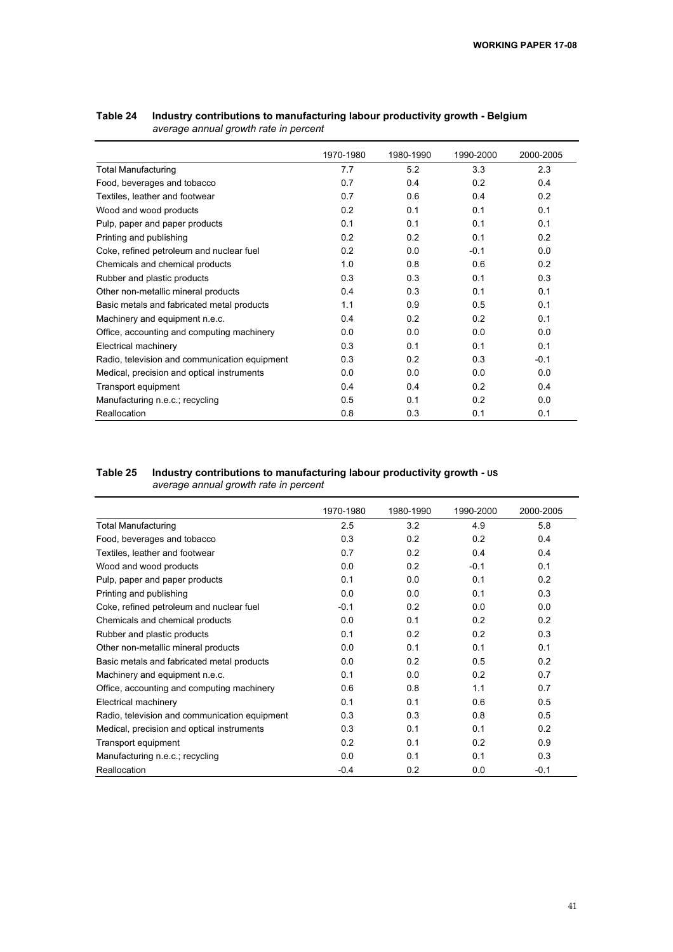|                                               | 1970-1980 | 1980-1990 | 1990-2000 | 2000-2005 |
|-----------------------------------------------|-----------|-----------|-----------|-----------|
| <b>Total Manufacturing</b>                    | 7.7       | 5.2       | 3.3       | 2.3       |
| Food, beverages and tobacco                   | 0.7       | 0.4       | 0.2       | 0.4       |
| Textiles, leather and footwear                | 0.7       | 0.6       | 0.4       | 0.2       |
| Wood and wood products                        | 0.2       | 0.1       | 0.1       | 0.1       |
| Pulp, paper and paper products                | 0.1       | 0.1       | 0.1       | 0.1       |
| Printing and publishing                       | 0.2       | 0.2       | 0.1       | 0.2       |
| Coke, refined petroleum and nuclear fuel      | 0.2       | 0.0       | $-0.1$    | 0.0       |
| Chemicals and chemical products               | 1.0       | 0.8       | 0.6       | 0.2       |
| Rubber and plastic products                   | 0.3       | 0.3       | 0.1       | 0.3       |
| Other non-metallic mineral products           | 0.4       | 0.3       | 0.1       | 0.1       |
| Basic metals and fabricated metal products    | 1.1       | 0.9       | 0.5       | 0.1       |
| Machinery and equipment n.e.c.                | 0.4       | 0.2       | 0.2       | 0.1       |
| Office, accounting and computing machinery    | 0.0       | 0.0       | 0.0       | 0.0       |
| Electrical machinery                          | 0.3       | 0.1       | 0.1       | 0.1       |
| Radio, television and communication equipment | 0.3       | 0.2       | 0.3       | $-0.1$    |
| Medical, precision and optical instruments    | 0.0       | 0.0       | 0.0       | 0.0       |
| Transport equipment                           | 0.4       | 0.4       | 0.2       | 0.4       |
| Manufacturing n.e.c.; recycling               | 0.5       | 0.1       | 0.2       | 0.0       |
| Reallocation                                  | 0.8       | 0.3       | 0.1       | 0.1       |

## **Table 24 Industry contributions to manufacturing labour productivity growth - Belgium**  *average annual growth rate in percent*

#### **Table 25 Industry contributions to manufacturing labour productivity growth - US**  *average annual growth rate in percent*

|                                               | 1970-1980      | 1980-1990 | 1990-2000 | 2000-2005 |
|-----------------------------------------------|----------------|-----------|-----------|-----------|
| <b>Total Manufacturing</b>                    | 2.5            | 3.2       | 4.9       | 5.8       |
| Food, beverages and tobacco                   | 0.3            | 0.2       | 0.2       | 0.4       |
| Textiles, leather and footwear                | 0.7            | 0.2       | 0.4       | 0.4       |
| Wood and wood products                        | 0.0            | 0.2       | $-0.1$    | 0.1       |
| Pulp, paper and paper products                | 0.1            | 0.0       | 0.1       | 0.2       |
| Printing and publishing                       | 0.0            | 0.0       | 0.1       | 0.3       |
| Coke, refined petroleum and nuclear fuel      | $-0.1$         | 0.2       | 0.0       | 0.0       |
| Chemicals and chemical products               | 0.0            | 0.1       | 0.2       | 0.2       |
| Rubber and plastic products                   | 0.1            | 0.2       | 0.2       | 0.3       |
| Other non-metallic mineral products           | 0.0            | 0.1       | 0.1       | 0.1       |
| Basic metals and fabricated metal products    | 0.0            | 0.2       | 0.5       | 0.2       |
| Machinery and equipment n.e.c.                | 0.1            | 0.0       | 0.2       | 0.7       |
| Office, accounting and computing machinery    | 0.6            | 0.8       | 11        | 0.7       |
| Electrical machinery                          | 0 <sub>1</sub> | 0.1       | 0.6       | 0.5       |
| Radio, television and communication equipment | 0.3            | 0.3       | 0.8       | 0.5       |
| Medical, precision and optical instruments    | 0.3            | 0.1       | 0.1       | 0.2       |
| Transport equipment                           | 0.2            | 0.1       | 0.2       | 0.9       |
| Manufacturing n.e.c.; recycling               | 0.0            | 0.1       | 0.1       | 0.3       |
| Reallocation                                  | $-0.4$         | 0.2       | 0.0       | $-0.1$    |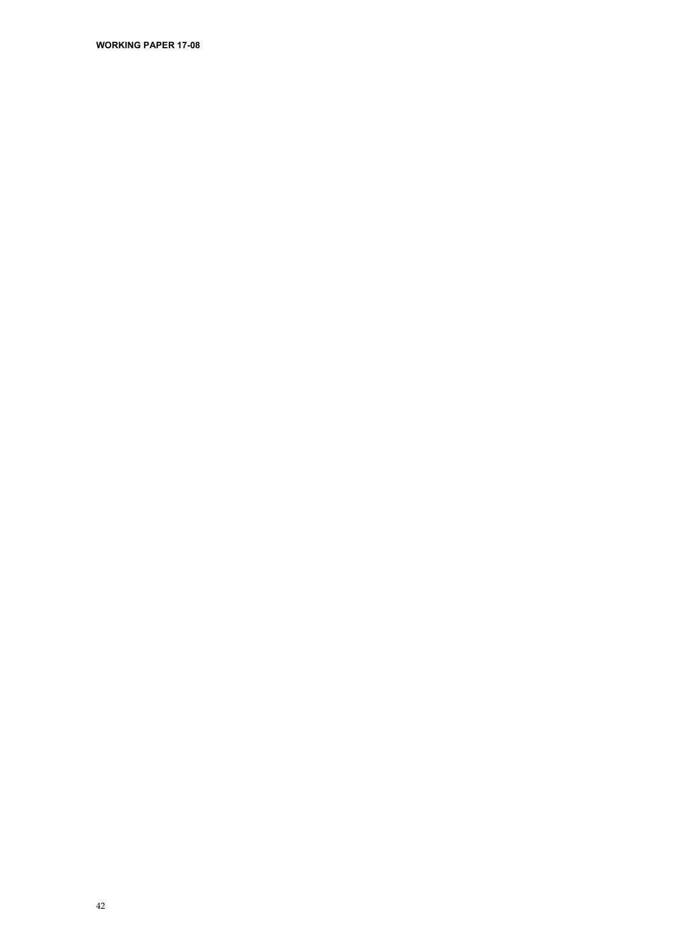**WORKING PAPER 17-08**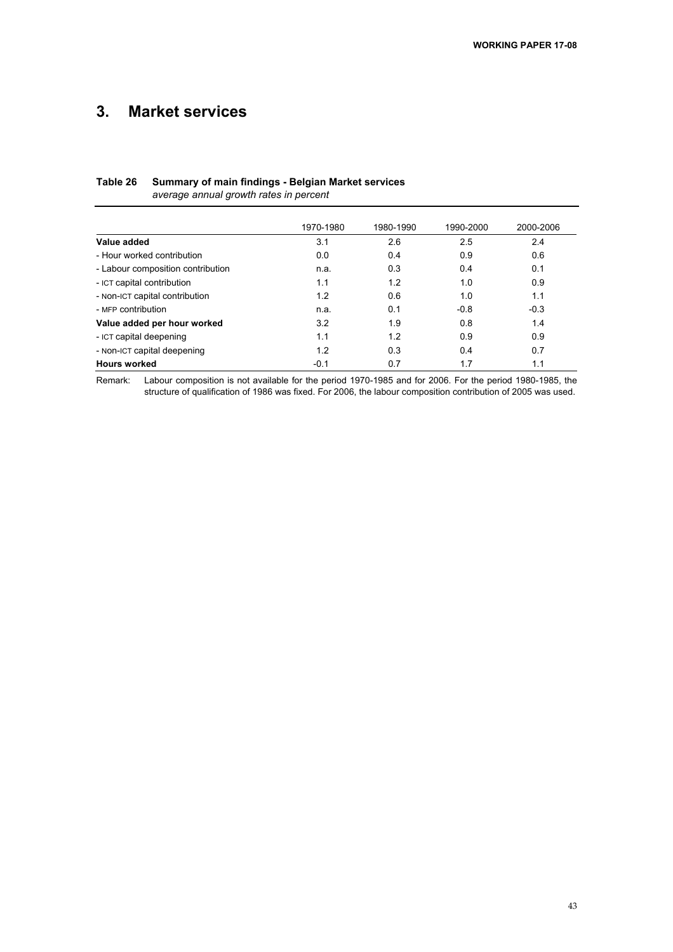# **3. Market services**

### **Table 26 Summary of main findings - Belgian Market services**  *average annual growth rates in percent*

|                                   | 1970-1980     | 1980-1990 | 1990-2000 | 2000-2006 |
|-----------------------------------|---------------|-----------|-----------|-----------|
| Value added                       | 3.1           | 2.6       | 2.5       | 2.4       |
| - Hour worked contribution        | 0.0           | 0.4       | 0.9       | 0.6       |
| - Labour composition contribution | n.a.          | 0.3       | 0.4       | 0.1       |
| - ICT capital contribution        | 1.1           | 1.2       | 1.0       | 0.9       |
| - NON-ICT capital contribution    | 1.2           | 0.6       | 1.0       | 1.1       |
| - MFP contribution                | n.a.          | 0.1       | $-0.8$    | $-0.3$    |
| Value added per hour worked       | $3.2^{\circ}$ | 1.9       | 0.8       | 1.4       |
| - ICT capital deepening           | 1.1           | 1.2       | 0.9       | 0.9       |
| - Non-ICT capital deepening       | 1.2           | 0.3       | 0.4       | 0.7       |
| <b>Hours worked</b>               | $-0.1$        | 0.7       | 1.7       | 1.1       |

Remark: Labour composition is not available for the period 1970-1985 and for 2006. For the period 1980-1985, the structure of qualification of 1986 was fixed. For 2006, the labour composition contribution of 2005 was used.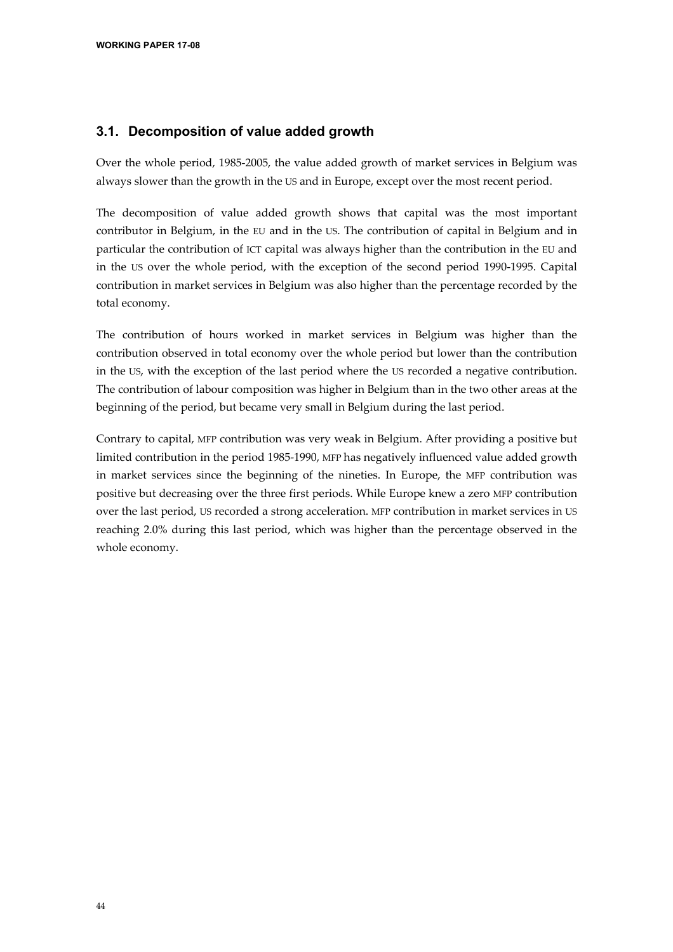# **3.1. Decomposition of value added growth**

Over the whole period, 1985-2005, the value added growth of market services in Belgium was always slower than the growth in the US and in Europe, except over the most recent period.

The decomposition of value added growth shows that capital was the most important contributor in Belgium, in the EU and in the US. The contribution of capital in Belgium and in particular the contribution of ICT capital was always higher than the contribution in the EU and in the US over the whole period, with the exception of the second period 1990-1995. Capital contribution in market services in Belgium was also higher than the percentage recorded by the total economy.

The contribution of hours worked in market services in Belgium was higher than the contribution observed in total economy over the whole period but lower than the contribution in the US, with the exception of the last period where the US recorded a negative contribution. The contribution of labour composition was higher in Belgium than in the two other areas at the beginning of the period, but became very small in Belgium during the last period.

Contrary to capital, MFP contribution was very weak in Belgium. After providing a positive but limited contribution in the period 1985-1990, MFP has negatively influenced value added growth in market services since the beginning of the nineties. In Europe, the MFP contribution was positive but decreasing over the three first periods. While Europe knew a zero MFP contribution over the last period, US recorded a strong acceleration. MFP contribution in market services in US reaching 2.0% during this last period, which was higher than the percentage observed in the whole economy.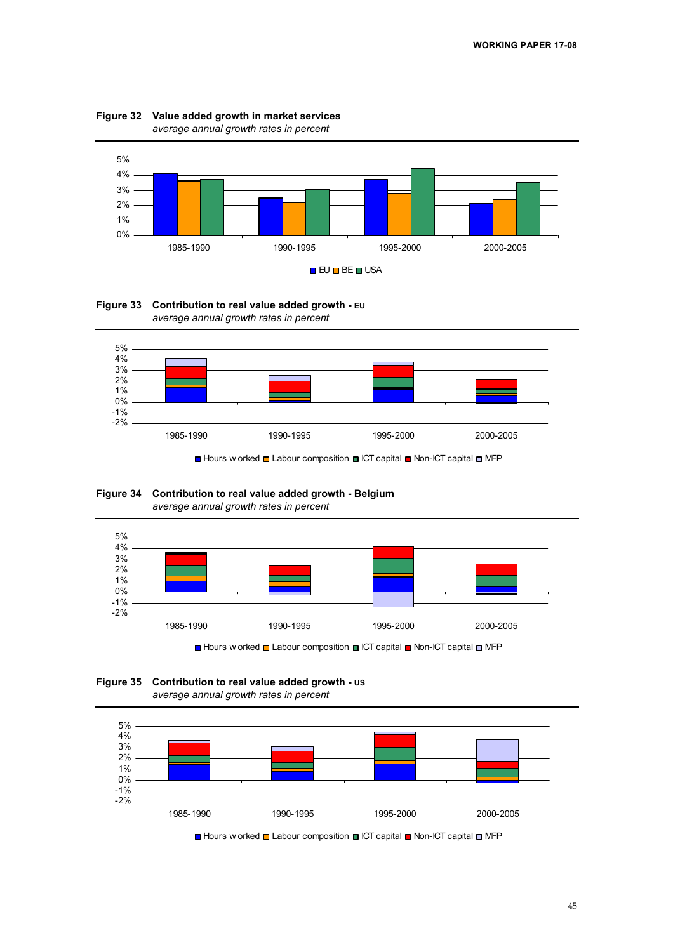











**Figure 35 Contribution to real value added growth - US**  *average annual growth rates in percent*



Hours w orked **Labour composition LACT capital LACT Capital LACT Capital ACT CAPITAL**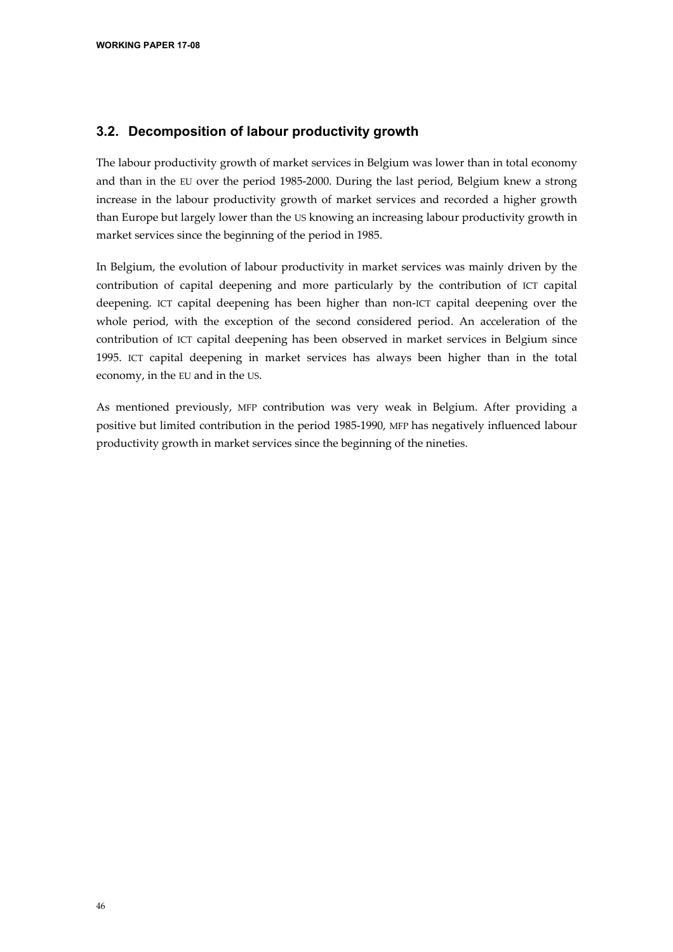# **3.2. Decomposition of labour productivity growth**

The labour productivity growth of market services in Belgium was lower than in total economy and than in the EU over the period 1985-2000. During the last period, Belgium knew a strong increase in the labour productivity growth of market services and recorded a higher growth than Europe but largely lower than the US knowing an increasing labour productivity growth in market services since the beginning of the period in 1985.

In Belgium, the evolution of labour productivity in market services was mainly driven by the contribution of capital deepening and more particularly by the contribution of ICT capital deepening. ICT capital deepening has been higher than non-ICT capital deepening over the whole period, with the exception of the second considered period. An acceleration of the contribution of ICT capital deepening has been observed in market services in Belgium since 1995. ICT capital deepening in market services has always been higher than in the total economy, in the EU and in the US.

As mentioned previously, MFP contribution was very weak in Belgium. After providing a positive but limited contribution in the period 1985-1990, MFP has negatively influenced labour productivity growth in market services since the beginning of the nineties.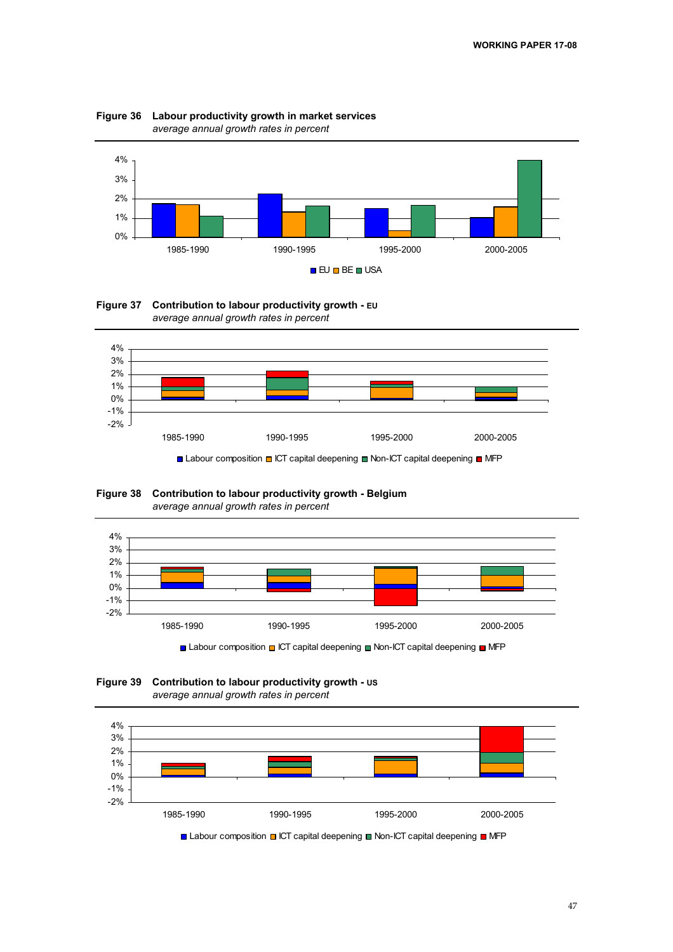











**Figure 39 Contribution to labour productivity growth - US**  *average annual growth rates in percent*

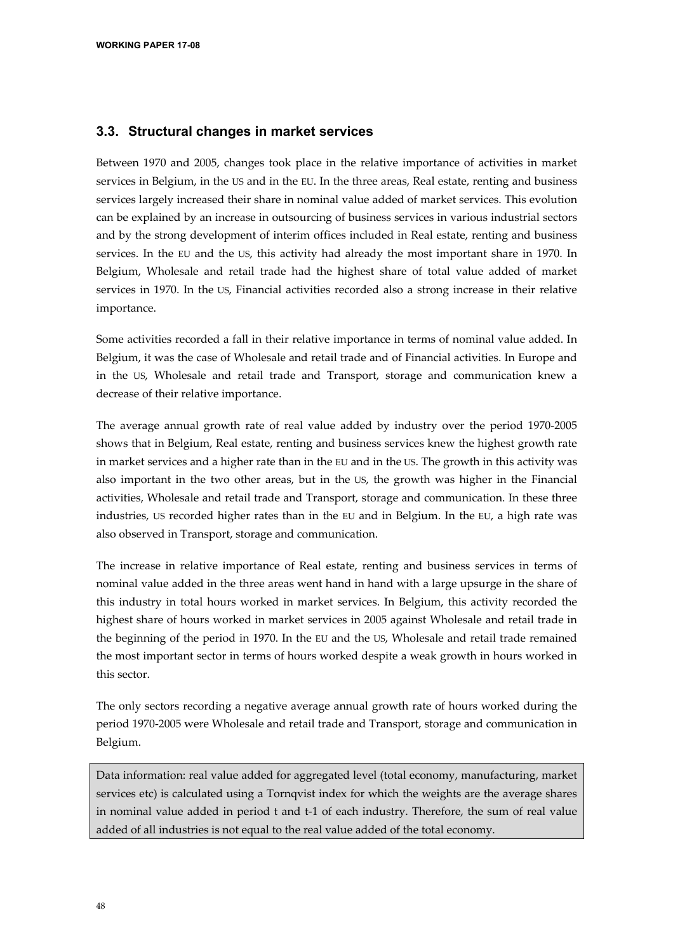## **3.3. Structural changes in market services**

Between 1970 and 2005, changes took place in the relative importance of activities in market services in Belgium, in the US and in the EU. In the three areas, Real estate, renting and business services largely increased their share in nominal value added of market services. This evolution can be explained by an increase in outsourcing of business services in various industrial sectors and by the strong development of interim offices included in Real estate, renting and business services. In the EU and the US, this activity had already the most important share in 1970. In Belgium, Wholesale and retail trade had the highest share of total value added of market services in 1970. In the US, Financial activities recorded also a strong increase in their relative importance.

Some activities recorded a fall in their relative importance in terms of nominal value added. In Belgium, it was the case of Wholesale and retail trade and of Financial activities. In Europe and in the US, Wholesale and retail trade and Transport, storage and communication knew a decrease of their relative importance.

The average annual growth rate of real value added by industry over the period 1970-2005 shows that in Belgium, Real estate, renting and business services knew the highest growth rate in market services and a higher rate than in the EU and in the US. The growth in this activity was also important in the two other areas, but in the US, the growth was higher in the Financial activities, Wholesale and retail trade and Transport, storage and communication. In these three industries, US recorded higher rates than in the EU and in Belgium. In the EU, a high rate was also observed in Transport, storage and communication.

The increase in relative importance of Real estate, renting and business services in terms of nominal value added in the three areas went hand in hand with a large upsurge in the share of this industry in total hours worked in market services. In Belgium, this activity recorded the highest share of hours worked in market services in 2005 against Wholesale and retail trade in the beginning of the period in 1970. In the EU and the US, Wholesale and retail trade remained the most important sector in terms of hours worked despite a weak growth in hours worked in this sector.

The only sectors recording a negative average annual growth rate of hours worked during the period 1970-2005 were Wholesale and retail trade and Transport, storage and communication in Belgium.

Data information: real value added for aggregated level (total economy, manufacturing, market services etc) is calculated using a Tornqvist index for which the weights are the average shares in nominal value added in period t and t-1 of each industry. Therefore, the sum of real value added of all industries is not equal to the real value added of the total economy.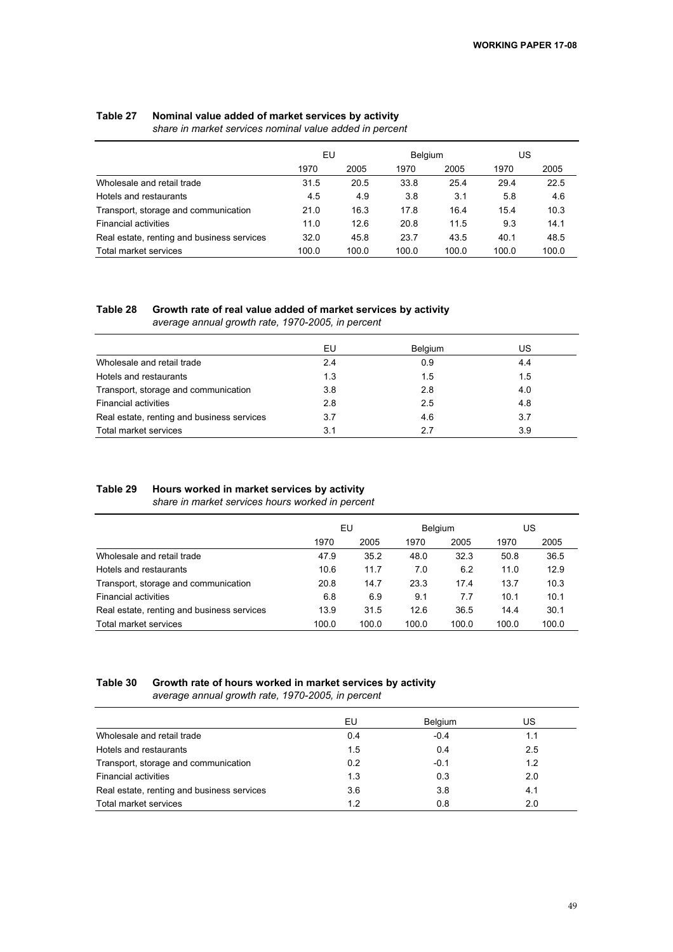### **Table 27 Nominal value added of market services by activity**

|                                            | EU    |       |       | Belgium |       | US    |
|--------------------------------------------|-------|-------|-------|---------|-------|-------|
|                                            | 1970  | 2005  | 1970  | 2005    | 1970  | 2005  |
| Wholesale and retail trade                 | 31.5  | 20.5  | 33.8  | 25.4    | 29.4  | 22.5  |
| Hotels and restaurants                     | 4.5   | 4.9   | 3.8   | 3.1     | 5.8   | 4.6   |
| Transport, storage and communication       | 21.0  | 16.3  | 17.8  | 16.4    | 15.4  | 10.3  |
| <b>Financial activities</b>                | 11.0  | 12.6  | 20.8  | 11.5    | 9.3   | 14.1  |
| Real estate, renting and business services | 32.0  | 45.8  | 23.7  | 43.5    | 40.1  | 48.5  |
| Total market services                      | 100.0 | 100.0 | 100.0 | 100.0   | 100.0 | 100.0 |

*share in market services nominal value added in percent*

# **Table 28 Growth rate of real value added of market services by activity**

*average annual growth rate, 1970-2005, in percent*

|                                            | EU  | <b>Belgium</b> | US  |
|--------------------------------------------|-----|----------------|-----|
| Wholesale and retail trade                 | 2.4 | 0.9            | 4.4 |
| Hotels and restaurants                     | 1.3 | 1.5            | 1.5 |
| Transport, storage and communication       | 3.8 | 2.8            | 4.0 |
| <b>Financial activities</b>                | 2.8 | 2.5            | 4.8 |
| Real estate, renting and business services | 3.7 | 4.6            | 3.7 |
| Total market services                      | 3.1 | 27             | 3.9 |

## **Table 29 Hours worked in market services by activity**

*share in market services hours worked in percent*

|                                            | EU    |       | Belgium |       | US    |       |
|--------------------------------------------|-------|-------|---------|-------|-------|-------|
|                                            | 1970  | 2005  | 1970    | 2005  | 1970  | 2005  |
| Wholesale and retail trade                 | 47.9  | 35.2  | 48.0    | 32.3  | 50.8  | 36.5  |
| Hotels and restaurants                     | 10.6  | 11.7  | 7.0     | 6.2   | 11.0  | 12.9  |
| Transport, storage and communication       | 20.8  | 14.7  | 23.3    | 17.4  | 13.7  | 10.3  |
| <b>Financial activities</b>                | 6.8   | 6.9   | 9.1     | 7.7   | 10.1  | 10.1  |
| Real estate, renting and business services | 13.9  | 31.5  | 12.6    | 36.5  | 14.4  | 30.1  |
| Total market services                      | 100.0 | 100.0 | 100.0   | 100.0 | 100.0 | 100.0 |

#### **Table 30 Growth rate of hours worked in market services by activity**  *average annual growth rate, 1970-2005, in percent*

|                                            | EU  | Belgium | US  |
|--------------------------------------------|-----|---------|-----|
| Wholesale and retail trade                 | 0.4 | $-0.4$  | 1.1 |
| Hotels and restaurants                     | 1.5 | 0.4     | 2.5 |
| Transport, storage and communication       | 0.2 | $-0.1$  | 1.2 |
| <b>Financial activities</b>                | 1.3 | 0.3     | 2.0 |
| Real estate, renting and business services | 3.6 | 3.8     | 4.1 |
| Total market services                      | 1.2 | 0.8     | 2.0 |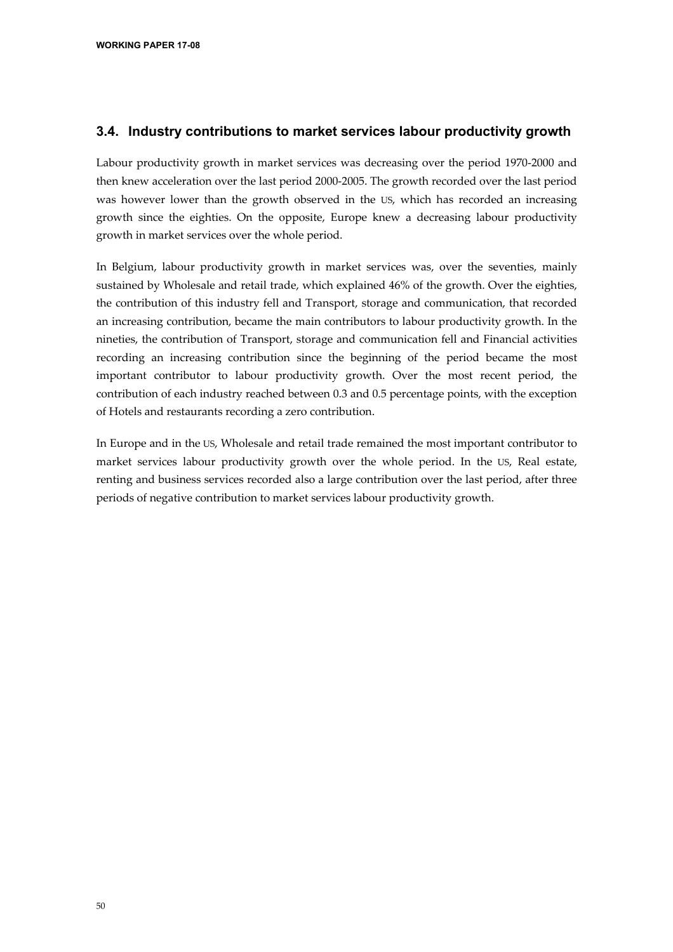# **3.4. Industry contributions to market services labour productivity growth**

Labour productivity growth in market services was decreasing over the period 1970-2000 and then knew acceleration over the last period 2000-2005. The growth recorded over the last period was however lower than the growth observed in the US, which has recorded an increasing growth since the eighties. On the opposite, Europe knew a decreasing labour productivity growth in market services over the whole period.

In Belgium, labour productivity growth in market services was, over the seventies, mainly sustained by Wholesale and retail trade, which explained 46% of the growth. Over the eighties, the contribution of this industry fell and Transport, storage and communication, that recorded an increasing contribution, became the main contributors to labour productivity growth. In the nineties, the contribution of Transport, storage and communication fell and Financial activities recording an increasing contribution since the beginning of the period became the most important contributor to labour productivity growth. Over the most recent period, the contribution of each industry reached between 0.3 and 0.5 percentage points, with the exception of Hotels and restaurants recording a zero contribution.

In Europe and in the US, Wholesale and retail trade remained the most important contributor to market services labour productivity growth over the whole period. In the US, Real estate, renting and business services recorded also a large contribution over the last period, after three periods of negative contribution to market services labour productivity growth.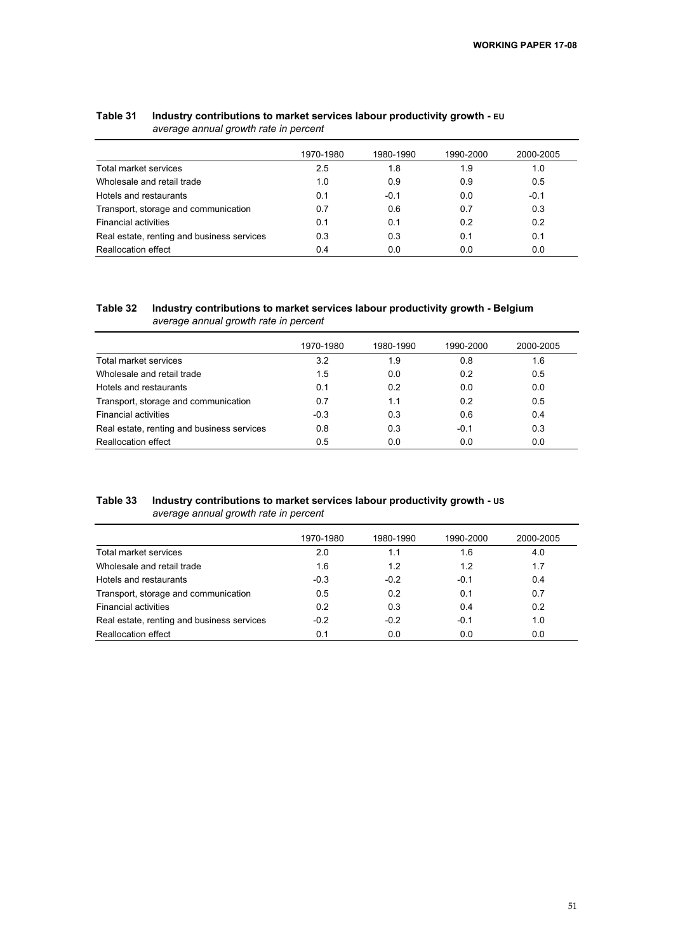| average annual growth rate in percent      |           |           |           |           |  |  |
|--------------------------------------------|-----------|-----------|-----------|-----------|--|--|
|                                            | 1970-1980 | 1980-1990 | 1990-2000 | 2000-2005 |  |  |
| Total market services                      | 2.5       | 1.8       | 1.9       | 1.0       |  |  |
| Wholesale and retail trade                 | 1.0       | 0.9       | 0.9       | 0.5       |  |  |
| Hotels and restaurants                     | 0.1       | $-0.1$    | 0.0       | $-0.1$    |  |  |
| Transport, storage and communication       | 0.7       | 0.6       | 0.7       | 0.3       |  |  |
| <b>Financial activities</b>                | 0.1       | 0.1       | 0.2       | 0.2       |  |  |
| Real estate, renting and business services | 0.3       | 0.3       | 0.1       | 0.1       |  |  |
| <b>Reallocation effect</b>                 | 0.4       | 0.0       | 0.0       | 0.0       |  |  |

## **Table 31 Industry contributions to market services labour productivity growth - EU** *average annual growth rate in percent*

### **Table 32 Industry contributions to market services labour productivity growth - Belgium**  *average annual growth rate in percent*

|                                            | 1970-1980 | 1980-1990 | 1990-2000 | 2000-2005 |
|--------------------------------------------|-----------|-----------|-----------|-----------|
| Total market services                      | 3.2       | 1.9       | 0.8       | 1.6       |
| Wholesale and retail trade                 | 1.5       | 0.0       | 0.2       | 0.5       |
| Hotels and restaurants                     | 0.1       | 0.2       | 0.0       | 0.0       |
| Transport, storage and communication       | 0.7       | 1.1       | 0.2       | 0.5       |
| <b>Financial activities</b>                | $-0.3$    | 0.3       | 0.6       | 0.4       |
| Real estate, renting and business services | 0.8       | 0.3       | $-0.1$    | 0.3       |
| Reallocation effect                        | 0.5       | 0.0       | 0.0       | 0.0       |

## **Table 33 Industry contributions to market services labour productivity growth - US** *average annual growth rate in percent*

|                                            | 1970-1980 | 1980-1990 | 1990-2000 | 2000-2005 |
|--------------------------------------------|-----------|-----------|-----------|-----------|
| Total market services                      | 2.0       | 1.1       | 1.6       | 4.0       |
| Wholesale and retail trade                 | 1.6       | 1.2       | 1.2       | 1.7       |
| Hotels and restaurants                     | $-0.3$    | $-0.2$    | $-0.1$    | 0.4       |
| Transport, storage and communication       | 0.5       | 0.2       | 0.1       | 0.7       |
| <b>Financial activities</b>                | 0.2       | 0.3       | 0.4       | 0.2       |
| Real estate, renting and business services | $-0.2$    | $-0.2$    | $-0.1$    | 1.0       |
| Reallocation effect                        | 0.1       | 0.0       | 0.0       | 0.0       |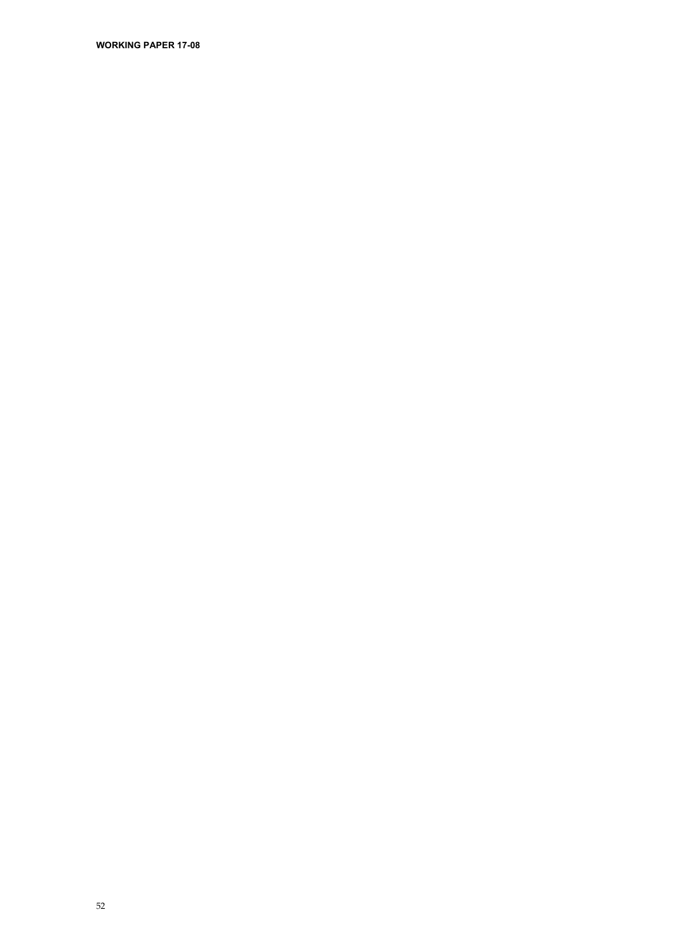**WORKING PAPER 17-08**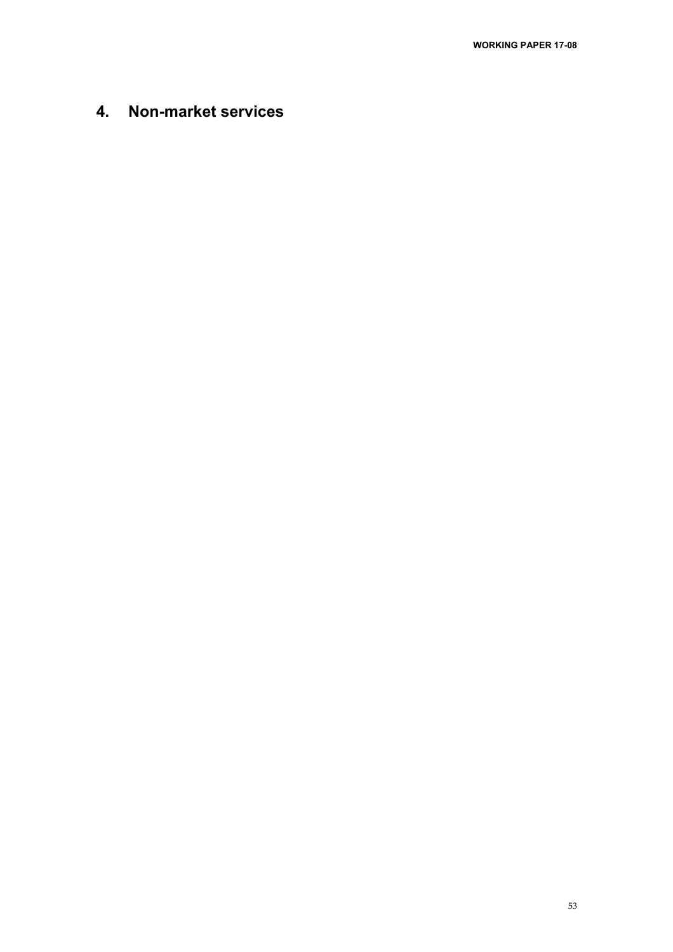# **4. Non-market services**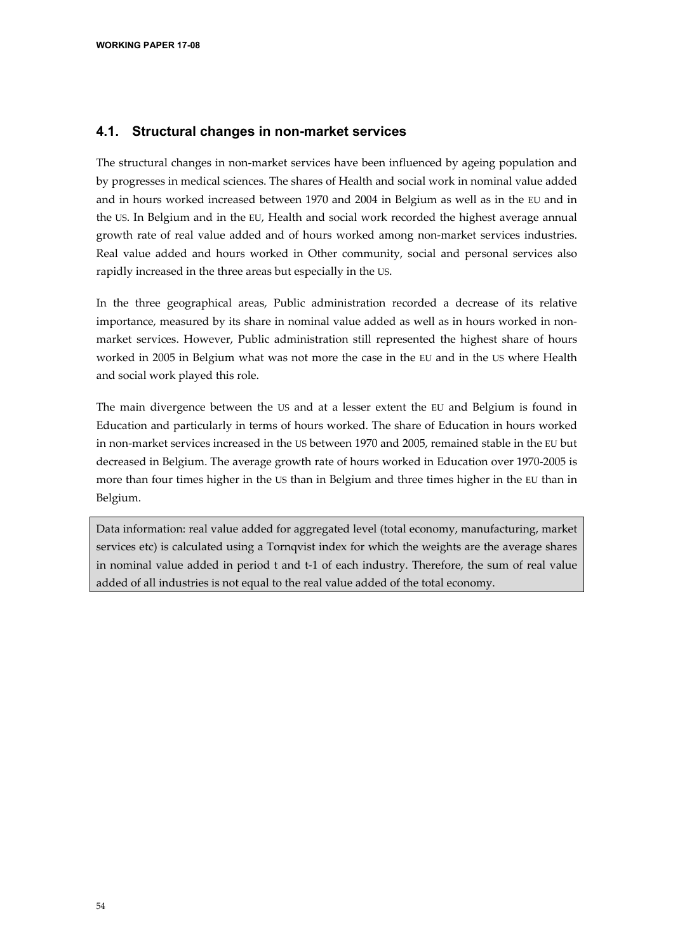## **4.1. Structural changes in non-market services**

The structural changes in non-market services have been influenced by ageing population and by progresses in medical sciences. The shares of Health and social work in nominal value added and in hours worked increased between 1970 and 2004 in Belgium as well as in the EU and in the US. In Belgium and in the EU, Health and social work recorded the highest average annual growth rate of real value added and of hours worked among non-market services industries. Real value added and hours worked in Other community, social and personal services also rapidly increased in the three areas but especially in the US.

In the three geographical areas, Public administration recorded a decrease of its relative importance, measured by its share in nominal value added as well as in hours worked in nonmarket services. However, Public administration still represented the highest share of hours worked in 2005 in Belgium what was not more the case in the EU and in the US where Health and social work played this role.

The main divergence between the US and at a lesser extent the EU and Belgium is found in Education and particularly in terms of hours worked. The share of Education in hours worked in non-market services increased in the US between 1970 and 2005, remained stable in the EU but decreased in Belgium. The average growth rate of hours worked in Education over 1970-2005 is more than four times higher in the US than in Belgium and three times higher in the EU than in Belgium.

Data information: real value added for aggregated level (total economy, manufacturing, market services etc) is calculated using a Tornqvist index for which the weights are the average shares in nominal value added in period t and t-1 of each industry. Therefore, the sum of real value added of all industries is not equal to the real value added of the total economy.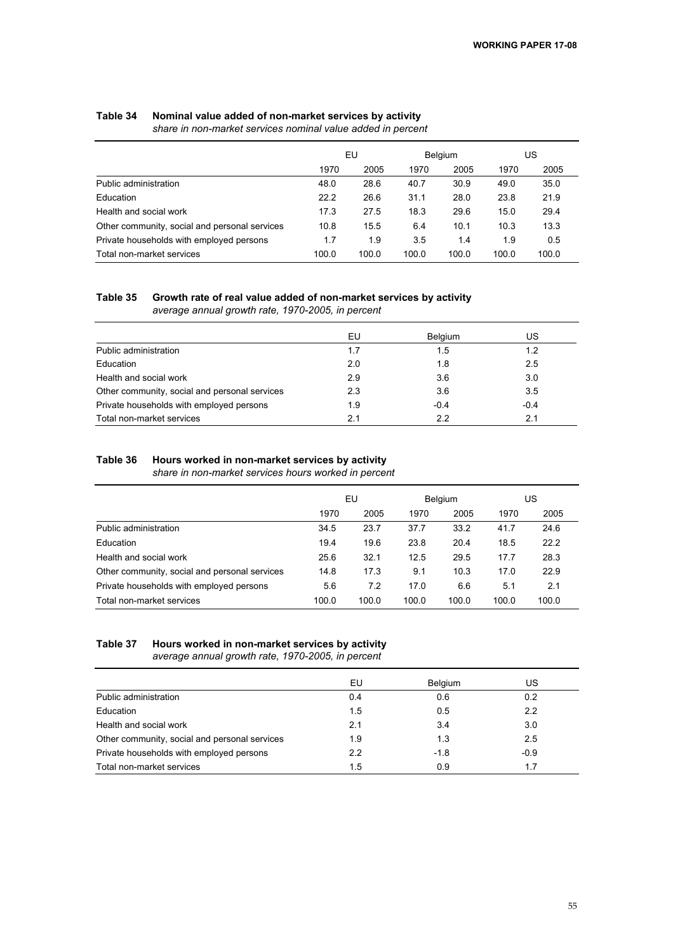# EU Belgium US 1970 2005 1970 2005 1970 2005 Public administration 48.0 28.6 40.7 30.9 49.0 35.0 Education 22.2 26.6 31.1 28.0 23.8 21.9 Health and social work 17.3 27.5 18.3 29.6 15.0 29.4 Other community, social and personal services  $10.8$  15.5 6.4 10.1 10.3 13.3 Private households with employed persons  $1.7$   $1.9$   $3.5$   $1.4$   $1.9$  0.5 Total non-market services 100.0 100.0 100.0 100.0 100.0 100.0

#### **Table 34 Nominal value added of non-market services by activity**

*share in non-market services nominal value added in percent*

#### **Table 35 Growth rate of real value added of non-market services by activity**  *average annual growth rate, 1970-2005, in percent*

|                                               | EU  | <b>Belgium</b> | US     |
|-----------------------------------------------|-----|----------------|--------|
| Public administration                         | 1.7 | 1.5            | 1.2    |
| Education                                     | 2.0 | 1.8            | 2.5    |
| Health and social work                        | 2.9 | 3.6            | 3.0    |
| Other community, social and personal services | 2.3 | 3.6            | 3.5    |
| Private households with employed persons      | 1.9 | $-0.4$         | $-0.4$ |
| Total non-market services                     | 2.1 | 2.2            | 21     |

#### **Table 36 Hours worked in non-market services by activity**

*share in non-market services hours worked in percent*

|                                               | EU    |       | Belgium |       | US    |       |
|-----------------------------------------------|-------|-------|---------|-------|-------|-------|
|                                               | 1970  | 2005  | 1970    | 2005  | 1970  | 2005  |
| Public administration                         | 34.5  | 23.7  | 37.7    | 33.2  | 41.7  | 24.6  |
| Education                                     | 19.4  | 19.6  | 23.8    | 20.4  | 18.5  | 22.2  |
| Health and social work                        | 25.6  | 32.1  | 12.5    | 29.5  | 17.7  | 28.3  |
| Other community, social and personal services | 14.8  | 17.3  | 9.1     | 10.3  | 17.0  | 22.9  |
| Private households with employed persons      | 5.6   | 7.2   | 17.0    | 6.6   | 5.1   | 2.1   |
| Total non-market services                     | 100.0 | 100.0 | 100.0   | 100.0 | 100.0 | 100.0 |

## **Table 37 Hours worked in non-market services by activity**

*average annual growth rate, 1970-2005, in percent*

|                                               | EU  | Belgium | US     |
|-----------------------------------------------|-----|---------|--------|
| Public administration                         | 0.4 | 0.6     | 0.2    |
| Education                                     | 1.5 | 0.5     | 2.2    |
| Health and social work                        | 2.1 | 3.4     | 3.0    |
| Other community, social and personal services | 1.9 | 1.3     | 2.5    |
| Private households with employed persons      | 2.2 | $-1.8$  | $-0.9$ |
| Total non-market services                     | 1.5 | 0.9     | 1.7    |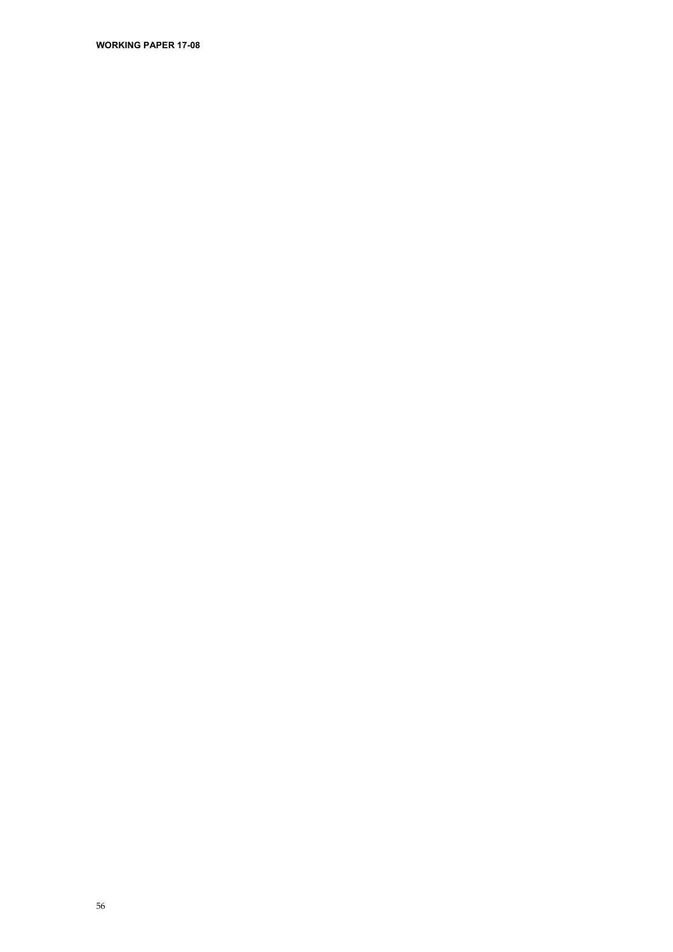**WORKING PAPER 17-08**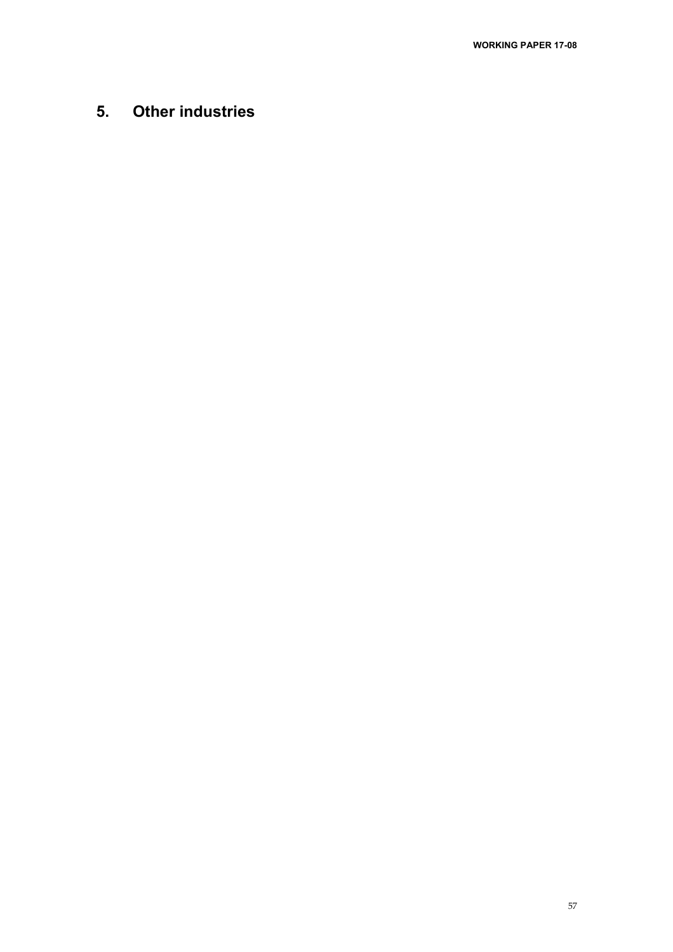# **5. Other industries**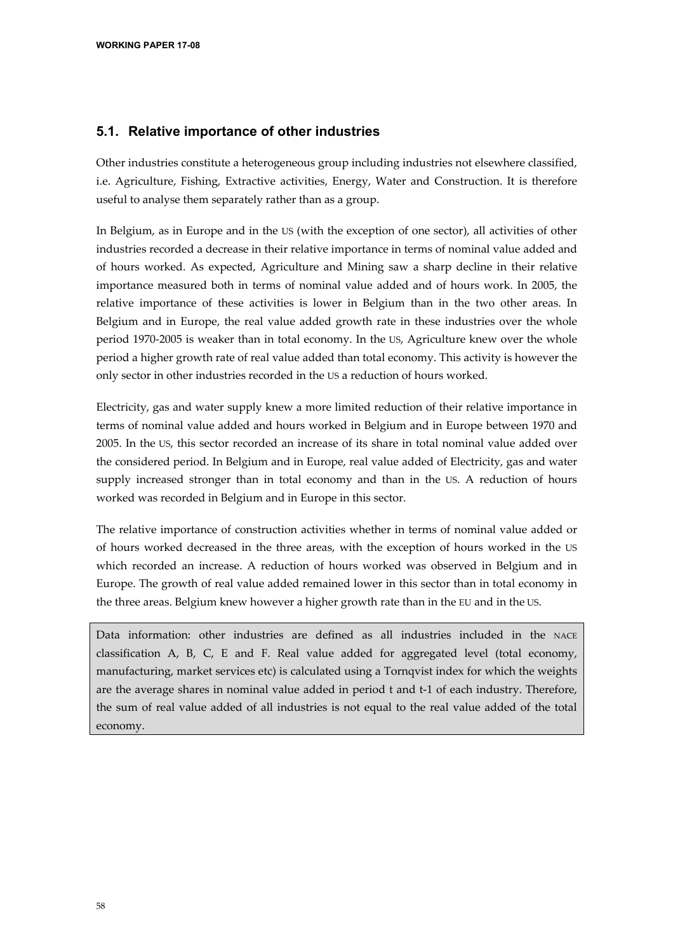## **5.1. Relative importance of other industries**

Other industries constitute a heterogeneous group including industries not elsewhere classified, i.e. Agriculture, Fishing, Extractive activities, Energy, Water and Construction. It is therefore useful to analyse them separately rather than as a group.

In Belgium, as in Europe and in the US (with the exception of one sector), all activities of other industries recorded a decrease in their relative importance in terms of nominal value added and of hours worked. As expected, Agriculture and Mining saw a sharp decline in their relative importance measured both in terms of nominal value added and of hours work. In 2005, the relative importance of these activities is lower in Belgium than in the two other areas. In Belgium and in Europe, the real value added growth rate in these industries over the whole period 1970-2005 is weaker than in total economy. In the US, Agriculture knew over the whole period a higher growth rate of real value added than total economy. This activity is however the only sector in other industries recorded in the US a reduction of hours worked.

Electricity, gas and water supply knew a more limited reduction of their relative importance in terms of nominal value added and hours worked in Belgium and in Europe between 1970 and 2005. In the US, this sector recorded an increase of its share in total nominal value added over the considered period. In Belgium and in Europe, real value added of Electricity, gas and water supply increased stronger than in total economy and than in the US. A reduction of hours worked was recorded in Belgium and in Europe in this sector.

The relative importance of construction activities whether in terms of nominal value added or of hours worked decreased in the three areas, with the exception of hours worked in the US which recorded an increase. A reduction of hours worked was observed in Belgium and in Europe. The growth of real value added remained lower in this sector than in total economy in the three areas. Belgium knew however a higher growth rate than in the EU and in the US.

Data information: other industries are defined as all industries included in the NACE classification A, B, C, E and F. Real value added for aggregated level (total economy, manufacturing, market services etc) is calculated using a Tornqvist index for which the weights are the average shares in nominal value added in period t and t-1 of each industry. Therefore, the sum of real value added of all industries is not equal to the real value added of the total economy.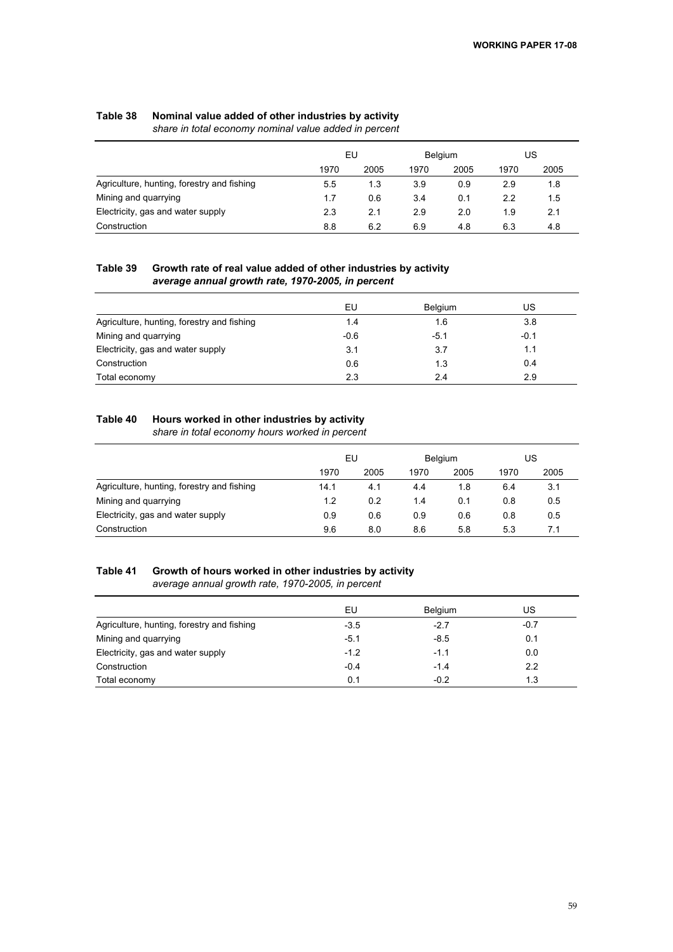## **Table 38 Nominal value added of other industries by activity**

*share in total economy nominal value added in percent*

|                                            | EU   |      | Belgium |      | US   |      |
|--------------------------------------------|------|------|---------|------|------|------|
|                                            | 1970 | 2005 | 1970    | 2005 | 1970 | 2005 |
| Agriculture, hunting, forestry and fishing | 5.5  | 1.3  | 3.9     | 0.9  | 2.9  | 1.8  |
| Mining and quarrying                       | 1.7  | 0.6  | 3.4     | 0.1  | 2.2  | 1.5  |
| Electricity, gas and water supply          | 2.3  | 2.1  | 2.9     | 2.0  | 1.9  | 2.1  |
| Construction                               | 8.8  | 6.2  | 6.9     | 4.8  | 6.3  | 4.8  |

## **Table 39 Growth rate of real value added of other industries by activity**  *average annual growth rate, 1970-2005, in percent*

|                                            | EU     | <b>Belgium</b> | US     |
|--------------------------------------------|--------|----------------|--------|
| Agriculture, hunting, forestry and fishing | 1.4    | 1.6            | 3.8    |
| Mining and quarrying                       | $-0.6$ | $-5.1$         | $-0.1$ |
| Electricity, gas and water supply          | 3.1    | 3.7            | 1.1    |
| Construction                               | 0.6    | 1.3            | 0.4    |
| Total economy                              | 2.3    | 2.4            | 2.9    |

#### **Table 40 Hours worked in other industries by activity**

*share in total economy hours worked in percent*

|                                            | EU   |      | <b>Belgium</b> |      |      | US   |
|--------------------------------------------|------|------|----------------|------|------|------|
|                                            | 1970 | 2005 | 1970           | 2005 | 1970 | 2005 |
| Agriculture, hunting, forestry and fishing | 14.1 | 4.1  | 4.4            | 1.8  | 6.4  | 3.1  |
| Mining and quarrying                       | 1.2  | 0.2  | 1.4            | 0.1  | 0.8  | 0.5  |
| Electricity, gas and water supply          | 0.9  | 0.6  | 0.9            | 0.6  | 0.8  | 0.5  |
| Construction                               | 9.6  | 8.0  | 8.6            | 5.8  | 5.3  |      |

### **Table 41 Growth of hours worked in other industries by activity**

*average annual growth rate, 1970-2005, in percent*

|                                            | EU     | Belgium | US     |
|--------------------------------------------|--------|---------|--------|
| Agriculture, hunting, forestry and fishing | $-3.5$ | $-2.7$  | $-0.7$ |
| Mining and quarrying                       | $-5.1$ | $-8.5$  | 0.1    |
| Electricity, gas and water supply          | $-1.2$ | $-1.1$  | 0.0    |
| Construction                               | $-0.4$ | $-1.4$  | 2.2    |
| Total economy                              | 0.1    | $-0.2$  | 1.3    |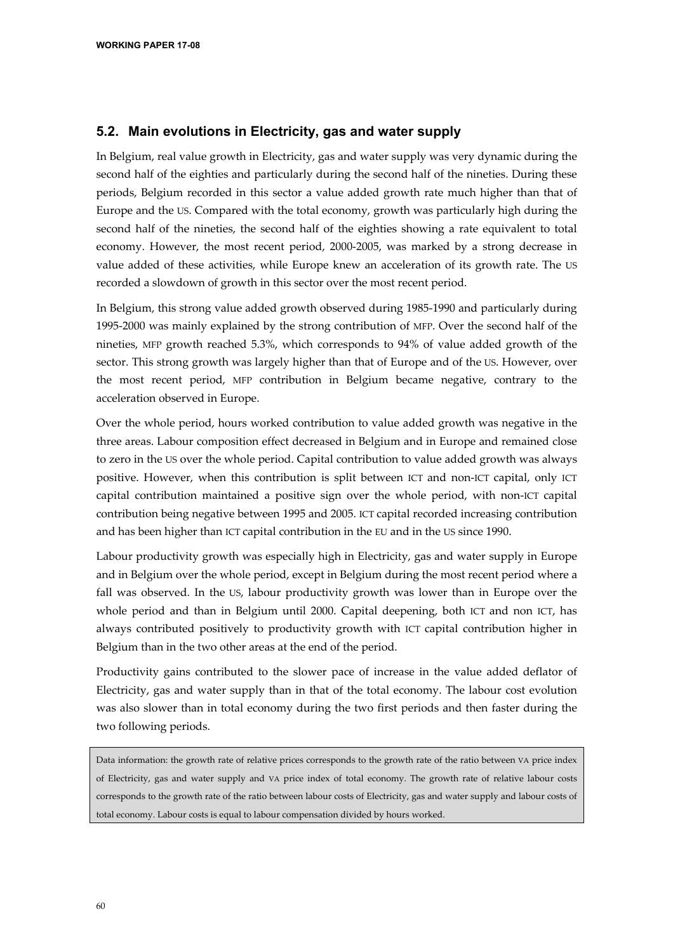# **5.2. Main evolutions in Electricity, gas and water supply**

In Belgium, real value growth in Electricity, gas and water supply was very dynamic during the second half of the eighties and particularly during the second half of the nineties. During these periods, Belgium recorded in this sector a value added growth rate much higher than that of Europe and the US. Compared with the total economy, growth was particularly high during the second half of the nineties, the second half of the eighties showing a rate equivalent to total economy. However, the most recent period, 2000-2005, was marked by a strong decrease in value added of these activities, while Europe knew an acceleration of its growth rate. The US recorded a slowdown of growth in this sector over the most recent period.

In Belgium, this strong value added growth observed during 1985-1990 and particularly during 1995-2000 was mainly explained by the strong contribution of MFP. Over the second half of the nineties, MFP growth reached 5.3%, which corresponds to 94% of value added growth of the sector. This strong growth was largely higher than that of Europe and of the US. However, over the most recent period, MFP contribution in Belgium became negative, contrary to the acceleration observed in Europe.

Over the whole period, hours worked contribution to value added growth was negative in the three areas. Labour composition effect decreased in Belgium and in Europe and remained close to zero in the US over the whole period. Capital contribution to value added growth was always positive. However, when this contribution is split between ICT and non-ICT capital, only ICT capital contribution maintained a positive sign over the whole period, with non-ICT capital contribution being negative between 1995 and 2005. ICT capital recorded increasing contribution and has been higher than ICT capital contribution in the EU and in the US since 1990.

Labour productivity growth was especially high in Electricity, gas and water supply in Europe and in Belgium over the whole period, except in Belgium during the most recent period where a fall was observed. In the US, labour productivity growth was lower than in Europe over the whole period and than in Belgium until 2000. Capital deepening, both ICT and non ICT, has always contributed positively to productivity growth with ICT capital contribution higher in Belgium than in the two other areas at the end of the period.

Productivity gains contributed to the slower pace of increase in the value added deflator of Electricity, gas and water supply than in that of the total economy. The labour cost evolution was also slower than in total economy during the two first periods and then faster during the two following periods.

Data information: the growth rate of relative prices corresponds to the growth rate of the ratio between VA price index of Electricity, gas and water supply and VA price index of total economy. The growth rate of relative labour costs corresponds to the growth rate of the ratio between labour costs of Electricity, gas and water supply and labour costs of total economy. Labour costs is equal to labour compensation divided by hours worked.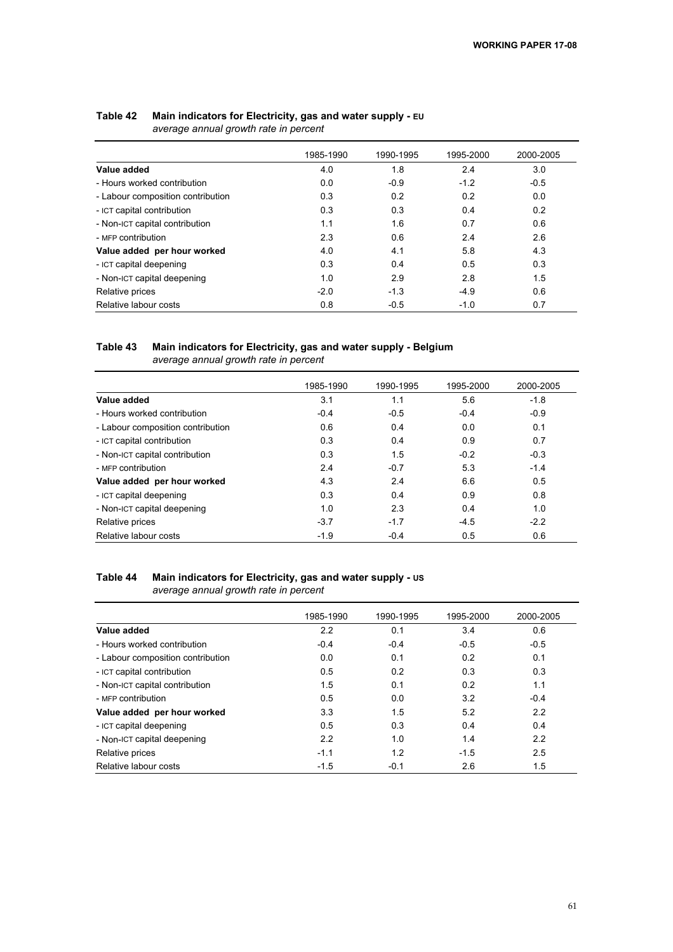÷,

| average annuar growth rate in percent |           |           |           |           |  |
|---------------------------------------|-----------|-----------|-----------|-----------|--|
|                                       | 1985-1990 | 1990-1995 | 1995-2000 | 2000-2005 |  |
| Value added                           | 4.0       | 1.8       | 2.4       | 3.0       |  |
| - Hours worked contribution           | 0.0       | $-0.9$    | $-1.2$    | $-0.5$    |  |
| - Labour composition contribution     | 0.3       | 0.2       | 0.2       | 0.0       |  |
| - ICT capital contribution            | 0.3       | 0.3       | 0.4       | 0.2       |  |
| - Non-ICT capital contribution        | 1.1       | 1.6       | 0.7       | 0.6       |  |
| - MFP contribution                    | 2.3       | 0.6       | 2.4       | 2.6       |  |
| Value added per hour worked           | 4.0       | 4.1       | 5.8       | 4.3       |  |
| - ICT capital deepening               | 0.3       | 0.4       | 0.5       | 0.3       |  |
| - Non-ICT capital deepening           | 1.0       | 2.9       | 2.8       | 1.5       |  |
| Relative prices                       | $-2.0$    | $-1.3$    | $-4.9$    | 0.6       |  |
| Relative labour costs                 | 0.8       | $-0.5$    | $-1.0$    | 0.7       |  |

#### **Table 42 Main indicators for Electricity, gas and water supply - EU** *average annual growth rate in percent*

### **Table 43 Main indicators for Electricity, gas and water supply - Belgium**  *average annual growth rate in percent*

|                                   | 1985-1990 | 1990-1995 | 1995-2000 | 2000-2005 |
|-----------------------------------|-----------|-----------|-----------|-----------|
| Value added                       | 3.1       | 1.1       | 5.6       | $-1.8$    |
| - Hours worked contribution       | $-0.4$    | $-0.5$    | $-0.4$    | $-0.9$    |
| - Labour composition contribution | 0.6       | 0.4       | 0.0       | 0.1       |
| - ICT capital contribution        | 0.3       | 0.4       | 0.9       | 0.7       |
| - Non-ICT capital contribution    | 0.3       | 1.5       | $-0.2$    | $-0.3$    |
| - MFP contribution                | 2.4       | $-0.7$    | 5.3       | $-1.4$    |
| Value added per hour worked       | 4.3       | 2.4       | 6.6       | 0.5       |
| - ICT capital deepening           | 0.3       | 0.4       | 0.9       | 0.8       |
| - Non-ICT capital deepening       | 1.0       | 2.3       | 0.4       | 1.0       |
| Relative prices                   | $-3.7$    | $-1.7$    | $-4.5$    | $-2.2$    |
| Relative labour costs             | $-1.9$    | $-0.4$    | 0.5       | 0.6       |

#### **Table 44 Main indicators for Electricity, gas and water supply - US** *average annual growth rate in percent*

|                                   | 1985-1990 | 1990-1995 | 1995-2000 | 2000-2005 |
|-----------------------------------|-----------|-----------|-----------|-----------|
| Value added                       | 2.2       | 0.1       | 3.4       | 0.6       |
| - Hours worked contribution       | $-0.4$    | $-0.4$    | $-0.5$    | $-0.5$    |
| - Labour composition contribution | 0.0       | 0.1       | 0.2       | 0.1       |
| - ICT capital contribution        | 0.5       | 0.2       | 0.3       | 0.3       |
| - Non-ICT capital contribution    | 1.5       | 0.1       | 0.2       | 1.1       |
| - MFP contribution                | 0.5       | 0.0       | 3.2       | $-0.4$    |
| Value added per hour worked       | 3.3       | 1.5       | 5.2       | 2.2       |
| - ICT capital deepening           | 0.5       | 0.3       | 0.4       | 0.4       |
| - Non-ICT capital deepening       | 2.2       | 1.0       | 1.4       | 2.2       |
| Relative prices                   | $-1.1$    | 1.2       | $-1.5$    | 2.5       |
| Relative labour costs             | $-1.5$    | $-0.1$    | 2.6       | 1.5       |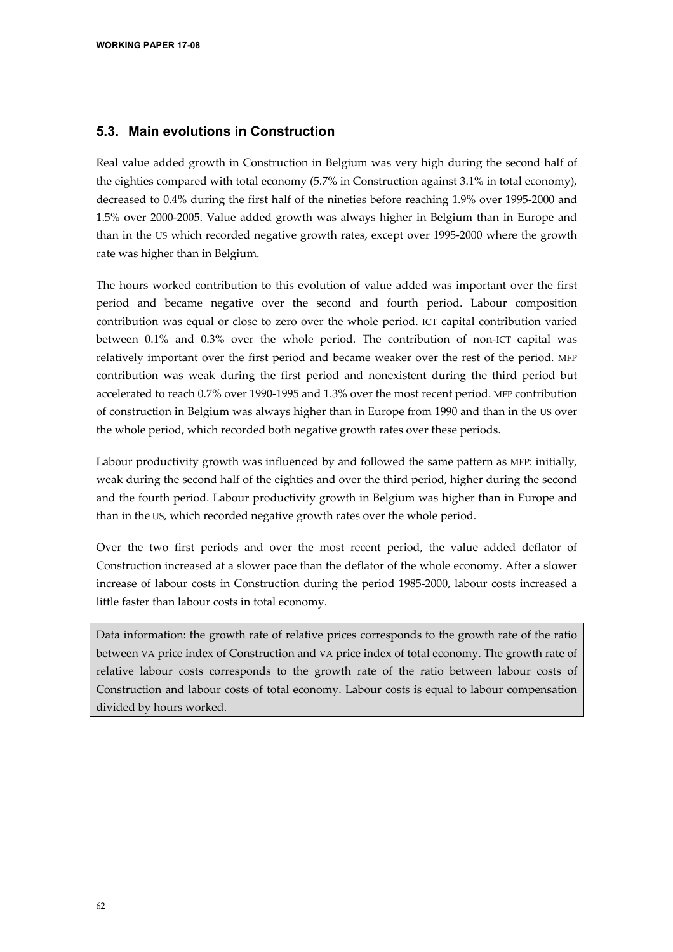## **5.3. Main evolutions in Construction**

Real value added growth in Construction in Belgium was very high during the second half of the eighties compared with total economy (5.7% in Construction against 3.1% in total economy), decreased to 0.4% during the first half of the nineties before reaching 1.9% over 1995-2000 and 1.5% over 2000-2005. Value added growth was always higher in Belgium than in Europe and than in the US which recorded negative growth rates, except over 1995-2000 where the growth rate was higher than in Belgium.

The hours worked contribution to this evolution of value added was important over the first period and became negative over the second and fourth period. Labour composition contribution was equal or close to zero over the whole period. ICT capital contribution varied between 0.1% and 0.3% over the whole period. The contribution of non-ICT capital was relatively important over the first period and became weaker over the rest of the period. MFP contribution was weak during the first period and nonexistent during the third period but accelerated to reach 0.7% over 1990-1995 and 1.3% over the most recent period. MFP contribution of construction in Belgium was always higher than in Europe from 1990 and than in the US over the whole period, which recorded both negative growth rates over these periods.

Labour productivity growth was influenced by and followed the same pattern as MFP: initially, weak during the second half of the eighties and over the third period, higher during the second and the fourth period. Labour productivity growth in Belgium was higher than in Europe and than in the US, which recorded negative growth rates over the whole period.

Over the two first periods and over the most recent period, the value added deflator of Construction increased at a slower pace than the deflator of the whole economy. After a slower increase of labour costs in Construction during the period 1985-2000, labour costs increased a little faster than labour costs in total economy.

Data information: the growth rate of relative prices corresponds to the growth rate of the ratio between VA price index of Construction and VA price index of total economy. The growth rate of relative labour costs corresponds to the growth rate of the ratio between labour costs of Construction and labour costs of total economy. Labour costs is equal to labour compensation divided by hours worked.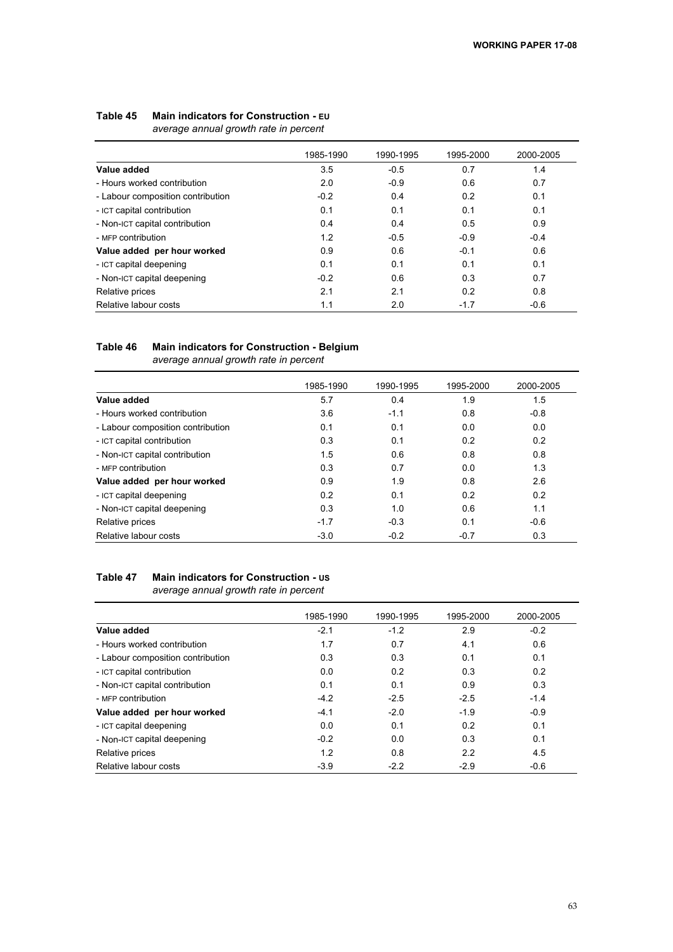### **Table 45 Main indicators for Construction - EU** *average annual growth rate in percent*

|                                   | 1985-1990 | 1990-1995 | 1995-2000 | 2000-2005 |
|-----------------------------------|-----------|-----------|-----------|-----------|
| Value added                       | 3.5       | $-0.5$    | 0.7       | 1.4       |
| - Hours worked contribution       | 2.0       | $-0.9$    | 0.6       | 0.7       |
| - Labour composition contribution | $-0.2$    | 0.4       | 0.2       | 0.1       |
| - ICT capital contribution        | 0.1       | 0.1       | 0.1       | 0.1       |
| - Non-ICT capital contribution    | 0.4       | 0.4       | 0.5       | 0.9       |
| - MFP contribution                | 1.2       | $-0.5$    | $-0.9$    | $-0.4$    |
| Value added per hour worked       | 0.9       | 0.6       | $-0.1$    | 0.6       |
| - ICT capital deepening           | 0.1       | 0.1       | 0.1       | 0.1       |
| - Non-ICT capital deepening       | $-0.2$    | 0.6       | 0.3       | 0.7       |
| Relative prices                   | 2.1       | 2.1       | 0.2       | 0.8       |
| Relative labour costs             | 1.1       | 2.0       | $-1.7$    | $-0.6$    |

## **Table 46 Main indicators for Construction - Belgium**  *average annual growth rate in percent*

|                                   | 1985-1990 | 1990-1995 | 1995-2000 | 2000-2005 |
|-----------------------------------|-----------|-----------|-----------|-----------|
| Value added                       | 5.7       | 0.4       | 1.9       | 1.5       |
| - Hours worked contribution       | 3.6       | $-1.1$    | 0.8       | $-0.8$    |
| - Labour composition contribution | 0.1       | 0.1       | 0.0       | 0.0       |
| - ICT capital contribution        | 0.3       | 0.1       | 0.2       | 0.2       |
| - Non-ICT capital contribution    | 1.5       | 0.6       | 0.8       | 0.8       |
| - MFP contribution                | 0.3       | 0.7       | 0.0       | 1.3       |
| Value added per hour worked       | 0.9       | 1.9       | 0.8       | 2.6       |
| - ICT capital deepening           | 0.2       | 0.1       | 0.2       | 0.2       |
| - Non-ICT capital deepening       | 0.3       | 1.0       | 0.6       | 1.1       |
| Relative prices                   | $-1.7$    | $-0.3$    | 0.1       | $-0.6$    |
| Relative labour costs             | $-3.0$    | $-0.2$    | $-0.7$    | 0.3       |

#### **Table 47 Main indicators for Construction - US** *average annual growth rate in percent*

|                                   | 1985-1990 | 1990-1995 | 1995-2000 | 2000-2005 |
|-----------------------------------|-----------|-----------|-----------|-----------|
| Value added                       | $-2.1$    | $-1.2$    | 2.9       | $-0.2$    |
| - Hours worked contribution       | 1.7       | 0.7       | 4.1       | 0.6       |
| - Labour composition contribution | 0.3       | 0.3       | 0.1       | 0.1       |
| - ICT capital contribution        | 0.0       | 0.2       | 0.3       | 0.2       |
| - Non-ICT capital contribution    | 0.1       | 0.1       | 0.9       | 0.3       |
| - MFP contribution                | $-4.2$    | $-2.5$    | $-2.5$    | $-1.4$    |
| Value added per hour worked       | $-4.1$    | $-2.0$    | $-1.9$    | $-0.9$    |
| - ICT capital deepening           | 0.0       | 0.1       | 0.2       | 0.1       |
| - Non-ICT capital deepening       | $-0.2$    | 0.0       | 0.3       | 0.1       |
| Relative prices                   | 1.2       | 0.8       | 2.2       | 4.5       |
| Relative labour costs             | $-3.9$    | $-2.2$    | $-2.9$    | $-0.6$    |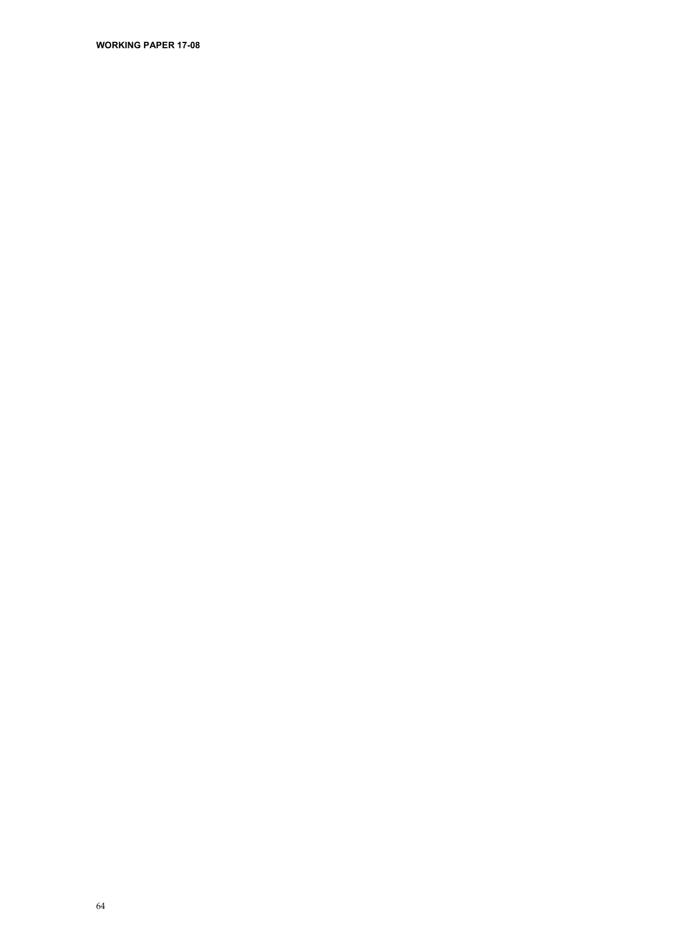**WORKING PAPER 17-08**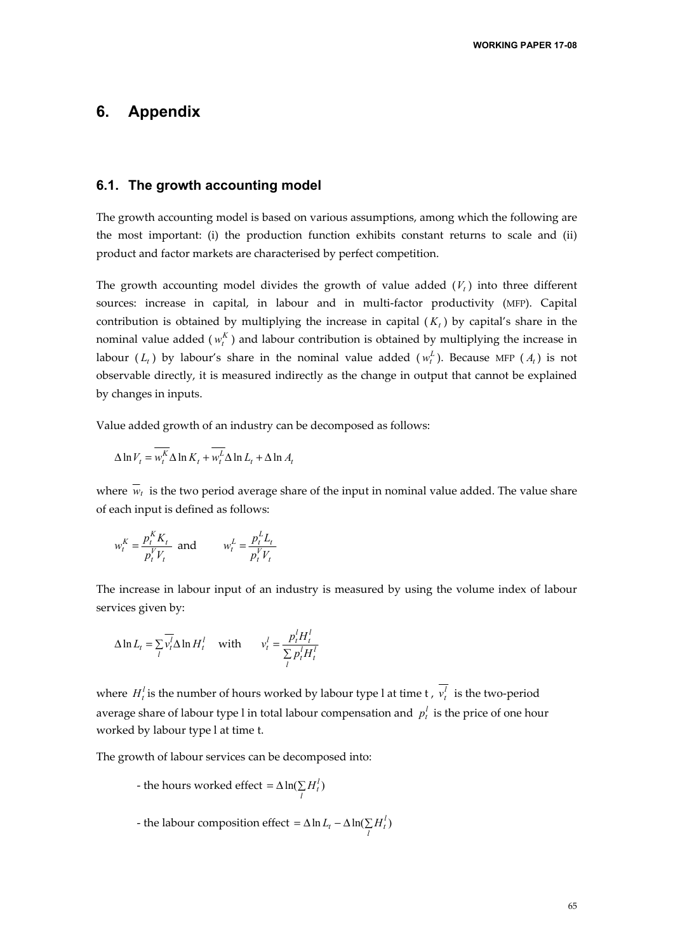## **6. Appendix**

## **6.1. The growth accounting model**

The growth accounting model is based on various assumptions, among which the following are the most important: (i) the production function exhibits constant returns to scale and (ii) product and factor markets are characterised by perfect competition.

The growth accounting model divides the growth of value added  $(V_t)$  into three different sources: increase in capital, in labour and in multi-factor productivity (MFP). Capital contribution is obtained by multiplying the increase in capital  $(K_t)$  by capital's share in the nominal value added  $(w_t^K)$  and labour contribution is obtained by multiplying the increase in labour  $(L_t)$  by labour's share in the nominal value added  $(w_t^L)$ . Because MFP  $(A_t)$  is not observable directly, it is measured indirectly as the change in output that cannot be explained by changes in inputs.

Value added growth of an industry can be decomposed as follows:

$$
\Delta \ln V_t = \overline{w_t^K} \Delta \ln K_t + \overline{w_t^L} \Delta \ln L_t + \Delta \ln A_t
$$

where  $\overline{w_t}$  is the two period average share of the input in nominal value added. The value share of each input is defined as follows:

$$
w_t^K = \frac{p_t^K K_t}{p_t^V V_t} \text{ and } w_t^L = \frac{p_t^L L_t}{p_t^V V_t}
$$

The increase in labour input of an industry is measured by using the volume index of labour services given by:

$$
\Delta \ln L_t = \sum_l \overline{v_t^l} \Delta \ln H_t^l \quad \text{with} \quad v_t^l = \frac{p_t^l H_t^l}{\sum_l p_t^l H_t^l}
$$

where  $H_t^l$  is the number of hours worked by labour type l at time t ,  $v_t^l$  is the two-period average share of labour type l in total labour compensation and  $p_t^l$  is the price of one hour worked by labour type l at time t.

The growth of labour services can be decomposed into:

- the hours worked effect =  $\Delta \ln(\sum_l H_l^l)$ 
	- *-* the labour composition effect = ∆ln  $L_t \Delta \ln(\sum_l H_l^l)$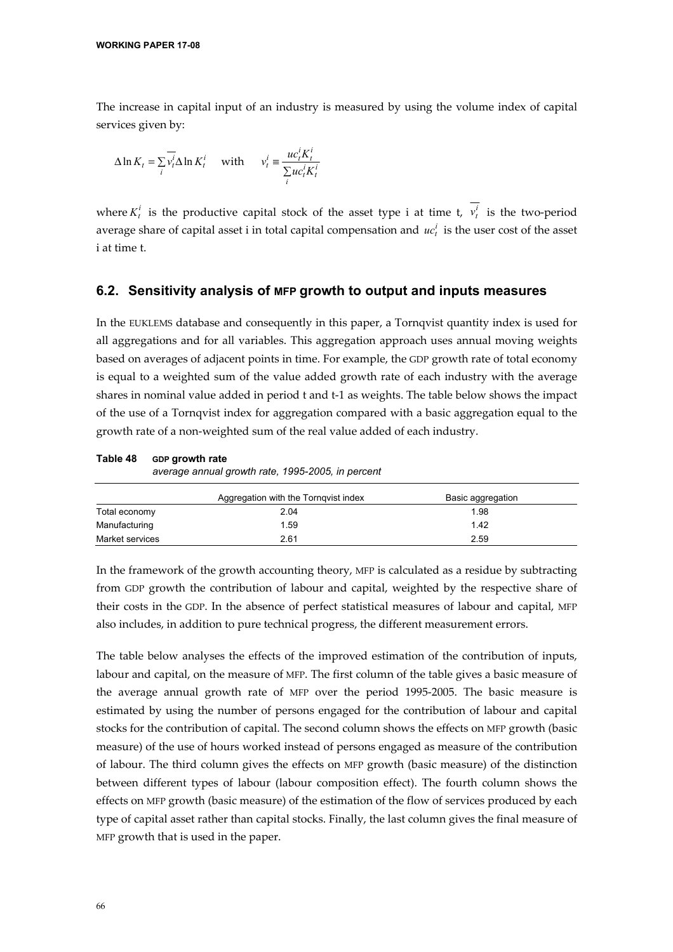The increase in capital input of an industry is measured by using the volume index of capital services given by:

$$
\Delta \ln K_t = \sum_i \overline{v_t^i} \Delta \ln K_t^i \quad \text{with} \quad v_t^i \equiv \frac{uc_t^i K_t^i}{\sum_i u_c^i K_t^i}
$$

where  $K_t^i$  is the productive capital stock of the asset type i at time t,  $v_t^i$  is the two-period average share of capital asset i in total capital compensation and  $uc_t^i$  is the user cost of the asset i at time t.

## **6.2. Sensitivity analysis of MFP growth to output and inputs measures**

In the EUKLEMS database and consequently in this paper, a Tornqvist quantity index is used for all aggregations and for all variables. This aggregation approach uses annual moving weights based on averages of adjacent points in time. For example, the GDP growth rate of total economy is equal to a weighted sum of the value added growth rate of each industry with the average shares in nominal value added in period t and t-1 as weights. The table below shows the impact of the use of a Tornqvist index for aggregation compared with a basic aggregation equal to the growth rate of a non-weighted sum of the real value added of each industry.

| Table 48        | GDP growth rate<br>average annual growth rate, 1995-2005, in percent |                   |  |  |  |  |
|-----------------|----------------------------------------------------------------------|-------------------|--|--|--|--|
|                 | Aggregation with the Torngvist index                                 | Basic aggregation |  |  |  |  |
| Total economy   | 2.04                                                                 | 1.98              |  |  |  |  |
| Manufacturing   | 1.59                                                                 | 1.42              |  |  |  |  |
| Market services | 2.61                                                                 | 2.59              |  |  |  |  |

In the framework of the growth accounting theory, MFP is calculated as a residue by subtracting from GDP growth the contribution of labour and capital, weighted by the respective share of their costs in the GDP. In the absence of perfect statistical measures of labour and capital, MFP also includes, in addition to pure technical progress, the different measurement errors.

The table below analyses the effects of the improved estimation of the contribution of inputs, labour and capital, on the measure of MFP. The first column of the table gives a basic measure of the average annual growth rate of MFP over the period 1995-2005. The basic measure is estimated by using the number of persons engaged for the contribution of labour and capital stocks for the contribution of capital. The second column shows the effects on MFP growth (basic measure) of the use of hours worked instead of persons engaged as measure of the contribution of labour. The third column gives the effects on MFP growth (basic measure) of the distinction between different types of labour (labour composition effect). The fourth column shows the effects on MFP growth (basic measure) of the estimation of the flow of services produced by each type of capital asset rather than capital stocks. Finally, the last column gives the final measure of MFP growth that is used in the paper.